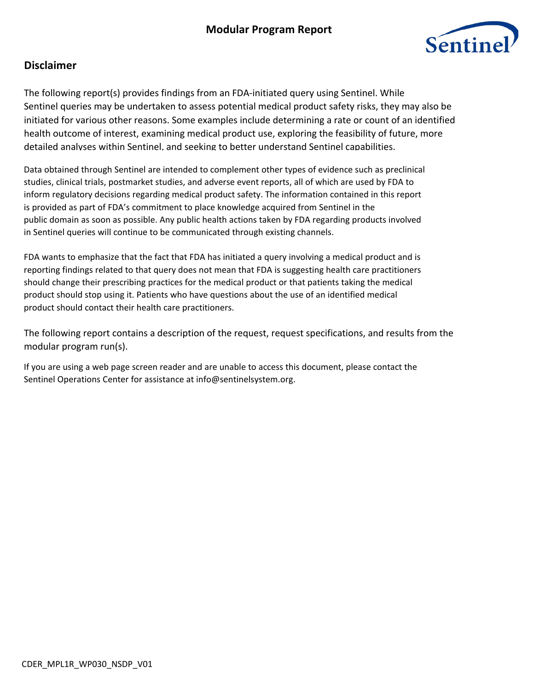

## **Disclaimer**

The following report(s) provides findings from an FDA-initiated query using Sentinel. While Sentinel queries may be undertaken to assess potential medical product safety risks, they may also be initiated for various other reasons. Some examples include determining a rate or count of an identified health outcome of interest, examining medical product use, exploring the feasibility of future, more detailed analyses within Sentinel, and seeking to better understand Sentinel capabilities.

Data obtained through Sentinel are intended to complement other types of evidence such as preclinical studies, clinical trials, postmarket studies, and adverse event reports, all of which are used by FDA to inform regulatory decisions regarding medical product safety. The information contained in this report is provided as part of FDA's commitment to place knowledge acquired from Sentinel in the public domain as soon as possible. Any public health actions taken by FDA regarding products involved in Sentinel queries will continue to be communicated through existing channels.

FDA wants to emphasize that the fact that FDA has initiated a query involving a medical product and is reporting findings related to that query does not mean that FDA is suggesting health care practitioners should change their prescribing practices for the medical product or that patients taking the medical product should stop using it. Patients who have questions about the use of an identified medical product should contact their health care practitioners.

The following report contains a description of the request, request specifications, and results from the modular program run(s).

If you are using a web page screen reader and are unable to access this document, please contact the Sentinel Operations Center for assistance at info@sentinelsystem.org.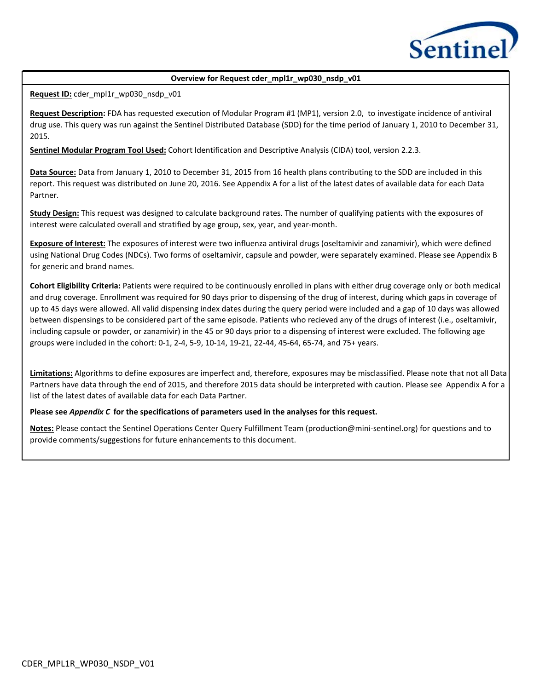

### **Overview for Request cder\_mpl1r\_wp030\_nsdp\_v01**

**Request ID:** cder\_mpl1r\_wp030\_nsdp\_v01

**Request Description:** FDA has requested execution of Modular Program #1 (MP1), version 2.0, to investigate incidence of antiviral drug use. This query was run against the Sentinel Distributed Database (SDD) for the time period of January 1, 2010 to December 31, 2015.

**Sentinel Modular Program Tool Used:** Cohort Identification and Descriptive Analysis (CIDA) tool, version 2.2.3.

**Data Source:** Data from January 1, 2010 to December 31, 2015 from 16 health plans contributing to the SDD are included in this report. This request was distributed on June 20, 2016. See Appendix A for a list of the latest dates of available data for each Data Partner.

**Study Design:** This request was designed to calculate background rates. The number of qualifying patients with the exposures of interest were calculated overall and stratified by age group, sex, year, and year-month.

**Exposure of Interest:** The exposures of interest were two influenza antiviral drugs (oseltamivir and zanamivir), which were defined using National Drug Codes (NDCs). Two forms of oseltamivir, capsule and powder, were separately examined. Please see Appendix B for generic and brand names.

**Cohort Eligibility Criteria:** Patients were required to be continuously enrolled in plans with either drug coverage only or both medical and drug coverage. Enrollment was required for 90 days prior to dispensing of the drug of interest, during which gaps in coverage of up to 45 days were allowed. All valid dispensing index dates during the query period were included and a gap of 10 days was allowed between dispensings to be considered part of the same episode. Patients who recieved any of the drugs of interest (i.e., oseltamivir, including capsule or powder, or zanamivir) in the 45 or 90 days prior to a dispensing of interest were excluded. The following age groups were included in the cohort: 0-1, 2-4, 5-9, 10-14, 19-21, 22-44, 45-64, 65-74, and 75+ years.

**Limitations:** Algorithms to define exposures are imperfect and, therefore, exposures may be misclassified. Please note that not all Data Partners have data through the end of 2015, and therefore 2015 data should be interpreted with caution. Please see Appendix A for a list of the latest dates of available data for each Data Partner.

#### **Please see** *Appendix C* **for the specifications of parameters used in the analyses for this request.**

**Notes:** Please contact the Sentinel Operations Center Query Fulfillment Team (production@mini-sentinel.org) for questions and to provide comments/suggestions for future enhancements to this document.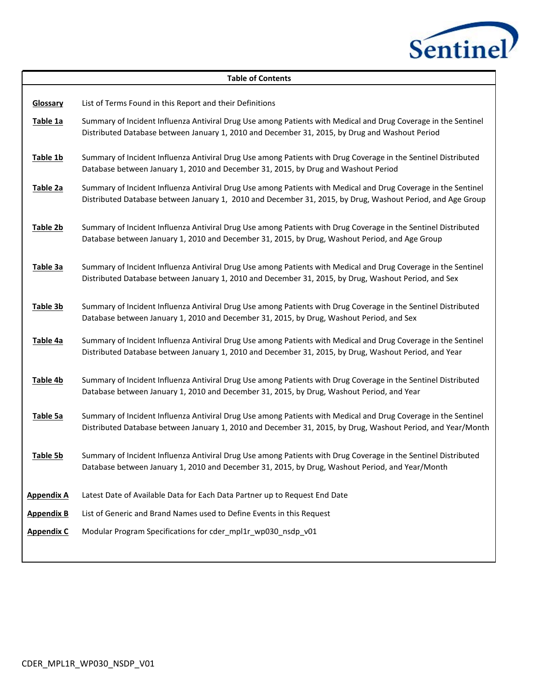

|                      | <b>Table of Contents</b>                                                                                                                                                                                                      |
|----------------------|-------------------------------------------------------------------------------------------------------------------------------------------------------------------------------------------------------------------------------|
| Glossary<br>Table 1a | List of Terms Found in this Report and their Definitions<br>Summary of Incident Influenza Antiviral Drug Use among Patients with Medical and Drug Coverage in the Sentinel                                                    |
|                      | Distributed Database between January 1, 2010 and December 31, 2015, by Drug and Washout Period                                                                                                                                |
| Table 1b             | Summary of Incident Influenza Antiviral Drug Use among Patients with Drug Coverage in the Sentinel Distributed<br>Database between January 1, 2010 and December 31, 2015, by Drug and Washout Period                          |
| Table 2a             | Summary of Incident Influenza Antiviral Drug Use among Patients with Medical and Drug Coverage in the Sentinel<br>Distributed Database between January 1, 2010 and December 31, 2015, by Drug, Washout Period, and Age Group  |
| Table 2b             | Summary of Incident Influenza Antiviral Drug Use among Patients with Drug Coverage in the Sentinel Distributed<br>Database between January 1, 2010 and December 31, 2015, by Drug, Washout Period, and Age Group              |
| Table 3a             | Summary of Incident Influenza Antiviral Drug Use among Patients with Medical and Drug Coverage in the Sentinel<br>Distributed Database between January 1, 2010 and December 31, 2015, by Drug, Washout Period, and Sex        |
| Table 3b             | Summary of Incident Influenza Antiviral Drug Use among Patients with Drug Coverage in the Sentinel Distributed<br>Database between January 1, 2010 and December 31, 2015, by Drug, Washout Period, and Sex                    |
| Table 4a             | Summary of Incident Influenza Antiviral Drug Use among Patients with Medical and Drug Coverage in the Sentinel<br>Distributed Database between January 1, 2010 and December 31, 2015, by Drug, Washout Period, and Year       |
| Table 4b             | Summary of Incident Influenza Antiviral Drug Use among Patients with Drug Coverage in the Sentinel Distributed<br>Database between January 1, 2010 and December 31, 2015, by Drug, Washout Period, and Year                   |
| Table 5a             | Summary of Incident Influenza Antiviral Drug Use among Patients with Medical and Drug Coverage in the Sentinel<br>Distributed Database between January 1, 2010 and December 31, 2015, by Drug, Washout Period, and Year/Month |
| Table 5b             | Summary of Incident Influenza Antiviral Drug Use among Patients with Drug Coverage in the Sentinel Distributed<br>Database between January 1, 2010 and December 31, 2015, by Drug, Washout Period, and Year/Month             |
| <b>Appendix A</b>    | Latest Date of Available Data for Each Data Partner up to Request End Date                                                                                                                                                    |
| <b>Appendix B</b>    | List of Generic and Brand Names used to Define Events in this Request                                                                                                                                                         |
| <b>Appendix C</b>    | Modular Program Specifications for cder_mpl1r_wp030_nsdp_v01                                                                                                                                                                  |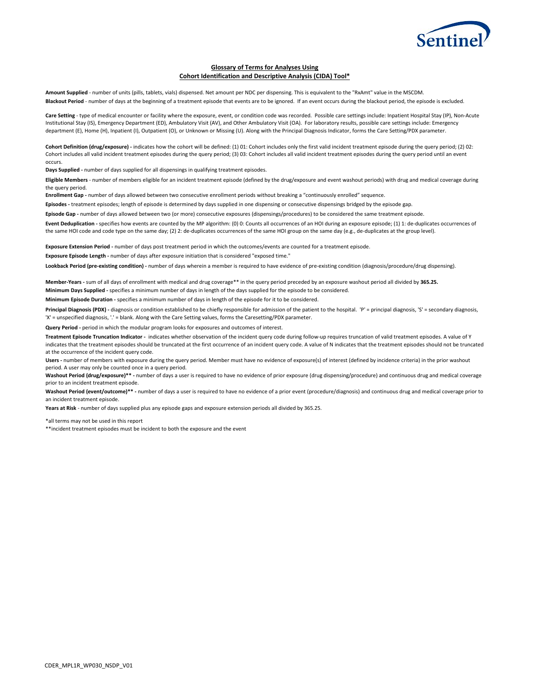

#### **Glossary of Terms for Analyses Using Cohort Identification and Descriptive Analysis (CIDA) Tool\***

**Amount Supplied** - number of units (pills, tablets, vials) dispensed. Net amount per NDC per dispensing. This is equivalent to the "RxAmt" value in the MSCDM. **Blackout Period** - number of days at the beginning of a treatment episode that events are to be ignored. If an event occurs during the blackout period, the episode is excluded.

**Care Setting** - type of medical encounter or facility where the exposure, event, or condition code was recorded. Possible care settings include: Inpatient Hospital Stay (IP), Non-Acute Institutional Stay (IS), Emergency Department (ED), Ambulatory Visit (AV), and Other Ambulatory Visit (OA). For laboratory results, possible care settings include: Emergency department (E), Home (H), Inpatient (I), Outpatient (O), or Unknown or Missing (U). Along with the Principal Diagnosis Indicator, forms the Care Setting/PDX parameter.

**Cohort Definition (drug/exposure) -** indicates how the cohort will be defined: (1) 01: Cohort includes only the first valid incident treatment episode during the query period; (2) 02: Cohort includes all valid incident treatment episodes during the query period; (3) 03: Cohort includes all valid incident treatment episodes during the query period until an event occurs.

**Days Supplied -** number of days supplied for all dispensings in qualifying treatment episodes.

**Eligible Members** - number of members eligible for an incident treatment episode (defined by the drug/exposure and event washout periods) with drug and medical coverage during the query period.

**Enrollment Gap -** number of days allowed between two consecutive enrollment periods without breaking a "continuously enrolled" sequence.

**Episodes -** treatment episodes; length of episode is determined by days supplied in one dispensing or consecutive dispensings bridged by the episode gap.

**Episode Gap -** number of days allowed between two (or more) consecutive exposures (dispensings/procedures) to be considered the same treatment episode.

**Event Deduplication -** specifies how events are counted by the MP algorithm: (0) 0: Counts all occurrences of an HOI during an exposure episode; (1) 1: de-duplicates occurrences of the same HOI code and code type on the same day; (2) 2: de-duplicates occurrences of the same HOI group on the same day (e.g., de-duplicates at the group level).

**Exposure Extension Period -** number of days post treatment period in which the outcomes/events are counted for a treatment episode.

**Exposure Episode Length -** number of days after exposure initiation that is considered "exposed time."

Lookback Period (pre-existing condition) - number of days wherein a member is required to have evidence of pre-existing condition (diagnosis/procedure/drug dispensing).

**Member-Years -** sum of all days of enrollment with medical and drug coverage\*\* in the query period preceded by an exposure washout period all divided by **365.25. Minimum Days Supplied -** specifies a minimum number of days in length of the days supplied for the episode to be considered.

**Minimum Episode Duration -** specifies a minimum number of days in length of the episode for it to be considered.

Principal Diagnosis (PDX) - diagnosis or condition established to be chiefly responsible for admission of the patient to the hospital. 'P' = principal diagnosis, 'S' = secondary diagnosis, 'X' = unspecified diagnosis, '.' = blank. Along with the Care Setting values, forms the Caresetting/PDX parameter.

Query Period - period in which the modular program looks for exposures and outcomes of interest.

**Treatment Episode Truncation Indicator -** indicates whether observation of the incident query code during follow-up requires truncation of valid treatment episodes. A value of Y indicates that the treatment episodes should be truncated at the first occurrence of an incident query code. A value of N indicates that the treatment episodes should not be truncated at the occurrence of the incident query code.

**Users -** number of members with exposure during the query period. Member must have no evidence of exposure(s) of interest (defined by incidence criteria) in the prior washout period. A user may only be counted once in a query period.

Washout Period (drug/exposure)\*\* - number of days a user is required to have no evidence of prior exposure (drug dispensing/procedure) and continuous drug and medical coverage prior to an incident treatment episode.

**Washout Period (event/outcome)\*\* -** number of days a user is required to have no evidence of a prior event (procedure/diagnosis) and continuous drug and medical coverage prior to an incident treatment episode.

**Years at Risk** - number of days supplied plus any episode gaps and exposure extension periods all divided by 365.25.

\*all terms may not be used in this report

\*\*incident treatment episodes must be incident to both the exposure and the event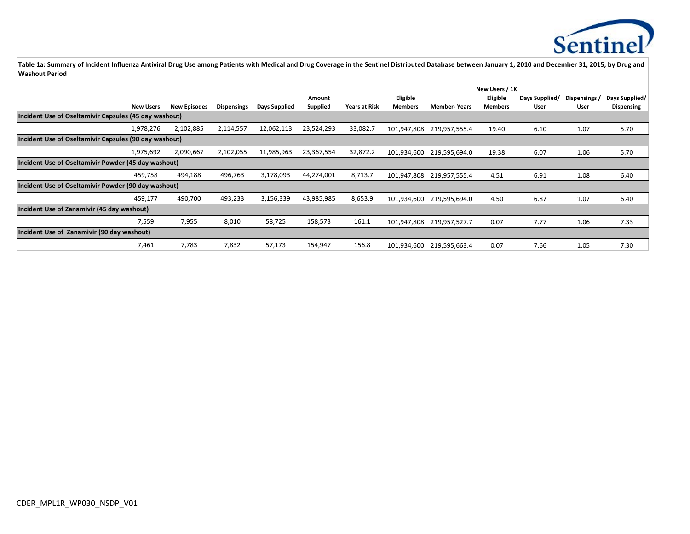

|                                                       | New Users / 1K   |                     |                    |               |            |                      |                |                     |          |                |             |                |
|-------------------------------------------------------|------------------|---------------------|--------------------|---------------|------------|----------------------|----------------|---------------------|----------|----------------|-------------|----------------|
|                                                       |                  |                     |                    |               | Amount     |                      | Eligible       |                     | Eligible | Days Supplied/ | Dispensings | Days Supplied/ |
|                                                       | <b>New Users</b> | <b>New Episodes</b> | <b>Dispensings</b> | Days Supplied | Supplied   | <b>Years at Risk</b> | <b>Members</b> | <b>Member-Years</b> | Members  | User           | User        | Dispensing     |
| Incident Use of Oseltamivir Capsules (45 day washout) |                  |                     |                    |               |            |                      |                |                     |          |                |             |                |
|                                                       | 1,978,276        | 2,102,885           | 2,114,557          | 12,062,113    | 23,524,293 | 33,082.7             | 101,947,808    | 219,957,555.4       | 19.40    | 6.10           | 1.07        | 5.70           |
| Incident Use of Oseltamivir Capsules (90 day washout) |                  |                     |                    |               |            |                      |                |                     |          |                |             |                |
|                                                       | 1,975,692        | 2,090,667           | 2,102,055          | 11,985,963    | 23,367,554 | 32,872.2             | 101,934,600    | 219,595,694.0       | 19.38    | 6.07           | 1.06        | 5.70           |
| Incident Use of Oseltamivir Powder (45 day washout)   |                  |                     |                    |               |            |                      |                |                     |          |                |             |                |
|                                                       | 459,758          | 494,188             | 496,763            | 3,178,093     | 44,274,001 | 8,713.7              | 101.947.808    | 219,957,555.4       | 4.51     | 6.91           | 1.08        | 6.40           |
| Incident Use of Oseltamivir Powder (90 day washout)   |                  |                     |                    |               |            |                      |                |                     |          |                |             |                |
|                                                       | 459,177          | 490,700             | 493,233            | 3,156,339     | 43,985,985 | 8,653.9              | 101,934,600    | 219,595,694.0       | 4.50     | 6.87           | 1.07        | 6.40           |
| Incident Use of Zanamivir (45 day washout)            |                  |                     |                    |               |            |                      |                |                     |          |                |             |                |
|                                                       | 7,559            | 7,955               | 8,010              | 58,725        | 158,573    | 161.1                | 101,947,808    | 219,957,527.7       | 0.07     | 7.77           | 1.06        | 7.33           |
| Incident Use of Zanamivir (90 day washout)            |                  |                     |                    |               |            |                      |                |                     |          |                |             |                |
|                                                       | 7,461            | 7,783               | 7,832              | 57,173        | 154,947    | 156.8                | 101,934,600    | 219,595,663.4       | 0.07     | 7.66           | 1.05        | 7.30           |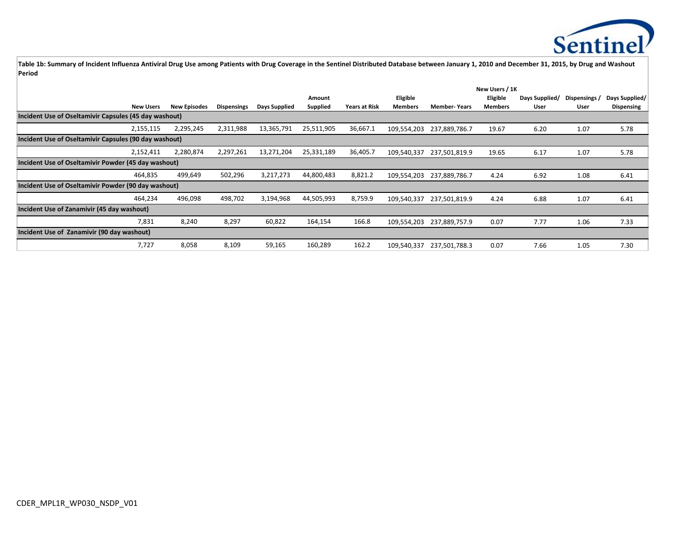

|                                                       |                  |                     |                    |               |            | New Users / 1K       |                |                     |          |                |             |                |
|-------------------------------------------------------|------------------|---------------------|--------------------|---------------|------------|----------------------|----------------|---------------------|----------|----------------|-------------|----------------|
|                                                       |                  |                     |                    |               | Amount     |                      | Eligible       |                     | Eligible | Days Supplied/ | Dispensings | Days Supplied/ |
|                                                       | <b>New Users</b> | <b>New Episodes</b> | <b>Dispensings</b> | Days Supplied | Supplied   | <b>Years at Risk</b> | <b>Members</b> | <b>Member-Years</b> | Members  | User           | User        | Dispensing     |
| Incident Use of Oseltamivir Capsules (45 day washout) |                  |                     |                    |               |            |                      |                |                     |          |                |             |                |
|                                                       | 2,155,115        | 2,295,245           | 2,311,988          | 13,365,791    | 25,511,905 | 36,667.1             | 109,554,203    | 237,889,786.7       | 19.67    | 6.20           | 1.07        | 5.78           |
| Incident Use of Oseltamivir Capsules (90 day washout) |                  |                     |                    |               |            |                      |                |                     |          |                |             |                |
|                                                       | 2,152,411        | 2,280,874           | 2,297,261          | 13,271,204    | 25,331,189 | 36,405.7             | 109,540,337    | 237,501,819.9       | 19.65    | 6.17           | 1.07        | 5.78           |
| Incident Use of Oseltamivir Powder (45 day washout)   |                  |                     |                    |               |            |                      |                |                     |          |                |             |                |
|                                                       | 464,835          | 499,649             | 502,296            | 3,217,273     | 44,800,483 | 8,821.2              | 109,554,203    | 237,889,786.7       | 4.24     | 6.92           | 1.08        | 6.41           |
| Incident Use of Oseltamivir Powder (90 day washout)   |                  |                     |                    |               |            |                      |                |                     |          |                |             |                |
|                                                       | 464,234          | 496,098             | 498,702            | 3,194,968     | 44,505,993 | 8,759.9              | 109,540,337    | 237,501,819.9       | 4.24     | 6.88           | 1.07        | 6.41           |
| Incident Use of Zanamivir (45 day washout)            |                  |                     |                    |               |            |                      |                |                     |          |                |             |                |
|                                                       | 7,831            | 8,240               | 8,297              | 60,822        | 164,154    | 166.8                | 109,554,203    | 237,889,757.9       | 0.07     | 7.77           | 1.06        | 7.33           |
| Incident Use of Zanamivir (90 day washout)            |                  |                     |                    |               |            |                      |                |                     |          |                |             |                |
|                                                       | 7,727            | 8,058               | 8,109              | 59,165        | 160,289    | 162.2                | 109,540,337    | 237,501,788.3       | 0.07     | 7.66           | 1.05        | 7.30           |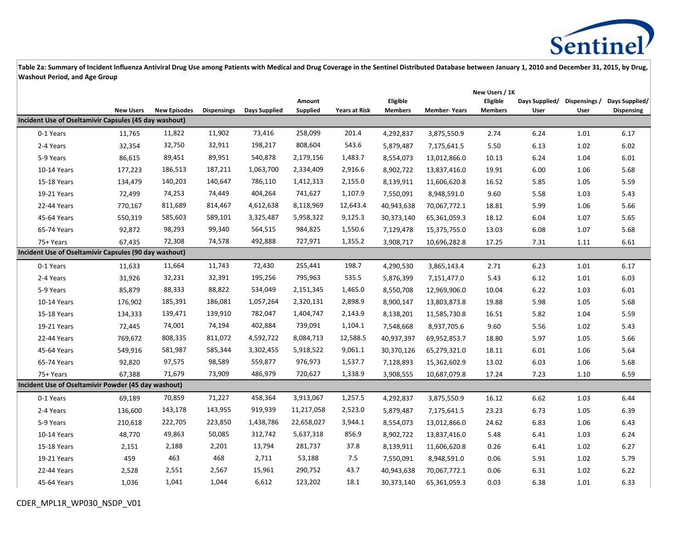

|                                                       |                  |                     |                    |               |                    |                      |                            |                     | New Users / 1K             |                        |                       |                                     |
|-------------------------------------------------------|------------------|---------------------|--------------------|---------------|--------------------|----------------------|----------------------------|---------------------|----------------------------|------------------------|-----------------------|-------------------------------------|
|                                                       | <b>New Users</b> | <b>New Episodes</b> | <b>Dispensings</b> | Days Supplied | Amount<br>Supplied | <b>Years at Risk</b> | Eligible<br><b>Members</b> | <b>Member-Years</b> | Eligible<br><b>Members</b> | Days Supplied/<br>User | Dispensings /<br>User | Days Supplied/<br><b>Dispensing</b> |
| Incident Use of Oseltamivir Capsules (45 day washout) |                  |                     |                    |               |                    |                      |                            |                     |                            |                        |                       |                                     |
| 0-1 Years                                             | 11,765           | 11,822              | 11,902             | 73,416        | 258,099            | 201.4                | 4,292,837                  | 3,875,550.9         | 2.74                       | 6.24                   | 1.01                  | 6.17                                |
| 2-4 Years                                             | 32,354           | 32,750              | 32,911             | 198,217       | 808,604            | 543.6                | 5,879,487                  | 7,175,641.5         | 5.50                       | 6.13                   | 1.02                  | 6.02                                |
| 5-9 Years                                             | 86,615           | 89,451              | 89,951             | 540,878       | 2,179,156          | 1,483.7              | 8,554,073                  | 13,012,866.0        | 10.13                      | 6.24                   | 1.04                  | 6.01                                |
| 10-14 Years                                           | 177,223          | 186,513             | 187,211            | 1,063,700     | 2,334,409          | 2,916.6              | 8,902,722                  | 13,837,416.0        | 19.91                      | 6.00                   | 1.06                  | 5.68                                |
| 15-18 Years                                           | 134,479          | 140,203             | 140,647            | 786,110       | 1,412,313          | 2,155.0              | 8,139,911                  | 11,606,620.8        | 16.52                      | 5.85                   | 1.05                  | 5.59                                |
| 19-21 Years                                           | 72,499           | 74,253              | 74,449             | 404,264       | 741,627            | 1,107.9              | 7,550,091                  | 8,948,591.0         | 9.60                       | 5.58                   | 1.03                  | 5.43                                |
| 22-44 Years                                           | 770,167          | 811,689             | 814,467            | 4,612,638     | 8,118,969          | 12,643.4             | 40,943,638                 | 70,067,772.1        | 18.81                      | 5.99                   | 1.06                  | 5.66                                |
| 45-64 Years                                           | 550,319          | 585,603             | 589,101            | 3,325,487     | 5,958,322          | 9,125.3              | 30,373,140                 | 65,361,059.3        | 18.12                      | 6.04                   | 1.07                  | 5.65                                |
| 65-74 Years                                           | 92,872           | 98,293              | 99,340             | 564,515       | 984,825            | 1,550.6              | 7,129,478                  | 15,375,755.0        | 13.03                      | 6.08                   | 1.07                  | 5.68                                |
| 75+ Years                                             | 67,435           | 72,308              | 74,578             | 492,888       | 727,971            | 1,355.2              | 3,908,717                  | 10,696,282.8        | 17.25                      | 7.31                   | 1.11                  | 6.61                                |
| Incident Use of Oseltamivir Capsules (90 day washout) |                  |                     |                    |               |                    |                      |                            |                     |                            |                        |                       |                                     |
| 0-1 Years                                             | 11,633           | 11,664              | 11,743             | 72,430        | 255,441            | 198.7                | 4,290,530                  | 3,865,143.4         | 2.71                       | 6.23                   | 1.01                  | 6.17                                |
| 2-4 Years                                             | 31,926           | 32,231              | 32,391             | 195,256       | 795,963            | 535.5                | 5,876,399                  | 7,151,477.0         | 5.43                       | 6.12                   | 1.01                  | 6.03                                |
| 5-9 Years                                             | 85,879           | 88,333              | 88,822             | 534,049       | 2,151,345          | 1,465.0              | 8,550,708                  | 12,969,906.0        | 10.04                      | 6.22                   | 1.03                  | 6.01                                |
| 10-14 Years                                           | 176,902          | 185,391             | 186,081            | 1,057,264     | 2,320,131          | 2,898.9              | 8,900,147                  | 13,803,873.8        | 19.88                      | 5.98                   | 1.05                  | 5.68                                |
| 15-18 Years                                           | 134,333          | 139,471             | 139,910            | 782,047       | 1,404,747          | 2,143.9              | 8,138,201                  | 11,585,730.8        | 16.51                      | 5.82                   | 1.04                  | 5.59                                |
| 19-21 Years                                           | 72,445           | 74,001              | 74,194             | 402,884       | 739,091            | 1,104.1              | 7,548,668                  | 8,937,705.6         | 9.60                       | 5.56                   | 1.02                  | 5.43                                |
| 22-44 Years                                           | 769,672          | 808,335             | 811,072            | 4,592,722     | 8,084,713          | 12,588.5             | 40,937,397                 | 69,952,853.7        | 18.80                      | 5.97                   | 1.05                  | 5.66                                |
| 45-64 Years                                           | 549,916          | 581,987             | 585,344            | 3,302,455     | 5,918,522          | 9,061.1              | 30,370,126                 | 65,279,321.0        | 18.11                      | 6.01                   | 1.06                  | 5.64                                |
| 65-74 Years                                           | 92,820           | 97,575              | 98,589             | 559,877       | 976,973            | 1,537.7              | 7,128,893                  | 15,362,602.9        | 13.02                      | 6.03                   | 1.06                  | 5.68                                |
| 75+ Years                                             | 67,388           | 71,679              | 73,909             | 486,979       | 720,627            | 1,338.9              | 3,908,555                  | 10,687,079.8        | 17.24                      | 7.23                   | 1.10                  | 6.59                                |
| Incident Use of Oseltamivir Powder (45 day washout)   |                  |                     |                    |               |                    |                      |                            |                     |                            |                        |                       |                                     |
| 0-1 Years                                             | 69,189           | 70,859              | 71,227             | 458,364       | 3,913,067          | 1,257.5              | 4,292,837                  | 3,875,550.9         | 16.12                      | 6.62                   | 1.03                  | 6.44                                |
| 2-4 Years                                             | 136,600          | 143,178             | 143,955            | 919,939       | 11,217,058         | 2,523.0              | 5,879,487                  | 7,175,641.5         | 23.23                      | 6.73                   | 1.05                  | 6.39                                |
| 5-9 Years                                             | 210,618          | 222,705             | 223,850            | 1,438,786     | 22,658,027         | 3,944.1              | 8,554,073                  | 13,012,866.0        | 24.62                      | 6.83                   | 1.06                  | 6.43                                |
| 10-14 Years                                           | 48,770           | 49,863              | 50,085             | 312,742       | 5,637,318          | 856.9                | 8,902,722                  | 13,837,416.0        | 5.48                       | 6.41                   | 1.03                  | 6.24                                |
| 15-18 Years                                           | 2,151            | 2,188               | 2,201              | 13,794        | 281,737            | 37.8                 | 8,139,911                  | 11,606,620.8        | 0.26                       | 6.41                   | 1.02                  | 6.27                                |
| 19-21 Years                                           | 459              | 463                 | 468                | 2,711         | 53,188             | 7.5                  | 7,550,091                  | 8,948,591.0         | 0.06                       | 5.91                   | $1.02\,$              | 5.79                                |
| 22-44 Years                                           | 2,528            | 2,551               | 2,567              | 15,961        | 290,752            | 43.7                 | 40,943,638                 | 70,067,772.1        | 0.06                       | 6.31                   | 1.02                  | 6.22                                |
| 45-64 Years                                           | 1,036            | 1,041               | 1,044              | 6,612         | 123,202            | 18.1                 | 30,373,140                 | 65,361,059.3        | 0.03                       | 6.38                   | 1.01                  | 6.33                                |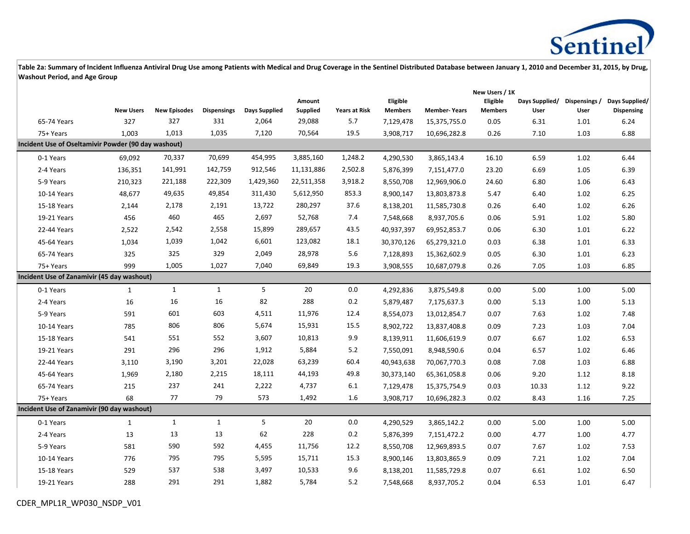

|                                                     |                  |                     |                    |                      |                    | New Users / 1K       |                            |                     |                            |                        |                       |                                     |
|-----------------------------------------------------|------------------|---------------------|--------------------|----------------------|--------------------|----------------------|----------------------------|---------------------|----------------------------|------------------------|-----------------------|-------------------------------------|
|                                                     | <b>New Users</b> | <b>New Episodes</b> | <b>Dispensings</b> | <b>Days Supplied</b> | Amount<br>Supplied | <b>Years at Risk</b> | Eligible<br><b>Members</b> | <b>Member-Years</b> | Eligible<br><b>Members</b> | Days Supplied/<br>User | Dispensings /<br>User | Days Supplied/<br><b>Dispensing</b> |
| 65-74 Years                                         | 327              | 327                 | 331                | 2,064                | 29,088             | 5.7                  | 7,129,478                  | 15,375,755.0        | 0.05                       | 6.31                   | 1.01                  | 6.24                                |
| 75+ Years                                           | 1,003            | 1,013               | 1,035              | 7,120                | 70,564             | 19.5                 | 3,908,717                  | 10,696,282.8        | 0.26                       | 7.10                   | 1.03                  | 6.88                                |
| Incident Use of Oseltamivir Powder (90 day washout) |                  |                     |                    |                      |                    |                      |                            |                     |                            |                        |                       |                                     |
| 0-1 Years                                           | 69,092           | 70,337              | 70,699             | 454,995              | 3,885,160          | 1,248.2              | 4,290,530                  | 3,865,143.4         | 16.10                      | 6.59                   | 1.02                  | 6.44                                |
| 2-4 Years                                           | 136,351          | 141,991             | 142,759            | 912,546              | 11,131,886         | 2,502.8              | 5,876,399                  | 7,151,477.0         | 23.20                      | 6.69                   | 1.05                  | 6.39                                |
| 5-9 Years                                           | 210,323          | 221,188             | 222,309            | 1,429,360            | 22,511,358         | 3,918.2              | 8,550,708                  | 12,969,906.0        | 24.60                      | 6.80                   | 1.06                  | 6.43                                |
| 10-14 Years                                         | 48,677           | 49,635              | 49,854             | 311,430              | 5,612,950          | 853.3                | 8,900,147                  | 13,803,873.8        | 5.47                       | 6.40                   | 1.02                  | 6.25                                |
| 15-18 Years                                         | 2,144            | 2,178               | 2,191              | 13,722               | 280,297            | 37.6                 | 8,138,201                  | 11,585,730.8        | 0.26                       | 6.40                   | 1.02                  | 6.26                                |
| 19-21 Years                                         | 456              | 460                 | 465                | 2,697                | 52,768             | 7.4                  | 7,548,668                  | 8,937,705.6         | 0.06                       | 5.91                   | 1.02                  | 5.80                                |
| 22-44 Years                                         | 2,522            | 2,542               | 2,558              | 15,899               | 289,657            | 43.5                 | 40,937,397                 | 69,952,853.7        | 0.06                       | 6.30                   | 1.01                  | 6.22                                |
| 45-64 Years                                         | 1,034            | 1,039               | 1,042              | 6,601                | 123,082            | 18.1                 | 30,370,126                 | 65,279,321.0        | 0.03                       | 6.38                   | 1.01                  | 6.33                                |
| 65-74 Years                                         | 325              | 325                 | 329                | 2,049                | 28,978             | $5.6$                | 7,128,893                  | 15,362,602.9        | 0.05                       | 6.30                   | 1.01                  | 6.23                                |
| 75+ Years                                           | 999              | 1,005               | 1,027              | 7,040                | 69,849             | 19.3                 | 3,908,555                  | 10,687,079.8        | 0.26                       | 7.05                   | 1.03                  | 6.85                                |
| Incident Use of Zanamivir (45 day washout)          |                  |                     |                    |                      |                    |                      |                            |                     |                            |                        |                       |                                     |
| 0-1 Years                                           | 1                | $\mathbf{1}$        | $\mathbf{1}$       | 5                    | 20                 | $0.0\,$              | 4,292,836                  | 3,875,549.8         | 0.00                       | 5.00                   | 1.00                  | 5.00                                |
| 2-4 Years                                           | 16               | 16                  | 16                 | 82                   | 288                | 0.2                  | 5,879,487                  | 7,175,637.3         | 0.00                       | 5.13                   | 1.00                  | 5.13                                |
| 5-9 Years                                           | 591              | 601                 | 603                | 4,511                | 11,976             | 12.4                 | 8,554,073                  | 13,012,854.7        | 0.07                       | 7.63                   | 1.02                  | 7.48                                |
| 10-14 Years                                         | 785              | 806                 | 806                | 5,674                | 15,931             | 15.5                 | 8,902,722                  | 13,837,408.8        | 0.09                       | 7.23                   | 1.03                  | 7.04                                |
| 15-18 Years                                         | 541              | 551                 | 552                | 3,607                | 10,813             | 9.9                  | 8,139,911                  | 11,606,619.9        | 0.07                       | 6.67                   | 1.02                  | 6.53                                |
| 19-21 Years                                         | 291              | 296                 | 296                | 1,912                | 5,884              | 5.2                  | 7,550,091                  | 8,948,590.6         | 0.04                       | 6.57                   | 1.02                  | 6.46                                |
| 22-44 Years                                         | 3,110            | 3,190               | 3,201              | 22,028               | 63,239             | 60.4                 | 40,943,638                 | 70,067,770.3        | 0.08                       | 7.08                   | 1.03                  | 6.88                                |
| 45-64 Years                                         | 1,969            | 2,180               | 2,215              | 18,111               | 44,193             | 49.8                 | 30,373,140                 | 65,361,058.8        | 0.06                       | 9.20                   | 1.12                  | 8.18                                |
| 65-74 Years                                         | 215              | 237                 | 241                | 2,222                | 4,737              | 6.1                  | 7,129,478                  | 15,375,754.9        | 0.03                       | 10.33                  | 1.12                  | 9.22                                |
| 75+ Years                                           | 68               | 77                  | 79                 | 573                  | 1,492              | 1.6                  | 3,908,717                  | 10,696,282.3        | 0.02                       | 8.43                   | 1.16                  | 7.25                                |
| Incident Use of Zanamivir (90 day washout)          |                  |                     |                    |                      |                    |                      |                            |                     |                            |                        |                       |                                     |
| 0-1 Years                                           | $\mathbf{1}$     | $\mathbf{1}$        | $\mathbf{1}$       | 5                    | 20                 | $0.0\,$              | 4,290,529                  | 3,865,142.2         | 0.00                       | 5.00                   | 1.00                  | 5.00                                |
| 2-4 Years                                           | 13               | 13                  | 13                 | 62                   | 228                | 0.2                  | 5,876,399                  | 7,151,472.2         | 0.00                       | 4.77                   | 1.00                  | 4.77                                |
| 5-9 Years                                           | 581              | 590                 | 592                | 4,455                | 11,756             | 12.2                 | 8,550,708                  | 12,969,893.5        | 0.07                       | 7.67                   | 1.02                  | 7.53                                |
| 10-14 Years                                         | 776              | 795                 | 795                | 5,595                | 15,711             | 15.3                 | 8,900,146                  | 13,803,865.9        | 0.09                       | 7.21                   | 1.02                  | 7.04                                |
| 15-18 Years                                         | 529              | 537                 | 538                | 3,497                | 10,533             | 9.6                  | 8,138,201                  | 11,585,729.8        | 0.07                       | 6.61                   | 1.02                  | 6.50                                |
| 19-21 Years                                         | 288              | 291                 | 291                | 1,882                | 5,784              | 5.2                  | 7,548,668                  | 8,937,705.2         | 0.04                       | 6.53                   | 1.01                  | 6.47                                |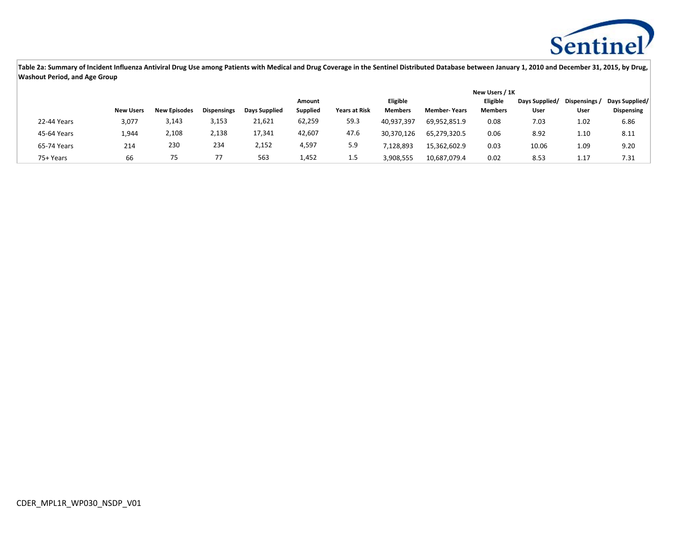

|             |                  |                     |                    |               |                 | New Users / 1K       |                 |                     |                 |                |               |                |  |
|-------------|------------------|---------------------|--------------------|---------------|-----------------|----------------------|-----------------|---------------------|-----------------|----------------|---------------|----------------|--|
|             |                  |                     |                    |               | Amount          |                      | <b>Eligible</b> |                     | <b>Eligible</b> | Days Supplied/ | Dispensings / | Days Supplied/ |  |
|             | <b>New Users</b> | <b>New Episodes</b> | <b>Dispensings</b> | Days Supplied | <b>Supplied</b> | <b>Years at Risk</b> | <b>Members</b>  | <b>Member-Years</b> | <b>Members</b>  | User           | User          | Dispensing     |  |
| 22-44 Years | 3,077            | 3,143               | 3,153              | 21,621        | 62,259          | 59.3                 | 40,937,397      | 69,952,851.9        | 0.08            | 7.03           | 1.02          | 6.86           |  |
| 45-64 Years | 1,944            | 2,108               | 2,138              | 17,341        | 42,607          | 47.6                 | 30,370,126      | 65,279,320.5        | 0.06            | 8.92           | 1.10          | 8.11           |  |
| 65-74 Years | 214              | 230                 | 234                | 2,152         | 4,597           | 5.9                  | 128,893         | 15,362,602.9        | 0.03            | 10.06          | 1.09          | 9.20           |  |
| 75+ Years   | 66               |                     |                    | 563           | 1,452           | ر. 1                 | 3,908,555       | 10,687,079.4        | 0.02            | 8.53           | 1.17          | 7.31           |  |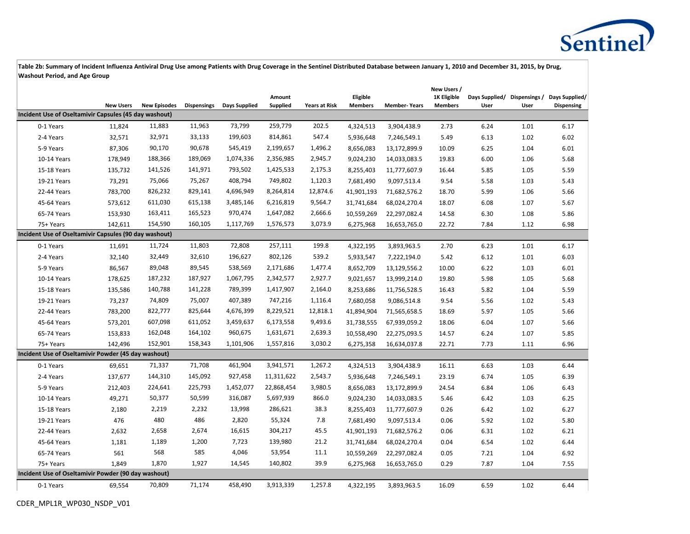

|                                                       |                  |                     |                    |               |            |                      |                |                     | New Users /    |      |      |                                             |
|-------------------------------------------------------|------------------|---------------------|--------------------|---------------|------------|----------------------|----------------|---------------------|----------------|------|------|---------------------------------------------|
|                                                       |                  |                     |                    |               | Amount     |                      | Eligible       |                     | 1K Eligible    |      |      | Days Supplied/ Dispensings / Days Supplied/ |
| Incident Use of Oseltamivir Capsules (45 day washout) | <b>New Users</b> | <b>New Episodes</b> | <b>Dispensings</b> | Days Supplied | Supplied   | <b>Years at Risk</b> | <b>Members</b> | <b>Member-Years</b> | <b>Members</b> | User | User | <b>Dispensing</b>                           |
| 0-1 Years                                             | 11,824           | 11,883              | 11,963             | 73,799        | 259,779    | 202.5                | 4,324,513      | 3,904,438.9         | 2.73           | 6.24 | 1.01 | 6.17                                        |
| 2-4 Years                                             | 32,571           | 32,971              | 33,133             | 199,603       | 814,861    | 547.4                | 5,936,648      | 7,246,549.1         | 5.49           | 6.13 | 1.02 | 6.02                                        |
| 5-9 Years                                             | 87,306           | 90,170              | 90,678             | 545,419       | 2,199,657  | 1,496.2              | 8,656,083      | 13,172,899.9        | 10.09          | 6.25 | 1.04 | 6.01                                        |
| 10-14 Years                                           | 178,949          | 188,366             | 189,069            | 1,074,336     | 2,356,985  | 2,945.7              | 9,024,230      | 14,033,083.5        | 19.83          | 6.00 | 1.06 | 5.68                                        |
| 15-18 Years                                           | 135,732          | 141,526             | 141,971            | 793,502       | 1,425,533  | 2,175.3              | 8,255,403      | 11,777,607.9        | 16.44          | 5.85 | 1.05 | 5.59                                        |
| 19-21 Years                                           | 73,291           | 75,066              | 75,267             | 408,794       | 749,802    | 1,120.3              | 7,681,490      | 9,097,513.4         | 9.54           | 5.58 | 1.03 | 5.43                                        |
| 22-44 Years                                           | 783,700          | 826,232             | 829,141            | 4,696,949     | 8,264,814  | 12,874.6             | 41,901,193     | 71,682,576.2        | 18.70          | 5.99 | 1.06 | 5.66                                        |
| 45-64 Years                                           | 573,612          | 611,030             | 615,138            | 3,485,146     | 6,216,819  | 9,564.7              | 31,741,684     | 68,024,270.4        | 18.07          | 6.08 | 1.07 | 5.67                                        |
| 65-74 Years                                           | 153,930          | 163,411             | 165,523            | 970,474       | 1,647,082  | 2,666.6              | 10,559,269     | 22,297,082.4        | 14.58          | 6.30 | 1.08 | 5.86                                        |
| 75+ Years                                             | 142,611          | 154,590             | 160,105            | 1,117,769     | 1,576,573  | 3,073.9              | 6,275,968      | 16,653,765.0        | 22.72          | 7.84 | 1.12 | 6.98                                        |
| Incident Use of Oseltamivir Capsules (90 day washout) |                  |                     |                    |               |            |                      |                |                     |                |      |      |                                             |
| 0-1 Years                                             | 11,691           | 11,724              | 11,803             | 72,808        | 257,111    | 199.8                | 4,322,195      | 3,893,963.5         | 2.70           | 6.23 | 1.01 | 6.17                                        |
| 2-4 Years                                             | 32,140           | 32,449              | 32,610             | 196,627       | 802,126    | 539.2                | 5,933,547      | 7,222,194.0         | 5.42           | 6.12 | 1.01 | 6.03                                        |
| 5-9 Years                                             | 86,567           | 89,048              | 89,545             | 538,569       | 2,171,686  | 1,477.4              | 8,652,709      | 13,129,556.2        | 10.00          | 6.22 | 1.03 | 6.01                                        |
| 10-14 Years                                           | 178,625          | 187,232             | 187,927            | 1,067,795     | 2,342,577  | 2,927.7              | 9,021,657      | 13,999,214.0        | 19.80          | 5.98 | 1.05 | 5.68                                        |
| 15-18 Years                                           | 135,586          | 140,788             | 141,228            | 789,399       | 1,417,907  | 2,164.0              | 8,253,686      | 11,756,528.5        | 16.43          | 5.82 | 1.04 | 5.59                                        |
| 19-21 Years                                           | 73,237           | 74,809              | 75,007             | 407,389       | 747,216    | 1,116.4              | 7,680,058      | 9,086,514.8         | 9.54           | 5.56 | 1.02 | 5.43                                        |
| 22-44 Years                                           | 783,200          | 822,777             | 825,644            | 4,676,399     | 8,229,521  | 12,818.1             | 41,894,904     | 71,565,658.5        | 18.69          | 5.97 | 1.05 | 5.66                                        |
| 45-64 Years                                           | 573,201          | 607,098             | 611,052            | 3,459,637     | 6,173,558  | 9,493.6              | 31,738,555     | 67,939,059.2        | 18.06          | 6.04 | 1.07 | 5.66                                        |
| 65-74 Years                                           | 153,833          | 162,048             | 164,102            | 960,675       | 1,631,671  | 2,639.3              | 10,558,490     | 22,275,093.5        | 14.57          | 6.24 | 1.07 | 5.85                                        |
| 75+ Years                                             | 142,496          | 152,901             | 158,343            | 1,101,906     | 1,557,816  | 3,030.2              | 6,275,358      | 16,634,037.8        | 22.71          | 7.73 | 1.11 | 6.96                                        |
| Incident Use of Oseltamivir Powder (45 day washout)   |                  |                     |                    |               |            |                      |                |                     |                |      |      |                                             |
| 0-1 Years                                             | 69,651           | 71,337              | 71,708             | 461,904       | 3,941,571  | 1,267.2              | 4,324,513      | 3,904,438.9         | 16.11          | 6.63 | 1.03 | 6.44                                        |
| 2-4 Years                                             | 137,677          | 144,310             | 145,092            | 927,458       | 11,311,622 | 2,543.7              | 5,936,648      | 7,246,549.1         | 23.19          | 6.74 | 1.05 | 6.39                                        |
| 5-9 Years                                             | 212,403          | 224,641             | 225,793            | 1,452,077     | 22,868,454 | 3,980.5              | 8,656,083      | 13,172,899.9        | 24.54          | 6.84 | 1.06 | 6.43                                        |
| 10-14 Years                                           | 49,271           | 50,377              | 50,599             | 316,087       | 5,697,939  | 866.0                | 9,024,230      | 14,033,083.5        | 5.46           | 6.42 | 1.03 | 6.25                                        |
| 15-18 Years                                           | 2,180            | 2,219               | 2,232              | 13,998        | 286,621    | 38.3                 | 8,255,403      | 11,777,607.9        | 0.26           | 6.42 | 1.02 | 6.27                                        |
| 19-21 Years                                           | 476              | 480                 | 486                | 2,820         | 55,324     | 7.8                  | 7,681,490      | 9,097,513.4         | 0.06           | 5.92 | 1.02 | 5.80                                        |
| 22-44 Years                                           | 2,632            | 2,658               | 2,674              | 16,615        | 304,217    | 45.5                 | 41,901,193     | 71,682,576.2        | 0.06           | 6.31 | 1.02 | 6.21                                        |
| 45-64 Years                                           | 1,181            | 1,189               | 1,200              | 7,723         | 139,980    | 21.2                 | 31,741,684     | 68,024,270.4        | 0.04           | 6.54 | 1.02 | 6.44                                        |
| 65-74 Years                                           | 561              | 568                 | 585                | 4,046         | 53,954     | 11.1                 | 10,559,269     | 22,297,082.4        | 0.05           | 7.21 | 1.04 | 6.92                                        |
| 75+ Years                                             | 1,849            | 1,870               | 1,927              | 14,545        | 140,802    | 39.9                 | 6,275,968      | 16,653,765.0        | 0.29           | 7.87 | 1.04 | 7.55                                        |
| Incident Use of Oseltamivir Powder (90 day washout)   |                  |                     |                    |               |            |                      |                |                     |                |      |      |                                             |
| 0-1 Years                                             | 69,554           | 70,809              | 71,174             | 458,490       | 3,913,339  | 1,257.8              | 4,322,195      | 3,893,963.5         | 16.09          | 6.59 | 1.02 | 6.44                                        |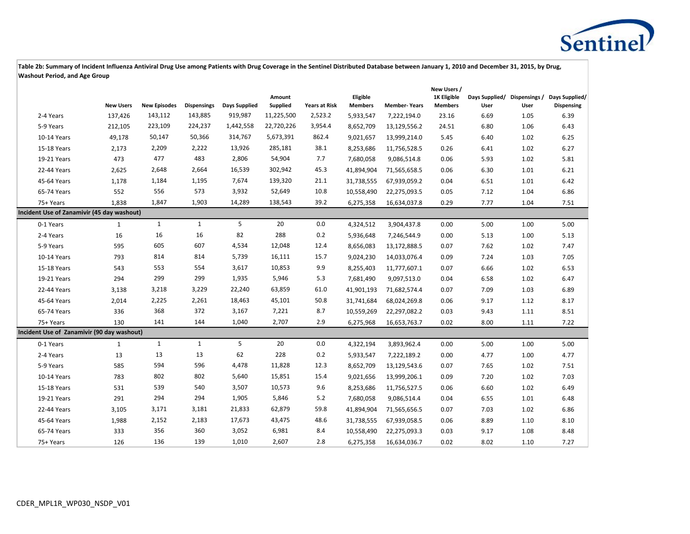

|                                            |                  |                     |                    |               |                    |                      |                            |                     | New Users /                   |                        |                       |                                     |
|--------------------------------------------|------------------|---------------------|--------------------|---------------|--------------------|----------------------|----------------------------|---------------------|-------------------------------|------------------------|-----------------------|-------------------------------------|
|                                            | <b>New Users</b> | <b>New Episodes</b> | <b>Dispensings</b> | Days Supplied | Amount<br>Supplied | <b>Years at Risk</b> | Eligible<br><b>Members</b> | <b>Member-Years</b> | 1K Eligible<br><b>Members</b> | Days Supplied/<br>User | Dispensings /<br>User | Days Supplied/<br><b>Dispensing</b> |
| 2-4 Years                                  | 137,426          | 143,112             | 143,885            | 919,987       | 11,225,500         | 2,523.2              | 5,933,547                  | 7,222,194.0         | 23.16                         | 6.69                   | 1.05                  | 6.39                                |
| 5-9 Years                                  | 212,105          | 223,109             | 224,237            | 1,442,558     | 22,720,226         | 3,954.4              | 8,652,709                  | 13,129,556.2        | 24.51                         | 6.80                   | 1.06                  | 6.43                                |
| 10-14 Years                                | 49,178           | 50,147              | 50,366             | 314,767       | 5,673,391          | 862.4                | 9,021,657                  | 13,999,214.0        | 5.45                          | 6.40                   | 1.02                  | 6.25                                |
| 15-18 Years                                | 2,173            | 2,209               | 2,222              | 13,926        | 285,181            | 38.1                 | 8,253,686                  | 11,756,528.5        | 0.26                          | 6.41                   | 1.02                  | 6.27                                |
| 19-21 Years                                | 473              | 477                 | 483                | 2,806         | 54,904             | 7.7                  | 7,680,058                  | 9,086,514.8         | 0.06                          | 5.93                   | 1.02                  | 5.81                                |
| 22-44 Years                                | 2,625            | 2,648               | 2,664              | 16,539        | 302,942            | 45.3                 | 41,894,904                 | 71,565,658.5        | 0.06                          | 6.30                   | 1.01                  | 6.21                                |
| 45-64 Years                                | 1,178            | 1,184               | 1,195              | 7,674         | 139,320            | 21.1                 | 31,738,555                 | 67,939,059.2        | 0.04                          | 6.51                   | 1.01                  | 6.42                                |
| 65-74 Years                                | 552              | 556                 | 573                | 3,932         | 52,649             | 10.8                 | 10,558,490                 | 22,275,093.5        | 0.05                          | 7.12                   | 1.04                  | 6.86                                |
| 75+ Years                                  | 1,838            | 1,847               | 1,903              | 14,289        | 138,543            | 39.2                 | 6,275,358                  | 16,634,037.8        | 0.29                          | 7.77                   | 1.04                  | 7.51                                |
| Incident Use of Zanamivir (45 day washout) |                  |                     |                    |               |                    |                      |                            |                     |                               |                        |                       |                                     |
| 0-1 Years                                  | $\mathbf{1}$     | $\mathbf{1}$        | $\mathbf{1}$       | 5             | 20                 | $0.0\,$              | 4,324,512                  | 3,904,437.8         | 0.00                          | 5.00                   | 1.00                  | 5.00                                |
| 2-4 Years                                  | 16               | 16                  | 16                 | 82            | 288                | 0.2                  | 5,936,648                  | 7,246,544.9         | 0.00                          | 5.13                   | 1.00                  | 5.13                                |
| 5-9 Years                                  | 595              | 605                 | 607                | 4,534         | 12,048             | 12.4                 | 8,656,083                  | 13,172,888.5        | 0.07                          | 7.62                   | 1.02                  | 7.47                                |
| 10-14 Years                                | 793              | 814                 | 814                | 5,739         | 16,111             | 15.7                 | 9,024,230                  | 14,033,076.4        | 0.09                          | 7.24                   | 1.03                  | 7.05                                |
| 15-18 Years                                | 543              | 553                 | 554                | 3,617         | 10,853             | 9.9                  | 8,255,403                  | 11,777,607.1        | 0.07                          | 6.66                   | 1.02                  | 6.53                                |
| 19-21 Years                                | 294              | 299                 | 299                | 1,935         | 5,946              | 5.3                  | 7,681,490                  | 9,097,513.0         | 0.04                          | 6.58                   | 1.02                  | 6.47                                |
| 22-44 Years                                | 3,138            | 3,218               | 3,229              | 22,240        | 63,859             | 61.0                 | 41,901,193                 | 71,682,574.4        | 0.07                          | 7.09                   | 1.03                  | 6.89                                |
| 45-64 Years                                | 2,014            | 2,225               | 2,261              | 18,463        | 45,101             | 50.8                 | 31,741,684                 | 68,024,269.8        | 0.06                          | 9.17                   | 1.12                  | 8.17                                |
| 65-74 Years                                | 336              | 368                 | 372                | 3,167         | 7,221              | 8.7                  | 10,559,269                 | 22,297,082.2        | 0.03                          | 9.43                   | 1.11                  | 8.51                                |
| 75+ Years                                  | 130              | 141                 | 144                | 1,040         | 2,707              | 2.9                  | 6,275,968                  | 16,653,763.7        | 0.02                          | 8.00                   | 1.11                  | 7.22                                |
| Incident Use of Zanamivir (90 day washout) |                  |                     |                    |               |                    |                      |                            |                     |                               |                        |                       |                                     |
| 0-1 Years                                  | $\mathbf{1}$     | $\mathbf{1}$        | $\mathbf{1}$       | 5             | 20                 | 0.0                  | 4,322,194                  | 3,893,962.4         | 0.00                          | 5.00                   | 1.00                  | 5.00                                |
| 2-4 Years                                  | 13               | 13                  | 13                 | 62            | 228                | 0.2                  | 5,933,547                  | 7,222,189.2         | 0.00                          | 4.77                   | 1.00                  | 4.77                                |
| 5-9 Years                                  | 585              | 594                 | 596                | 4,478         | 11,828             | 12.3                 | 8,652,709                  | 13,129,543.6        | 0.07                          | 7.65                   | 1.02                  | 7.51                                |
| 10-14 Years                                | 783              | 802                 | 802                | 5,640         | 15,851             | 15.4                 | 9,021,656                  | 13,999,206.1        | 0.09                          | 7.20                   | 1.02                  | 7.03                                |
| 15-18 Years                                | 531              | 539                 | 540                | 3,507         | 10,573             | 9.6                  | 8,253,686                  | 11,756,527.5        | 0.06                          | 6.60                   | 1.02                  | 6.49                                |
| 19-21 Years                                | 291              | 294                 | 294                | 1,905         | 5,846              | 5.2                  | 7,680,058                  | 9,086,514.4         | 0.04                          | 6.55                   | 1.01                  | 6.48                                |
| 22-44 Years                                | 3,105            | 3,171               | 3,181              | 21,833        | 62,879             | 59.8                 | 41,894,904                 | 71,565,656.5        | 0.07                          | 7.03                   | 1.02                  | 6.86                                |
| 45-64 Years                                | 1,988            | 2,152               | 2,183              | 17,673        | 43,475             | 48.6                 | 31,738,555                 | 67,939,058.5        | 0.06                          | 8.89                   | 1.10                  | 8.10                                |
| 65-74 Years                                | 333              | 356                 | 360                | 3,052         | 6,981              | 8.4                  | 10,558,490                 | 22,275,093.3        | 0.03                          | 9.17                   | 1.08                  | 8.48                                |
| 75+ Years                                  | 126              | 136                 | 139                | 1.010         | 2,607              | 2.8                  | 6,275,358                  | 16,634,036.7        | 0.02                          | 8.02                   | 1.10                  | 7.27                                |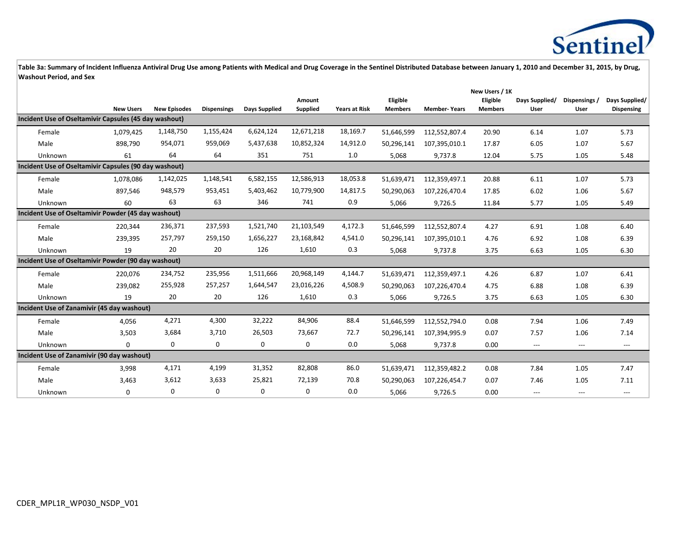

|                                                       |                  |                     |                    |               |                    |                      | New Users / 1K             |                     |                            |                        |                       |                                     |
|-------------------------------------------------------|------------------|---------------------|--------------------|---------------|--------------------|----------------------|----------------------------|---------------------|----------------------------|------------------------|-----------------------|-------------------------------------|
|                                                       | <b>New Users</b> | <b>New Episodes</b> | <b>Dispensings</b> | Days Supplied | Amount<br>Supplied | <b>Years at Risk</b> | Eligible<br><b>Members</b> | <b>Member-Years</b> | Eligible<br><b>Members</b> | Days Supplied/<br>User | Dispensings /<br>User | Days Supplied/<br><b>Dispensing</b> |
| Incident Use of Oseltamivir Capsules (45 day washout) |                  |                     |                    |               |                    |                      |                            |                     |                            |                        |                       |                                     |
| Female                                                | 1,079,425        | 1,148,750           | 1,155,424          | 6,624,124     | 12,671,218         | 18,169.7             | 51,646,599                 | 112,552,807.4       | 20.90                      | 6.14                   | 1.07                  | 5.73                                |
| Male                                                  | 898,790          | 954,071             | 959,069            | 5,437,638     | 10,852,324         | 14,912.0             | 50,296,141                 | 107,395,010.1       | 17.87                      | 6.05                   | 1.07                  | 5.67                                |
| Unknown                                               | 61               | 64                  | 64                 | 351           | 751                | 1.0                  | 5,068                      | 9,737.8             | 12.04                      | 5.75                   | 1.05                  | 5.48                                |
| Incident Use of Oseltamivir Capsules (90 day washout) |                  |                     |                    |               |                    |                      |                            |                     |                            |                        |                       |                                     |
| Female                                                | 1,078,086        | 1,142,025           | 1,148,541          | 6,582,155     | 12,586,913         | 18,053.8             | 51,639,471                 | 112,359,497.1       | 20.88                      | 6.11                   | 1.07                  | 5.73                                |
| Male                                                  | 897,546          | 948,579             | 953,451            | 5,403,462     | 10,779,900         | 14,817.5             | 50,290,063                 | 107,226,470.4       | 17.85                      | 6.02                   | 1.06                  | 5.67                                |
| Unknown                                               | 60               | 63                  | 63                 | 346           | 741                | 0.9                  | 5,066                      | 9,726.5             | 11.84                      | 5.77                   | 1.05                  | 5.49                                |
| Incident Use of Oseltamivir Powder (45 day washout)   |                  |                     |                    |               |                    |                      |                            |                     |                            |                        |                       |                                     |
| Female                                                | 220,344          | 236,371             | 237,593            | 1,521,740     | 21,103,549         | 4,172.3              | 51,646,599                 | 112,552,807.4       | 4.27                       | 6.91                   | 1.08                  | 6.40                                |
| Male                                                  | 239,395          | 257,797             | 259,150            | 1,656,227     | 23,168,842         | 4,541.0              | 50,296,141                 | 107,395,010.1       | 4.76                       | 6.92                   | 1.08                  | 6.39                                |
| Unknown                                               | 19               | 20                  | 20                 | 126           | 1,610              | 0.3                  | 5,068                      | 9,737.8             | 3.75                       | 6.63                   | 1.05                  | 6.30                                |
| Incident Use of Oseltamivir Powder (90 day washout)   |                  |                     |                    |               |                    |                      |                            |                     |                            |                        |                       |                                     |
| Female                                                | 220,076          | 234,752             | 235,956            | 1,511,666     | 20,968,149         | 4,144.7              | 51,639,471                 | 112,359,497.1       | 4.26                       | 6.87                   | 1.07                  | 6.41                                |
| Male                                                  | 239,082          | 255,928             | 257,257            | 1,644,547     | 23,016,226         | 4,508.9              | 50,290,063                 | 107,226,470.4       | 4.75                       | 6.88                   | 1.08                  | 6.39                                |
| Unknown                                               | 19               | 20                  | 20                 | 126           | 1,610              | 0.3                  | 5,066                      | 9,726.5             | 3.75                       | 6.63                   | 1.05                  | 6.30                                |
| Incident Use of Zanamivir (45 day washout)            |                  |                     |                    |               |                    |                      |                            |                     |                            |                        |                       |                                     |
| Female                                                | 4,056            | 4,271               | 4,300              | 32,222        | 84,906             | 88.4                 | 51,646,599                 | 112,552,794.0       | 0.08                       | 7.94                   | 1.06                  | 7.49                                |
| Male                                                  | 3,503            | 3,684               | 3,710              | 26,503        | 73,667             | 72.7                 | 50,296,141                 | 107,394,995.9       | 0.07                       | 7.57                   | 1.06                  | 7.14                                |
| Unknown                                               | $\mathbf 0$      | 0                   | 0                  | 0             | $\mathbf 0$        | 0.0                  | 5,068                      | 9,737.8             | 0.00                       | $\qquad \qquad -$      | ---                   | $---$                               |
| Incident Use of Zanamivir (90 day washout)            |                  |                     |                    |               |                    |                      |                            |                     |                            |                        |                       |                                     |
| Female                                                | 3,998            | 4,171               | 4,199              | 31,352        | 82,808             | 86.0                 | 51,639,471                 | 112,359,482.2       | 0.08                       | 7.84                   | 1.05                  | 7.47                                |
| Male                                                  | 3.463            | 3,612               | 3,633              | 25,821        | 72,139             | 70.8                 | 50,290,063                 | 107,226,454.7       | 0.07                       | 7.46                   | 1.05                  | 7.11                                |
| Unknown                                               | $\mathbf 0$      | 0                   | 0                  | $\mathbf 0$   | 0                  | 0.0                  | 5,066                      | 9,726.5             | 0.00                       | $---$                  | ---                   | ---                                 |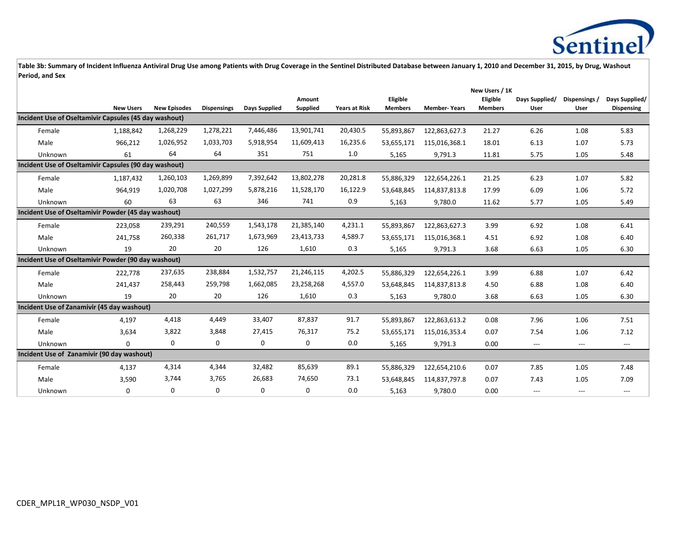

|                                                       |                  |                     |                    |                      |                 |                      |                |                     | New Users / 1K |                |                                          |                   |
|-------------------------------------------------------|------------------|---------------------|--------------------|----------------------|-----------------|----------------------|----------------|---------------------|----------------|----------------|------------------------------------------|-------------------|
|                                                       |                  |                     |                    |                      | Amount          |                      | Eligible       |                     | Eligible       | Days Supplied/ | Dispensings /                            | Days Supplied/    |
|                                                       | <b>New Users</b> | <b>New Episodes</b> | <b>Dispensings</b> | <b>Days Supplied</b> | <b>Supplied</b> | <b>Years at Risk</b> | <b>Members</b> | <b>Member-Years</b> | <b>Members</b> | User           | User                                     | <b>Dispensing</b> |
| Incident Use of Oseltamivir Capsules (45 day washout) |                  |                     |                    |                      |                 |                      |                |                     |                |                |                                          |                   |
| Female                                                | 1,188,842        | 1,268,229           | 1,278,221          | 7,446,486            | 13,901,741      | 20,430.5             | 55,893,867     | 122,863,627.3       | 21.27          | 6.26           | 1.08                                     | 5.83              |
| Male                                                  | 966,212          | 1,026,952           | 1,033,703          | 5,918,954            | 11,609,413      | 16,235.6             | 53,655,171     | 115,016,368.1       | 18.01          | 6.13           | 1.07                                     | 5.73              |
| Unknown                                               | 61               | 64                  | 64                 | 351                  | 751             | 1.0                  | 5,165          | 9,791.3             | 11.81          | 5.75           | 1.05                                     | 5.48              |
| Incident Use of Oseltamivir Capsules (90 day washout) |                  |                     |                    |                      |                 |                      |                |                     |                |                |                                          |                   |
| Female                                                | 1,187,432        | 1,260,103           | 1,269,899          | 7,392,642            | 13,802,278      | 20,281.8             | 55,886,329     | 122,654,226.1       | 21.25          | 6.23           | 1.07                                     | 5.82              |
| Male                                                  | 964,919          | 1,020,708           | 1,027,299          | 5,878,216            | 11,528,170      | 16,122.9             | 53,648,845     | 114,837,813.8       | 17.99          | 6.09           | 1.06                                     | 5.72              |
| Unknown                                               | 60               | 63                  | 63                 | 346                  | 741             | 0.9                  | 5,163          | 9,780.0             | 11.62          | 5.77           | 1.05                                     | 5.49              |
| Incident Use of Oseltamivir Powder (45 day washout)   |                  |                     |                    |                      |                 |                      |                |                     |                |                |                                          |                   |
| Female                                                | 223,058          | 239,291             | 240,559            | 1,543,178            | 21,385,140      | 4,231.1              | 55,893,867     | 122,863,627.3       | 3.99           | 6.92           | 1.08                                     | 6.41              |
| Male                                                  | 241,758          | 260,338             | 261,717            | 1,673,969            | 23,413,733      | 4,589.7              | 53,655,171     | 115,016,368.1       | 4.51           | 6.92           | 1.08                                     | 6.40              |
| Unknown                                               | 19               | 20                  | 20                 | 126                  | 1,610           | 0.3                  | 5,165          | 9,791.3             | 3.68           | 6.63           | 1.05                                     | 6.30              |
| Incident Use of Oseltamivir Powder (90 day washout)   |                  |                     |                    |                      |                 |                      |                |                     |                |                |                                          |                   |
| Female                                                | 222,778          | 237,635             | 238,884            | 1,532,757            | 21,246,115      | 4,202.5              | 55,886,329     | 122,654,226.1       | 3.99           | 6.88           | 1.07                                     | 6.42              |
| Male                                                  | 241,437          | 258,443             | 259,798            | 1,662,085            | 23,258,268      | 4,557.0              | 53,648,845     | 114,837,813.8       | 4.50           | 6.88           | 1.08                                     | 6.40              |
| Unknown                                               | 19               | 20                  | 20                 | 126                  | 1,610           | 0.3                  | 5,163          | 9,780.0             | 3.68           | 6.63           | 1.05                                     | 6.30              |
| Incident Use of Zanamivir (45 day washout)            |                  |                     |                    |                      |                 |                      |                |                     |                |                |                                          |                   |
| Female                                                | 4,197            | 4,418               | 4,449              | 33,407               | 87,837          | 91.7                 | 55,893,867     | 122,863,613.2       | 0.08           | 7.96           | 1.06                                     | 7.51              |
| Male                                                  | 3,634            | 3,822               | 3,848              | 27,415               | 76,317          | 75.2                 | 53,655,171     | 115,016,353.4       | 0.07           | 7.54           | 1.06                                     | 7.12              |
| Unknown                                               | $\mathbf 0$      | 0                   | 0                  | $\mathbf 0$          | 0               | 0.0                  | 5,165          | 9,791.3             | 0.00           | ---            | $\hspace{0.05cm} \ldots \hspace{0.05cm}$ | $---$             |
| Incident Use of Zanamivir (90 day washout)            |                  |                     |                    |                      |                 |                      |                |                     |                |                |                                          |                   |
| Female                                                | 4,137            | 4,314               | 4,344              | 32,482               | 85,639          | 89.1                 | 55,886,329     | 122,654,210.6       | 0.07           | 7.85           | 1.05                                     | 7.48              |
| Male                                                  | 3,590            | 3,744               | 3,765              | 26,683               | 74,650          | 73.1                 | 53,648,845     | 114,837,797.8       | 0.07           | 7.43           | 1.05                                     | 7.09              |
| Unknown                                               | $\mathbf 0$      | 0                   | $\Omega$           | $\mathbf 0$          | 0               | 0.0                  | 5,163          | 9,780.0             | 0.00           | $\overline{a}$ | $---$                                    | ---               |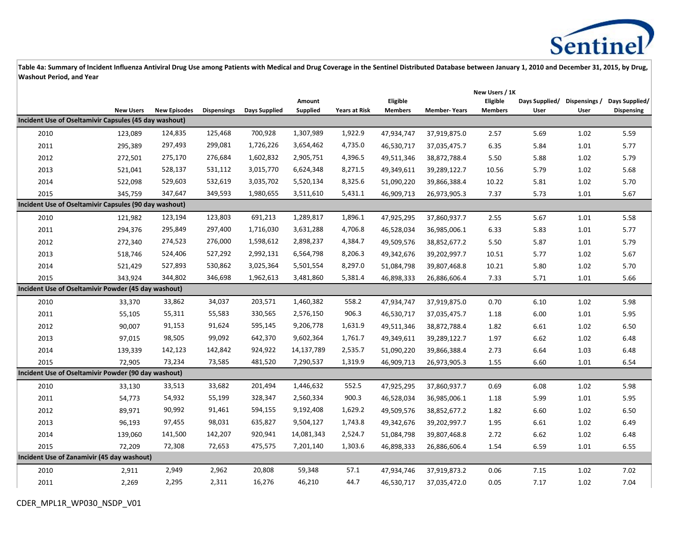

|                                                       |                  |                     |                    |               |            |                      | New Users / 1K |                     |                |                |               |                   |  |
|-------------------------------------------------------|------------------|---------------------|--------------------|---------------|------------|----------------------|----------------|---------------------|----------------|----------------|---------------|-------------------|--|
|                                                       |                  |                     |                    |               | Amount     |                      | Eligible       |                     | Eligible       | Days Supplied/ | Dispensings / | Days Supplied/    |  |
| Incident Use of Oseltamivir Capsules (45 day washout) | <b>New Users</b> | <b>New Episodes</b> | <b>Dispensings</b> | Days Supplied | Supplied   | <b>Years at Risk</b> | <b>Members</b> | <b>Member-Years</b> | <b>Members</b> | User           | User          | <b>Dispensing</b> |  |
|                                                       |                  |                     |                    |               |            |                      |                |                     |                |                |               |                   |  |
| 2010                                                  | 123,089          | 124,835             | 125,468            | 700,928       | 1,307,989  | 1,922.9              | 47,934,747     | 37,919,875.0        | 2.57           | 5.69           | 1.02          | 5.59              |  |
| 2011                                                  | 295,389          | 297,493             | 299,081            | 1,726,226     | 3,654,462  | 4,735.0              | 46,530,717     | 37,035,475.7        | 6.35           | 5.84           | 1.01          | 5.77              |  |
| 2012                                                  | 272,501          | 275,170             | 276,684            | 1,602,832     | 2,905,751  | 4,396.5              | 49,511,346     | 38,872,788.4        | 5.50           | 5.88           | 1.02          | 5.79              |  |
| 2013                                                  | 521,041          | 528,137             | 531,112            | 3,015,770     | 6,624,348  | 8,271.5              | 49,349,611     | 39,289,122.7        | 10.56          | 5.79           | 1.02          | 5.68              |  |
| 2014                                                  | 522,098          | 529,603             | 532,619            | 3,035,702     | 5,520,134  | 8,325.6              | 51,090,220     | 39,866,388.4        | 10.22          | 5.81           | 1.02          | 5.70              |  |
| 2015                                                  | 345,759          | 347,647             | 349,593            | 1,980,655     | 3,511,610  | 5,431.1              | 46,909,713     | 26,973,905.3        | 7.37           | 5.73           | 1.01          | 5.67              |  |
| Incident Use of Oseltamivir Capsules (90 day washout) |                  |                     |                    |               |            |                      |                |                     |                |                |               |                   |  |
| 2010                                                  | 121,982          | 123,194             | 123,803            | 691,213       | 1,289,817  | 1,896.1              | 47,925,295     | 37,860,937.7        | 2.55           | 5.67           | 1.01          | 5.58              |  |
| 2011                                                  | 294,376          | 295,849             | 297,400            | 1,716,030     | 3,631,288  | 4,706.8              | 46,528,034     | 36,985,006.1        | 6.33           | 5.83           | 1.01          | 5.77              |  |
| 2012                                                  | 272,340          | 274,523             | 276,000            | 1,598,612     | 2,898,237  | 4,384.7              | 49,509,576     | 38,852,677.2        | 5.50           | 5.87           | 1.01          | 5.79              |  |
| 2013                                                  | 518,746          | 524,406             | 527,292            | 2,992,131     | 6,564,798  | 8,206.3              | 49,342,676     | 39,202,997.7        | 10.51          | 5.77           | 1.02          | 5.67              |  |
| 2014                                                  | 521,429          | 527,893             | 530,862            | 3,025,364     | 5,501,554  | 8,297.0              | 51,084,798     | 39,807,468.8        | 10.21          | 5.80           | 1.02          | 5.70              |  |
| 2015                                                  | 343,924          | 344,802             | 346,698            | 1,962,613     | 3,481,860  | 5,381.4              | 46,898,333     | 26,886,606.4        | 7.33           | 5.71           | 1.01          | 5.66              |  |
| Incident Use of Oseltamivir Powder (45 day washout)   |                  |                     |                    |               |            |                      |                |                     |                |                |               |                   |  |
| 2010                                                  | 33,370           | 33,862              | 34,037             | 203,571       | 1,460,382  | 558.2                | 47,934,747     | 37,919,875.0        | 0.70           | 6.10           | 1.02          | 5.98              |  |
| 2011                                                  | 55,105           | 55,311              | 55,583             | 330,565       | 2,576,150  | 906.3                | 46,530,717     | 37,035,475.7        | 1.18           | 6.00           | 1.01          | 5.95              |  |
| 2012                                                  | 90,007           | 91,153              | 91,624             | 595,145       | 9,206,778  | 1,631.9              | 49,511,346     | 38,872,788.4        | 1.82           | 6.61           | 1.02          | 6.50              |  |
| 2013                                                  | 97,015           | 98,505              | 99,092             | 642,370       | 9,602,364  | 1,761.7              | 49,349,611     | 39,289,122.7        | 1.97           | 6.62           | 1.02          | 6.48              |  |
| 2014                                                  | 139,339          | 142,123             | 142,842            | 924,922       | 14,137,789 | 2,535.7              | 51,090,220     | 39,866,388.4        | 2.73           | 6.64           | 1.03          | 6.48              |  |
| 2015                                                  | 72,905           | 73,234              | 73,585             | 481,520       | 7,290,537  | 1,319.9              | 46,909,713     | 26,973,905.3        | 1.55           | 6.60           | 1.01          | 6.54              |  |
| Incident Use of Oseltamivir Powder (90 day washout)   |                  |                     |                    |               |            |                      |                |                     |                |                |               |                   |  |
| 2010                                                  | 33,130           | 33,513              | 33,682             | 201,494       | 1,446,632  | 552.5                | 47,925,295     | 37,860,937.7        | 0.69           | 6.08           | 1.02          | 5.98              |  |
| 2011                                                  | 54,773           | 54,932              | 55,199             | 328,347       | 2,560,334  | 900.3                | 46,528,034     | 36,985,006.1        | 1.18           | 5.99           | 1.01          | 5.95              |  |
| 2012                                                  | 89,971           | 90,992              | 91,461             | 594,155       | 9,192,408  | 1,629.2              | 49,509,576     | 38,852,677.2        | 1.82           | 6.60           | 1.02          | 6.50              |  |
| 2013                                                  | 96,193           | 97,455              | 98,031             | 635,827       | 9,504,127  | 1,743.8              | 49,342,676     | 39,202,997.7        | 1.95           | 6.61           | 1.02          | 6.49              |  |
| 2014                                                  | 139,060          | 141,500             | 142,207            | 920,941       | 14,081,343 | 2,524.7              | 51,084,798     | 39,807,468.8        | 2.72           | 6.62           | 1.02          | 6.48              |  |
| 2015                                                  | 72,209           | 72,308              | 72,653             | 475,575       | 7,201,140  | 1,303.6              | 46,898,333     | 26,886,606.4        | 1.54           | 6.59           | 1.01          | 6.55              |  |
| Incident Use of Zanamivir (45 day washout)            |                  |                     |                    |               |            |                      |                |                     |                |                |               |                   |  |
| 2010                                                  | 2,911            | 2,949               | 2,962              | 20,808        | 59,348     | 57.1                 | 47,934,746     | 37,919,873.2        | 0.06           | 7.15           | 1.02          | 7.02              |  |
| 2011                                                  | 2,269            | 2,295               | 2,311              | 16,276        | 46,210     | 44.7                 | 46,530,717     | 37,035,472.0        | 0.05           | 7.17           | 1.02          | 7.04              |  |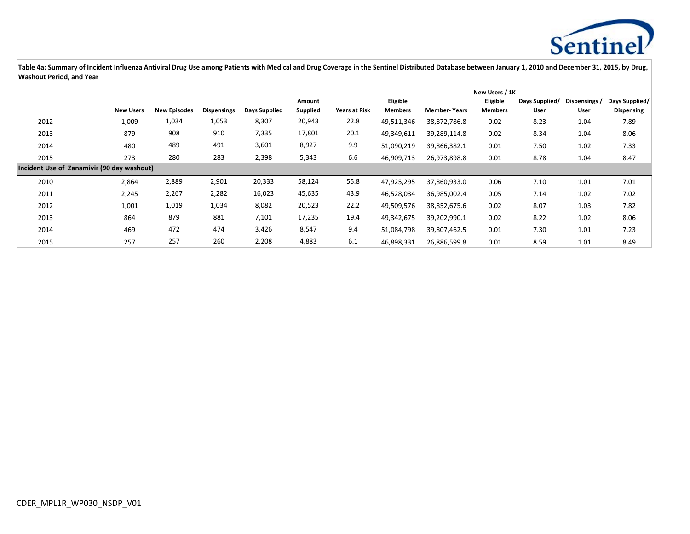

|                                            |                  |                     |                    |               |          | New Users / 1K       |                |                     |                |                |               |                   |
|--------------------------------------------|------------------|---------------------|--------------------|---------------|----------|----------------------|----------------|---------------------|----------------|----------------|---------------|-------------------|
|                                            |                  |                     |                    |               | Amount   |                      | Eligible       |                     | Eligible       | Days Supplied/ | Dispensings / | Days Supplied/    |
|                                            | <b>New Users</b> | <b>New Episodes</b> | <b>Dispensings</b> | Days Supplied | Supplied | <b>Years at Risk</b> | <b>Members</b> | <b>Member-Years</b> | <b>Members</b> | User           | User          | <b>Dispensing</b> |
| 2012                                       | 1,009            | 1,034               | 1,053              | 8,307         | 20,943   | 22.8                 | 49,511,346     | 38,872,786.8        | 0.02           | 8.23           | 1.04          | 7.89              |
| 2013                                       | 879              | 908                 | 910                | 7,335         | 17,801   | 20.1                 | 49,349,611     | 39,289,114.8        | 0.02           | 8.34           | 1.04          | 8.06              |
| 2014                                       | 480              | 489                 | 491                | 3,601         | 8,927    | 9.9                  | 51,090,219     | 39,866,382.1        | 0.01           | 7.50           | 1.02          | 7.33              |
| 2015                                       | 273              | 280                 | 283                | 2,398         | 5,343    | 6.6                  | 46,909,713     | 26,973,898.8        | 0.01           | 8.78           | 1.04          | 8.47              |
| Incident Use of Zanamivir (90 day washout) |                  |                     |                    |               |          |                      |                |                     |                |                |               |                   |
| 2010                                       | 2,864            | 2,889               | 2,901              | 20,333        | 58,124   | 55.8                 | 47,925,295     | 37,860,933.0        | 0.06           | 7.10           | 1.01          | 7.01              |
| 2011                                       | 2,245            | 2,267               | 2,282              | 16,023        | 45,635   | 43.9                 | 46,528,034     | 36,985,002.4        | 0.05           | 7.14           | 1.02          | 7.02              |
| 2012                                       | 1,001            | 1,019               | 1,034              | 8,082         | 20,523   | 22.2                 | 49,509,576     | 38,852,675.6        | 0.02           | 8.07           | 1.03          | 7.82              |
| 2013                                       | 864              | 879                 | 881                | 7,101         | 17,235   | 19.4                 | 49,342,675     | 39,202,990.1        | 0.02           | 8.22           | 1.02          | 8.06              |
| 2014                                       | 469              | 472                 | 474                | 3,426         | 8,547    | 9.4                  | 51,084,798     | 39,807,462.5        | 0.01           | 7.30           | 1.01          | 7.23              |
| 2015                                       | 257              | 257                 | 260                | 2,208         | 4,883    | 6.1                  | 46,898,331     | 26,886,599.8        | 0.01           | 8.59           | 1.01          | 8.49              |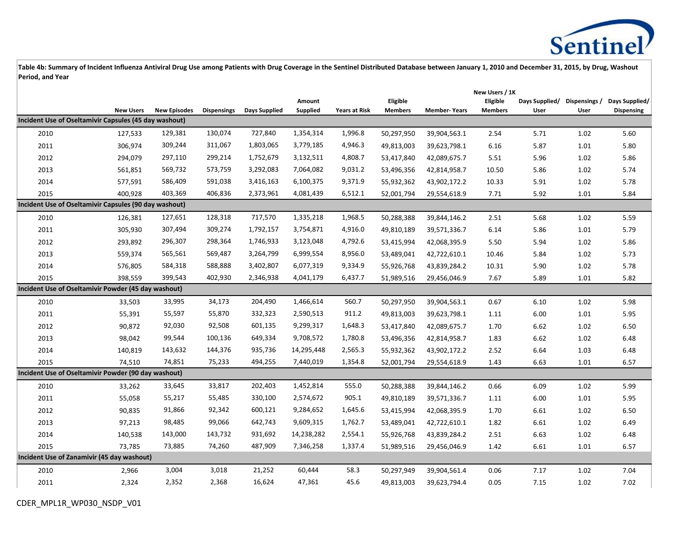

|                                                       |                  |                     |                    |                      |            |                      |                |                     | New Users / 1K |                |               |                   |
|-------------------------------------------------------|------------------|---------------------|--------------------|----------------------|------------|----------------------|----------------|---------------------|----------------|----------------|---------------|-------------------|
|                                                       |                  |                     |                    |                      | Amount     |                      | Eligible       |                     | Eligible       | Days Supplied/ | Dispensings / | Days Supplied/    |
| Incident Use of Oseltamivir Capsules (45 day washout) | <b>New Users</b> | <b>New Episodes</b> | <b>Dispensings</b> | <b>Days Supplied</b> | Supplied   | <b>Years at Risk</b> | <b>Members</b> | <b>Member-Years</b> | <b>Members</b> | User           | User          | <b>Dispensing</b> |
|                                                       |                  |                     |                    |                      |            |                      |                |                     |                |                |               |                   |
| 2010                                                  | 127,533          | 129,381             | 130,074            | 727,840              | 1,354,314  | 1,996.8              | 50,297,950     | 39,904,563.1        | 2.54           | 5.71           | 1.02          | 5.60              |
| 2011                                                  | 306,974          | 309,244             | 311,067            | 1,803,065            | 3,779,185  | 4,946.3              | 49,813,003     | 39,623,798.1        | 6.16           | 5.87           | 1.01          | 5.80              |
| 2012                                                  | 294,079          | 297,110             | 299,214            | 1,752,679            | 3,132,511  | 4,808.7              | 53,417,840     | 42,089,675.7        | 5.51           | 5.96           | 1.02          | 5.86              |
| 2013                                                  | 561,851          | 569,732             | 573,759            | 3,292,083            | 7,064,082  | 9,031.2              | 53,496,356     | 42,814,958.7        | 10.50          | 5.86           | 1.02          | 5.74              |
| 2014                                                  | 577,591          | 586,409             | 591,038            | 3,416,163            | 6,100,375  | 9,371.9              | 55,932,362     | 43,902,172.2        | 10.33          | 5.91           | 1.02          | 5.78              |
| 2015                                                  | 400,928          | 403,369             | 406,836            | 2,373,961            | 4,081,439  | 6,512.1              | 52,001,794     | 29,554,618.9        | 7.71           | 5.92           | 1.01          | 5.84              |
| Incident Use of Oseltamivir Capsules (90 day washout) |                  |                     |                    |                      |            |                      |                |                     |                |                |               |                   |
| 2010                                                  | 126,381          | 127,651             | 128,318            | 717,570              | 1,335,218  | 1,968.5              | 50,288,388     | 39,844,146.2        | 2.51           | 5.68           | 1.02          | 5.59              |
| 2011                                                  | 305,930          | 307,494             | 309,274            | 1,792,157            | 3,754,871  | 4,916.0              | 49,810,189     | 39,571,336.7        | 6.14           | 5.86           | 1.01          | 5.79              |
| 2012                                                  | 293,892          | 296,307             | 298,364            | 1,746,933            | 3,123,048  | 4,792.6              | 53,415,994     | 42,068,395.9        | 5.50           | 5.94           | 1.02          | 5.86              |
| 2013                                                  | 559,374          | 565,561             | 569,487            | 3,264,799            | 6,999,554  | 8,956.0              | 53,489,041     | 42,722,610.1        | 10.46          | 5.84           | 1.02          | 5.73              |
| 2014                                                  | 576,805          | 584,318             | 588,888            | 3,402,807            | 6,077,319  | 9,334.9              | 55,926,768     | 43,839,284.2        | 10.31          | 5.90           | 1.02          | 5.78              |
| 2015                                                  | 398,559          | 399,543             | 402,930            | 2,346,938            | 4,041,179  | 6,437.7              | 51,989,516     | 29,456,046.9        | 7.67           | 5.89           | 1.01          | 5.82              |
| Incident Use of Oseltamivir Powder (45 day washout)   |                  |                     |                    |                      |            |                      |                |                     |                |                |               |                   |
| 2010                                                  | 33,503           | 33,995              | 34,173             | 204,490              | 1,466,614  | 560.7                | 50,297,950     | 39,904,563.1        | 0.67           | 6.10           | 1.02          | 5.98              |
| 2011                                                  | 55,391           | 55,597              | 55,870             | 332,323              | 2,590,513  | 911.2                | 49,813,003     | 39,623,798.1        | 1.11           | 6.00           | 1.01          | 5.95              |
| 2012                                                  | 90,872           | 92,030              | 92,508             | 601,135              | 9,299,317  | 1,648.3              | 53,417,840     | 42,089,675.7        | 1.70           | 6.62           | 1.02          | 6.50              |
| 2013                                                  | 98,042           | 99,544              | 100,136            | 649,334              | 9,708,572  | 1,780.8              | 53,496,356     | 42,814,958.7        | 1.83           | 6.62           | 1.02          | 6.48              |
| 2014                                                  | 140,819          | 143,632             | 144,376            | 935,736              | 14,295,448 | 2,565.3              | 55,932,362     | 43,902,172.2        | 2.52           | 6.64           | 1.03          | 6.48              |
| 2015                                                  | 74,510           | 74,851              | 75,233             | 494,255              | 7,440,019  | 1,354.8              | 52,001,794     | 29,554,618.9        | 1.43           | 6.63           | 1.01          | 6.57              |
| Incident Use of Oseltamivir Powder (90 day washout)   |                  |                     |                    |                      |            |                      |                |                     |                |                |               |                   |
| 2010                                                  | 33,262           | 33,645              | 33,817             | 202,403              | 1,452,814  | 555.0                | 50,288,388     | 39,844,146.2        | 0.66           | 6.09           | 1.02          | 5.99              |
| 2011                                                  | 55,058           | 55,217              | 55,485             | 330,100              | 2,574,672  | 905.1                | 49,810,189     | 39,571,336.7        | 1.11           | 6.00           | 1.01          | 5.95              |
| 2012                                                  | 90,835           | 91,866              | 92,342             | 600,121              | 9,284,652  | 1,645.6              | 53,415,994     | 42,068,395.9        | 1.70           | 6.61           | 1.02          | 6.50              |
| 2013                                                  | 97,213           | 98,485              | 99,066             | 642,743              | 9,609,315  | 1,762.7              | 53,489,041     | 42,722,610.1        | 1.82           | 6.61           | 1.02          | 6.49              |
| 2014                                                  | 140,538          | 143,000             | 143,732            | 931,692              | 14,238,282 | 2,554.1              | 55,926,768     | 43,839,284.2        | 2.51           | 6.63           | 1.02          | 6.48              |
| 2015                                                  | 73,785           | 73,885              | 74,260             | 487,909              | 7,346,258  | 1,337.4              | 51,989,516     | 29,456,046.9        | 1.42           | 6.61           | 1.01          | 6.57              |
| Incident Use of Zanamivir (45 day washout)            |                  |                     |                    |                      |            |                      |                |                     |                |                |               |                   |
| 2010                                                  | 2,966            | 3,004               | 3,018              | 21,252               | 60,444     | 58.3                 | 50,297,949     | 39,904,561.4        | 0.06           | 7.17           | 1.02          | 7.04              |
| 2011                                                  | 2,324            | 2,352               | 2,368              | 16,624               | 47,361     | 45.6                 | 49,813,003     | 39,623,794.4        | 0.05           | 7.15           | 1.02          | 7.02              |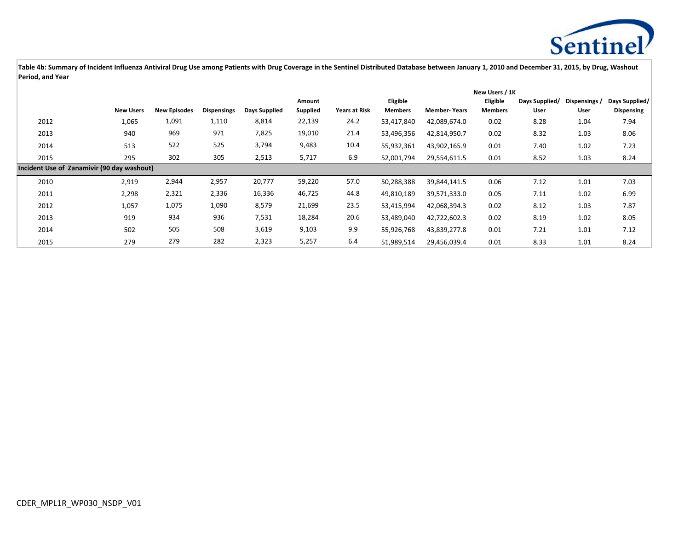

|                                            |                  |                     |                    |               |          |                      |                |                     | New Users / 1K |                |               |                   |
|--------------------------------------------|------------------|---------------------|--------------------|---------------|----------|----------------------|----------------|---------------------|----------------|----------------|---------------|-------------------|
|                                            |                  |                     |                    |               | Amount   |                      | Eligible       |                     | Eligible       | Days Supplied/ | Dispensings / | Days Supplied/    |
|                                            | <b>New Users</b> | <b>New Episodes</b> | <b>Dispensings</b> | Days Supplied | Supplied | <b>Years at Risk</b> | <b>Members</b> | <b>Member-Years</b> | <b>Members</b> | User           | User          | <b>Dispensing</b> |
| 2012                                       | 1,065            | 1,091               | 1,110              | 8,814         | 22,139   | 24.2                 | 53,417,840     | 42,089,674.0        | 0.02           | 8.28           | 1.04          | 7.94              |
| 2013                                       | 940              | 969                 | 971                | 7,825         | 19,010   | 21.4                 | 53,496,356     | 42,814,950.7        | 0.02           | 8.32           | 1.03          | 8.06              |
| 2014                                       | 513              | 522                 | 525                | 3,794         | 9,483    | 10.4                 | 55,932,361     | 43,902,165.9        | 0.01           | 7.40           | 1.02          | 7.23              |
| 2015                                       | 295              | 302                 | 305                | 2,513         | 5,717    | 6.9                  | 52,001,794     | 29,554,611.5        | 0.01           | 8.52           | 1.03          | 8.24              |
| Incident Use of Zanamivir (90 day washout) |                  |                     |                    |               |          |                      |                |                     |                |                |               |                   |
| 2010                                       | 2,919            | 2,944               | 2,957              | 20,777        | 59,220   | 57.0                 | 50,288,388     | 39,844,141.5        | 0.06           | 7.12           | 1.01          | 7.03              |
| 2011                                       | 2,298            | 2,321               | 2,336              | 16,336        | 46,725   | 44.8                 | 49,810,189     | 39,571,333.0        | 0.05           | 7.11           | 1.02          | 6.99              |
| 2012                                       | 1,057            | 1,075               | 1,090              | 8,579         | 21,699   | 23.5                 | 53,415,994     | 42,068,394.3        | 0.02           | 8.12           | 1.03          | 7.87              |
| 2013                                       | 919              | 934                 | 936                | 7,531         | 18,284   | 20.6                 | 53,489,040     | 42,722,602.3        | 0.02           | 8.19           | 1.02          | 8.05              |
| 2014                                       | 502              | 505                 | 508                | 3,619         | 9,103    | 9.9                  | 55,926,768     | 43,839,277.8        | 0.01           | 7.21           | 1.01          | 7.12              |
| 2015                                       | 279              | 279                 | 282                | 2,323         | 5,257    | 6.4                  | 51,989,514     | 29,456,039.4        | 0.01           | 8.33           | 1.01          | 8.24              |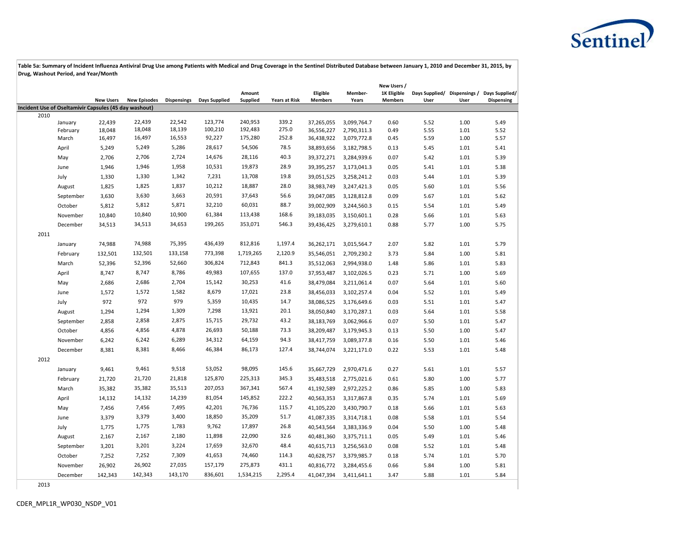

|                                                               |           |                  |                     |                    |                      |           |                      |                |             | New Users /    |      |      |                                             |
|---------------------------------------------------------------|-----------|------------------|---------------------|--------------------|----------------------|-----------|----------------------|----------------|-------------|----------------|------|------|---------------------------------------------|
|                                                               |           |                  |                     |                    |                      | Amount    |                      | Eligible       | Member-     | 1K Eligible    |      |      | Days Supplied/ Dispensings / Days Supplied/ |
|                                                               |           | <b>New Users</b> | <b>New Episodes</b> | <b>Dispensings</b> | <b>Days Supplied</b> | Supplied  | <b>Years at Risk</b> | <b>Members</b> | Years       | <b>Members</b> | User | User | <b>Dispensing</b>                           |
| Incident Use of Oseltamivir Capsules (45 day washout)<br>2010 |           |                  |                     |                    |                      |           |                      |                |             |                |      |      |                                             |
|                                                               | January   | 22,439           | 22,439              | 22,542             | 123,774              | 240,953   | 339.2                | 37,265,055     | 3,099,764.7 | 0.60           | 5.52 | 1.00 | 5.49                                        |
|                                                               | February  | 18,048           | 18,048              | 18,139             | 100,210              | 192,483   | 275.0                | 36,556,227     | 2,790,311.3 | 0.49           | 5.55 | 1.01 | 5.52                                        |
|                                                               | March     | 16,497           | 16,497              | 16,553             | 92,227               | 175,280   | 252.8                | 36,438,922     | 3,079,772.8 | 0.45           | 5.59 | 1.00 | 5.57                                        |
|                                                               | April     | 5,249            | 5,249               | 5,286              | 28,617               | 54,506    | 78.5                 | 38,893,656     | 3,182,798.5 | 0.13           | 5.45 | 1.01 | 5.41                                        |
|                                                               | May       | 2,706            | 2,706               | 2,724              | 14,676               | 28,116    | 40.3                 | 39,372,271     | 3,284,939.6 | 0.07           | 5.42 | 1.01 | 5.39                                        |
|                                                               | June      | 1,946            | 1,946               | 1,958              | 10,531               | 19,873    | 28.9                 | 39,395,257     | 3,173,041.3 | 0.05           | 5.41 | 1.01 | 5.38                                        |
|                                                               | July      | 1,330            | 1,330               | 1,342              | 7,231                | 13,708    | 19.8                 | 39,051,525     | 3,258,241.2 | 0.03           | 5.44 | 1.01 | 5.39                                        |
|                                                               | August    | 1,825            | 1,825               | 1,837              | 10,212               | 18,887    | 28.0                 | 38,983,749     | 3,247,421.3 | 0.05           | 5.60 | 1.01 | 5.56                                        |
|                                                               | September | 3,630            | 3,630               | 3,663              | 20,591               | 37,643    | 56.6                 | 39,047,085     | 3,128,812.8 | 0.09           | 5.67 | 1.01 | 5.62                                        |
|                                                               | October   | 5,812            | 5,812               | 5,871              | 32,210               | 60,031    | 88.7                 | 39,002,909     | 3,244,560.3 | 0.15           | 5.54 | 1.01 | 5.49                                        |
|                                                               | November  | 10,840           | 10,840              | 10,900             | 61,384               | 113,438   | 168.6                | 39,183,035     | 3,150,601.1 | 0.28           | 5.66 | 1.01 | 5.63                                        |
|                                                               | December  | 34,513           | 34,513              | 34,653             | 199,265              | 353,071   | 546.3                | 39,436,425     | 3,279,610.1 | 0.88           | 5.77 | 1.00 | 5.75                                        |
| 2011                                                          |           |                  |                     |                    |                      |           |                      |                |             |                |      |      |                                             |
|                                                               | January   | 74,988           | 74,988              | 75,395             | 436,439              | 812,816   | 1,197.4              | 36,262,171     | 3,015,564.7 | 2.07           | 5.82 | 1.01 | 5.79                                        |
|                                                               | February  | 132,501          | 132,501             | 133,158            | 773,398              | 1,719,265 | 2,120.9              | 35,546,051     | 2,709,230.2 | 3.73           | 5.84 | 1.00 | 5.81                                        |
|                                                               | March     | 52,396           | 52,396              | 52,660             | 306,824              | 712,843   | 841.3                | 35,512,063     | 2,994,938.0 | 1.48           | 5.86 | 1.01 | 5.83                                        |
|                                                               | April     | 8,747            | 8,747               | 8,786              | 49,983               | 107,655   | 137.0                | 37,953,487     | 3,102,026.5 | 0.23           | 5.71 | 1.00 | 5.69                                        |
|                                                               | May       | 2,686            | 2,686               | 2,704              | 15,142               | 30,253    | 41.6                 | 38,479,084     | 3,211,061.4 | 0.07           | 5.64 | 1.01 | 5.60                                        |
|                                                               | June      | 1,572            | 1,572               | 1,582              | 8,679                | 17,021    | 23.8                 | 38,456,033     | 3,102,257.4 | 0.04           | 5.52 | 1.01 | 5.49                                        |
|                                                               | July      | 972              | 972                 | 979                | 5,359                | 10,435    | 14.7                 | 38,086,525     | 3,176,649.6 | 0.03           | 5.51 | 1.01 | 5.47                                        |
|                                                               | August    | 1,294            | 1,294               | 1,309              | 7,298                | 13,921    | 20.1                 | 38,050,840     | 3,170,287.1 | 0.03           | 5.64 | 1.01 | 5.58                                        |
|                                                               | September | 2,858            | 2,858               | 2,875              | 15,715               | 29,732    | 43.2                 | 38,183,769     | 3,062,966.6 | 0.07           | 5.50 | 1.01 | 5.47                                        |
|                                                               | October   | 4,856            | 4,856               | 4,878              | 26,693               | 50,188    | 73.3                 | 38,209,487     | 3,179,945.3 | 0.13           | 5.50 | 1.00 | 5.47                                        |
|                                                               | November  | 6,242            | 6,242               | 6,289              | 34,312               | 64,159    | 94.3                 | 38,417,759     | 3,089,377.8 | 0.16           | 5.50 | 1.01 | 5.46                                        |
|                                                               | December  | 8,381            | 8,381               | 8,466              | 46,384               | 86,173    | 127.4                | 38,744,074     | 3,221,171.0 | 0.22           | 5.53 | 1.01 | 5.48                                        |
| 2012                                                          |           |                  |                     |                    |                      |           |                      |                |             |                |      |      |                                             |
|                                                               | January   | 9,461            | 9,461               | 9,518              | 53,052               | 98,095    | 145.6                | 35,667,729     | 2,970,471.6 | 0.27           | 5.61 | 1.01 | 5.57                                        |
|                                                               | February  | 21,720           | 21,720              | 21,818             | 125,870              | 225,313   | 345.3                | 35,483,518     | 2,775,021.6 | 0.61           | 5.80 | 1.00 | 5.77                                        |
|                                                               | March     | 35,382           | 35,382              | 35,513             | 207,053              | 367,341   | 567.4                | 41,192,589     | 2,972,225.2 | 0.86           | 5.85 | 1.00 | 5.83                                        |
|                                                               | April     | 14,132           | 14,132              | 14,239             | 81,054               | 145,852   | 222.2                | 40,563,353     | 3,317,867.8 | 0.35           | 5.74 | 1.01 | 5.69                                        |
|                                                               | May       | 7,456            | 7,456               | 7,495              | 42,201               | 76,736    | 115.7                | 41,105,220     | 3,430,790.7 | 0.18           | 5.66 | 1.01 | 5.63                                        |
|                                                               | June      | 3,379            | 3,379               | 3,400              | 18,850               | 35,209    | 51.7                 | 41,087,335     | 3,314,718.1 | 0.08           | 5.58 | 1.01 | 5.54                                        |
|                                                               | July      | 1,775            | 1,775               | 1,783              | 9,762                | 17,897    | 26.8                 | 40,543,564     | 3,383,336.9 | 0.04           | 5.50 | 1.00 | 5.48                                        |
|                                                               | August    | 2,167            | 2,167               | 2,180              | 11,898               | 22,090    | 32.6                 | 40,481,360     | 3,375,711.1 | 0.05           | 5.49 | 1.01 | 5.46                                        |
|                                                               | September | 3,201            | 3,201               | 3,224              | 17,659               | 32,670    | 48.4                 | 40,615,713     | 3,256,563.0 | 0.08           | 5.52 | 1.01 | 5.48                                        |
|                                                               | October   | 7,252            | 7,252               | 7,309              | 41,653               | 74,460    | 114.3                | 40,628,757     | 3,379,985.7 | 0.18           | 5.74 | 1.01 | 5.70                                        |
|                                                               | November  | 26,902           | 26,902              | 27,035             | 157,179              | 275,873   | 431.1                | 40,816,772     | 3,284,455.6 | 0.66           | 5.84 | 1.00 | 5.81                                        |
|                                                               | December  | 142,343          | 142,343             | 143,170            | 836,601              | 1,534,215 | 2,295.4              | 41,047,394     | 3,411,641.1 | 3.47           | 5.88 | 1.01 | 5.84                                        |
|                                                               |           |                  |                     |                    |                      |           |                      |                |             |                |      |      |                                             |

2013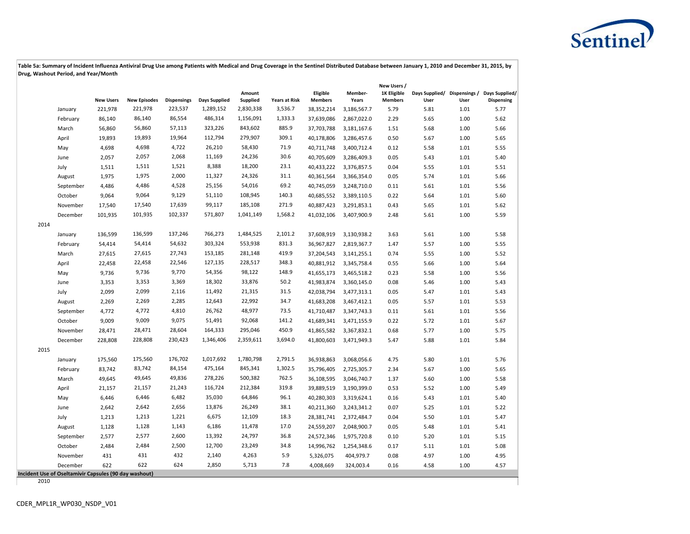

|      |                                                       |                  |                     |                    |                      |                    |                      |                            |                  | New Users /                   |      |      |                                                                  |
|------|-------------------------------------------------------|------------------|---------------------|--------------------|----------------------|--------------------|----------------------|----------------------------|------------------|-------------------------------|------|------|------------------------------------------------------------------|
|      |                                                       | <b>New Users</b> | <b>New Episodes</b> | <b>Dispensings</b> | <b>Days Supplied</b> | Amount<br>Supplied | <b>Years at Risk</b> | Eligible<br><b>Members</b> | Member-<br>Years | 1K Eligible<br><b>Members</b> | User | User | Days Supplied/ Dispensings / Days Supplied/<br><b>Dispensing</b> |
|      | January                                               | 221,978          | 221,978             | 223,537            | 1,289,152            | 2,830,338          | 3,536.7              | 38,352,214                 | 3,186,567.7      | 5.79                          | 5.81 | 1.01 | 5.77                                                             |
|      | February                                              | 86,140           | 86,140              | 86,554             | 486,314              | 1,156,091          | 1,333.3              | 37,639,086                 | 2,867,022.0      | 2.29                          | 5.65 | 1.00 | 5.62                                                             |
|      | March                                                 | 56,860           | 56,860              | 57,113             | 323,226              | 843,602            | 885.9                | 37,703,788                 | 3,181,167.6      | 1.51                          | 5.68 | 1.00 | 5.66                                                             |
|      | April                                                 | 19,893           | 19,893              | 19,964             | 112,794              | 279,907            | 309.1                | 40,178,806                 | 3,286,457.6      | 0.50                          | 5.67 | 1.00 | 5.65                                                             |
|      | May                                                   | 4,698            | 4,698               | 4,722              | 26,210               | 58,430             | 71.9                 | 40,711,748                 | 3,400,712.4      | 0.12                          | 5.58 | 1.01 | 5.55                                                             |
|      | June                                                  | 2,057            | 2,057               | 2,068              | 11,169               | 24,236             | 30.6                 | 40,705,609                 | 3,286,409.3      | 0.05                          | 5.43 | 1.01 | 5.40                                                             |
|      | July                                                  | 1,511            | 1,511               | 1,521              | 8,388                | 18,200             | 23.1                 | 40,433,222                 | 3,376,857.5      | 0.04                          | 5.55 | 1.01 | 5.51                                                             |
|      | August                                                | 1,975            | 1,975               | 2,000              | 11,327               | 24,326             | 31.1                 | 40,361,564                 | 3,366,354.0      | 0.05                          | 5.74 | 1.01 | 5.66                                                             |
|      | September                                             | 4,486            | 4,486               | 4,528              | 25,156               | 54,016             | 69.2                 | 40,745,059                 | 3,248,710.0      | 0.11                          | 5.61 | 1.01 | 5.56                                                             |
|      | October                                               | 9,064            | 9,064               | 9,129              | 51,110               | 108,945            | 140.3                | 40,685,552                 | 3,389,110.5      | 0.22                          | 5.64 | 1.01 | 5.60                                                             |
|      | November                                              | 17,540           | 17,540              | 17,639             | 99,117               | 185,108            | 271.9                | 40,887,423                 | 3,291,853.1      | 0.43                          | 5.65 | 1.01 | 5.62                                                             |
|      | December                                              | 101,935          | 101,935             | 102,337            | 571,807              | 1,041,149          | 1,568.2              | 41,032,106                 | 3,407,900.9      | 2.48                          | 5.61 | 1.00 | 5.59                                                             |
| 2014 |                                                       |                  |                     |                    |                      |                    |                      |                            |                  |                               |      |      |                                                                  |
|      | January                                               | 136,599          | 136,599             | 137,246            | 766,273              | 1,484,525          | 2,101.2              | 37,608,919                 | 3,130,938.2      | 3.63                          | 5.61 | 1.00 | 5.58                                                             |
|      | February                                              | 54,414           | 54,414              | 54,632             | 303,324              | 553,938            | 831.3                | 36,967,827                 | 2,819,367.7      | 1.47                          | 5.57 | 1.00 | 5.55                                                             |
|      | March                                                 | 27,615           | 27,615              | 27,743             | 153,185              | 281,148            | 419.9                | 37,204,543                 | 3,141,255.1      | 0.74                          | 5.55 | 1.00 | 5.52                                                             |
|      | April                                                 | 22,458           | 22,458              | 22,546             | 127,135              | 228,517            | 348.3                | 40,881,912                 | 3,345,758.4      | 0.55                          | 5.66 | 1.00 | 5.64                                                             |
|      | May                                                   | 9,736            | 9,736               | 9,770              | 54,356               | 98,122             | 148.9                | 41,655,173                 | 3,465,518.2      | 0.23                          | 5.58 | 1.00 | 5.56                                                             |
|      | June                                                  | 3,353            | 3,353               | 3,369              | 18,302               | 33,876             | 50.2                 | 41,983,874                 | 3,360,145.0      | 0.08                          | 5.46 | 1.00 | 5.43                                                             |
|      | July                                                  | 2,099            | 2,099               | 2,116              | 11,492               | 21,315             | 31.5                 | 42,038,794                 | 3,477,313.1      | 0.05                          | 5.47 | 1.01 | 5.43                                                             |
|      | August                                                | 2,269            | 2,269               | 2,285              | 12,643               | 22,992             | 34.7                 | 41,683,208                 | 3,467,412.1      | 0.05                          | 5.57 | 1.01 | 5.53                                                             |
|      | September                                             | 4,772            | 4,772               | 4,810              | 26,762               | 48,977             | 73.5                 | 41,710,487                 | 3,347,743.3      | 0.11                          | 5.61 | 1.01 | 5.56                                                             |
|      | October                                               | 9,009            | 9,009               | 9,075              | 51,491               | 92,068             | 141.2                | 41,689,341                 | 3,471,155.9      | 0.22                          | 5.72 | 1.01 | 5.67                                                             |
|      | November                                              | 28,471           | 28,471              | 28,604             | 164,333              | 295,046            | 450.9                | 41,865,582                 | 3,367,832.1      | 0.68                          | 5.77 | 1.00 | 5.75                                                             |
|      | December                                              | 228,808          | 228,808             | 230,423            | 1,346,406            | 2,359,611          | 3,694.0              | 41,800,603                 | 3,471,949.3      | 5.47                          | 5.88 | 1.01 | 5.84                                                             |
| 2015 |                                                       |                  |                     |                    |                      |                    |                      |                            |                  |                               |      |      |                                                                  |
|      | January                                               | 175,560          | 175,560             | 176,702            | 1,017,692            | 1,780,798          | 2,791.5              | 36,938,863                 | 3,068,056.6      | 4.75                          | 5.80 | 1.01 | 5.76                                                             |
|      | February                                              | 83,742           | 83,742              | 84,154             | 475,164              | 845,341            | 1,302.5              | 35,796,405                 | 2,725,305.7      | 2.34                          | 5.67 | 1.00 | 5.65                                                             |
|      | March                                                 | 49,645           | 49,645              | 49,836             | 278,226              | 500,382            | 762.5                | 36,108,595                 | 3,046,740.7      | 1.37                          | 5.60 | 1.00 | 5.58                                                             |
|      | April                                                 | 21,157           | 21,157              | 21,243             | 116,724              | 212,384            | 319.8                | 39,889,519                 | 3,190,399.0      | 0.53                          | 5.52 | 1.00 | 5.49                                                             |
|      | May                                                   | 6,446            | 6,446               | 6,482              | 35,030               | 64,846             | 96.1                 | 40,280,303                 | 3,319,624.1      | 0.16                          | 5.43 | 1.01 | 5.40                                                             |
|      | June                                                  | 2,642            | 2,642               | 2,656              | 13,876               | 26,249             | 38.1                 | 40,211,360                 | 3,243,341.2      | 0.07                          | 5.25 | 1.01 | 5.22                                                             |
|      | July                                                  | 1,213            | 1,213               | 1,221              | 6,675                | 12,109             | 18.3                 | 28,381,741                 | 2,372,484.7      | 0.04                          | 5.50 | 1.01 | 5.47                                                             |
|      | August                                                | 1,128            | 1,128               | 1,143              | 6,186                | 11,478             | 17.0                 | 24,559,207                 | 2,048,900.7      | 0.05                          | 5.48 | 1.01 | 5.41                                                             |
|      | September                                             | 2,577            | 2,577               | 2,600              | 13,392               | 24,797             | 36.8                 | 24,572,346                 | 1,975,720.8      | 0.10                          | 5.20 | 1.01 | 5.15                                                             |
|      | October                                               | 2,484            | 2,484               | 2,500              | 12,700               | 23,249             | 34.8                 | 14,996,762                 | 1,254,348.6      | 0.17                          | 5.11 | 1.01 | 5.08                                                             |
|      | November                                              | 431              | 431                 | 432                | 2,140                | 4,263              | 5.9                  | 5,326,075                  | 404,979.7        | 0.08                          | 4.97 | 1.00 | 4.95                                                             |
|      | December                                              | 622              | 622                 | 624                | 2,850                | 5,713              | 7.8                  | 4,008,669                  | 324,003.4        | 0.16                          | 4.58 | 1.00 | 4.57                                                             |
|      | Incident Use of Oseltamivir Capsules (90 day washout) |                  |                     |                    |                      |                    |                      |                            |                  |                               |      |      |                                                                  |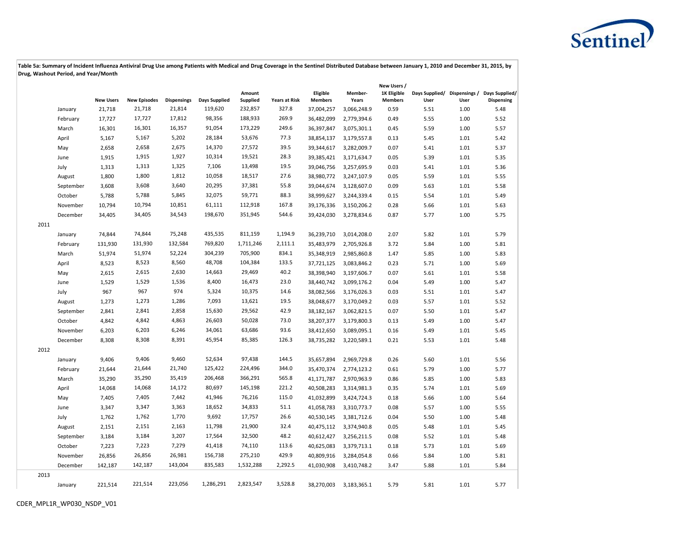

|      |           |                  |                     |                    |               |                    |                      |                            |                  | New Users /                   |      |      |                                                                  |
|------|-----------|------------------|---------------------|--------------------|---------------|--------------------|----------------------|----------------------------|------------------|-------------------------------|------|------|------------------------------------------------------------------|
|      |           | <b>New Users</b> | <b>New Episodes</b> | <b>Dispensings</b> | Days Supplied | Amount<br>Supplied | <b>Years at Risk</b> | Eligible<br><b>Members</b> | Member-<br>Years | 1K Eligible<br><b>Members</b> | User | User | Days Supplied/ Dispensings / Days Supplied/<br><b>Dispensing</b> |
|      | January   | 21,718           | 21,718              | 21,814             | 119,620       | 232,857            | 327.8                | 37,004,257                 | 3,066,248.9      | 0.59                          | 5.51 | 1.00 | 5.48                                                             |
|      | February  | 17,727           | 17,727              | 17,812             | 98,356        | 188,933            | 269.9                | 36,482,099                 | 2,779,394.6      | 0.49                          | 5.55 | 1.00 | 5.52                                                             |
|      | March     | 16,301           | 16,301              | 16,357             | 91,054        | 173,229            | 249.6                | 36,397,847                 | 3,075,301.1      | 0.45                          | 5.59 | 1.00 | 5.57                                                             |
|      | April     | 5,167            | 5,167               | 5,202              | 28,184        | 53,676             | 77.3                 | 38,854,137                 | 3,179,557.8      | 0.13                          | 5.45 | 1.01 | 5.42                                                             |
|      | May       | 2,658            | 2,658               | 2,675              | 14,370        | 27,572             | 39.5                 | 39,344,617                 | 3,282,009.7      | 0.07                          | 5.41 | 1.01 | 5.37                                                             |
|      | June      | 1,915            | 1,915               | 1,927              | 10,314        | 19,521             | 28.3                 | 39,385,421                 | 3,171,634.7      | 0.05                          | 5.39 | 1.01 | 5.35                                                             |
|      | July      | 1,313            | 1,313               | 1,325              | 7,106         | 13,498             | 19.5                 | 39,046,756                 | 3,257,695.9      | 0.03                          | 5.41 | 1.01 | 5.36                                                             |
|      | August    | 1,800            | 1,800               | 1,812              | 10,058        | 18,517             | 27.6                 | 38,980,772                 | 3,247,107.9      | 0.05                          | 5.59 | 1.01 | 5.55                                                             |
|      | September | 3,608            | 3,608               | 3,640              | 20,295        | 37,381             | 55.8                 | 39,044,674                 | 3,128,607.0      | 0.09                          | 5.63 | 1.01 | 5.58                                                             |
|      | October   | 5,788            | 5,788               | 5,845              | 32,075        | 59,771             | 88.3                 | 38,999,627                 | 3,244,339.4      | 0.15                          | 5.54 | 1.01 | 5.49                                                             |
|      | November  | 10,794           | 10,794              | 10,851             | 61,111        | 112,918            | 167.8                | 39,176,336                 | 3,150,206.2      | 0.28                          | 5.66 | 1.01 | 5.63                                                             |
|      | December  | 34,405           | 34,405              | 34,543             | 198,670       | 351,945            | 544.6                | 39,424,030                 | 3,278,834.6      | 0.87                          | 5.77 | 1.00 | 5.75                                                             |
| 2011 |           |                  |                     |                    |               |                    |                      |                            |                  |                               |      |      |                                                                  |
|      | January   | 74,844           | 74,844              | 75,248             | 435,535       | 811,159            | 1,194.9              | 36,239,710                 | 3,014,208.0      | 2.07                          | 5.82 | 1.01 | 5.79                                                             |
|      | February  | 131,930          | 131,930             | 132,584            | 769,820       | 1,711,246          | 2,111.1              | 35,483,979                 | 2,705,926.8      | 3.72                          | 5.84 | 1.00 | 5.81                                                             |
|      | March     | 51,974           | 51,974              | 52,224             | 304,239       | 705,900            | 834.1                | 35,348,919                 | 2,985,860.8      | 1.47                          | 5.85 | 1.00 | 5.83                                                             |
|      | April     | 8,523            | 8,523               | 8,560              | 48,708        | 104,384            | 133.5                | 37,721,125                 | 3,083,846.2      | 0.23                          | 5.71 | 1.00 | 5.69                                                             |
|      | May       | 2,615            | 2,615               | 2,630              | 14,663        | 29,469             | 40.2                 | 38,398,940                 | 3,197,606.7      | 0.07                          | 5.61 | 1.01 | 5.58                                                             |
|      | June      | 1,529            | 1,529               | 1,536              | 8,400         | 16,473             | 23.0                 | 38,440,742                 | 3,099,176.2      | 0.04                          | 5.49 | 1.00 | 5.47                                                             |
|      | July      | 967              | 967                 | 974                | 5,324         | 10,375             | 14.6                 | 38,082,566                 | 3,176,026.3      | 0.03                          | 5.51 | 1.01 | 5.47                                                             |
|      | August    | 1,273            | 1,273               | 1,286              | 7,093         | 13,621             | 19.5                 | 38,048,677                 | 3,170,049.2      | 0.03                          | 5.57 | 1.01 | 5.52                                                             |
|      | September | 2,841            | 2,841               | 2,858              | 15,630        | 29,562             | 42.9                 | 38,182,167                 | 3,062,821.5      | 0.07                          | 5.50 | 1.01 | 5.47                                                             |
|      | October   | 4,842            | 4,842               | 4,863              | 26,603        | 50,028             | 73.0                 | 38,207,377                 | 3,179,800.3      | 0.13                          | 5.49 | 1.00 | 5.47                                                             |
|      | November  | 6,203            | 6,203               | 6,246              | 34,061        | 63,686             | 93.6                 | 38,412,650                 | 3,089,095.1      | 0.16                          | 5.49 | 1.01 | 5.45                                                             |
|      | December  | 8,308            | 8,308               | 8,391              | 45,954        | 85,385             | 126.3                | 38,735,282                 | 3,220,589.1      | 0.21                          | 5.53 | 1.01 | 5.48                                                             |
| 2012 |           |                  |                     |                    |               |                    |                      |                            |                  |                               |      |      |                                                                  |
|      | January   | 9,406            | 9,406               | 9,460              | 52,634        | 97,438             | 144.5                | 35,657,894                 | 2,969,729.8      | 0.26                          | 5.60 | 1.01 | 5.56                                                             |
|      | February  | 21,644           | 21,644              | 21,740             | 125,422       | 224,496            | 344.0                | 35,470,374                 | 2,774,123.2      | 0.61                          | 5.79 | 1.00 | 5.77                                                             |
|      | March     | 35,290           | 35,290              | 35,419             | 206,468       | 366,291            | 565.8                | 41,171,787                 | 2,970,963.9      | 0.86                          | 5.85 | 1.00 | 5.83                                                             |
|      | April     | 14,068           | 14,068              | 14,172             | 80,697        | 145,198            | 221.2                | 40,508,283                 | 3,314,981.3      | 0.35                          | 5.74 | 1.01 | 5.69                                                             |
|      | May       | 7,405            | 7,405               | 7,442              | 41,946        | 76,216             | 115.0                | 41,032,899                 | 3,424,724.3      | 0.18                          | 5.66 | 1.00 | 5.64                                                             |
|      | June      | 3,347            | 3,347               | 3,363              | 18,652        | 34,833             | 51.1                 | 41,058,783                 | 3,310,773.7      | 0.08                          | 5.57 | 1.00 | 5.55                                                             |
|      | July      | 1,762            | 1,762               | 1,770              | 9,692         | 17,757             | 26.6                 | 40,530,145                 | 3,381,712.6      | 0.04                          | 5.50 | 1.00 | 5.48                                                             |
|      | August    | 2,151            | 2,151               | 2,163              | 11,798        | 21,900             | 32.4                 | 40,475,112                 | 3,374,940.8      | 0.05                          | 5.48 | 1.01 | 5.45                                                             |
|      | September | 3,184            | 3,184               | 3,207              | 17,564        | 32,500             | 48.2                 | 40,612,427                 | 3,256,211.5      | 0.08                          | 5.52 | 1.01 | 5.48                                                             |
|      | October   | 7,223            | 7,223               | 7,279              | 41,418        | 74,110             | 113.6                | 40,625,083                 | 3,379,713.1      | 0.18                          | 5.73 | 1.01 | 5.69                                                             |
|      | November  | 26,856           | 26,856              | 26,981             | 156,738       | 275,210            | 429.9                | 40,809,916                 | 3,284,054.8      | 0.66                          | 5.84 | 1.00 | 5.81                                                             |
|      | December  | 142,187          | 142,187             | 143,004            | 835,583       | 1,532,288          | 2,292.5              | 41,030,908                 | 3,410,748.2      | 3.47                          | 5.88 | 1.01 | 5.84                                                             |
| 2013 |           |                  |                     |                    |               |                    |                      |                            |                  |                               |      |      |                                                                  |
|      | January   | 221,514          | 221,514             | 223,056            | 1,286,291     | 2,823,547          | 3,528.8              | 38,270,003                 | 3,183,365.1      | 5.79                          | 5.81 | 1.01 | 5.77                                                             |
|      |           |                  |                     |                    |               |                    |                      |                            |                  |                               |      |      |                                                                  |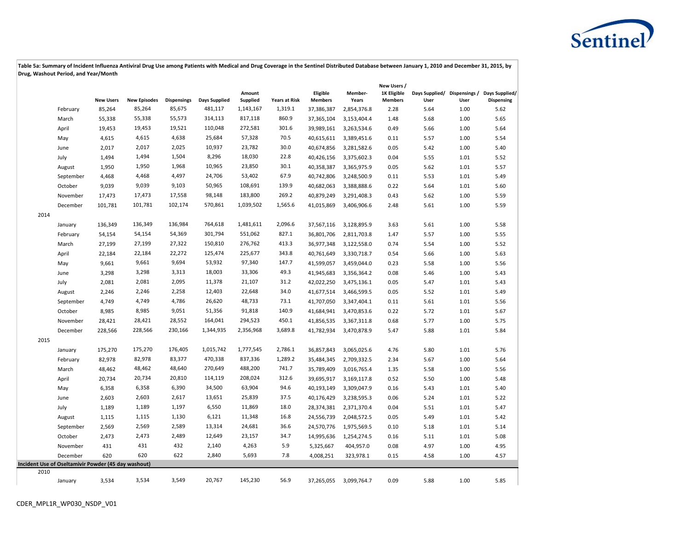# Sentinel<sup>)</sup>

|      |                                                     |                  |                     |                    |               |                           |                      |                            |                  | New Users /                          |      |      |                                                                  |
|------|-----------------------------------------------------|------------------|---------------------|--------------------|---------------|---------------------------|----------------------|----------------------------|------------------|--------------------------------------|------|------|------------------------------------------------------------------|
|      |                                                     | <b>New Users</b> | <b>New Episodes</b> | <b>Dispensings</b> | Days Supplied | Amount<br><b>Supplied</b> | <b>Years at Risk</b> | Eligible<br><b>Members</b> | Member-<br>Years | <b>1K Eligible</b><br><b>Members</b> | User | User | Days Supplied/ Dispensings / Days Supplied/<br><b>Dispensing</b> |
|      | February                                            | 85,264           | 85,264              | 85,675             | 481,117       | 1,143,167                 | 1,319.1              | 37,386,387                 | 2,854,376.8      | 2.28                                 | 5.64 | 1.00 | 5.62                                                             |
|      | March                                               | 55,338           | 55,338              | 55,573             | 314,113       | 817,118                   | 860.9                | 37,365,104                 | 3,153,404.4      | 1.48                                 | 5.68 | 1.00 | 5.65                                                             |
|      | April                                               | 19,453           | 19,453              | 19,521             | 110,048       | 272,581                   | 301.6                | 39,989,161                 | 3,263,534.6      | 0.49                                 | 5.66 | 1.00 | 5.64                                                             |
|      | May                                                 | 4,615            | 4,615               | 4,638              | 25,684        | 57,328                    | 70.5                 | 40,615,611                 | 3,389,451.6      | 0.11                                 | 5.57 | 1.00 | 5.54                                                             |
|      | June                                                | 2,017            | 2,017               | 2,025              | 10,937        | 23,782                    | 30.0                 | 40,674,856                 | 3,281,582.6      | 0.05                                 | 5.42 | 1.00 | 5.40                                                             |
|      | July                                                | 1,494            | 1,494               | 1,504              | 8,296         | 18,030                    | 22.8                 | 40,426,156                 | 3,375,602.3      | 0.04                                 | 5.55 | 1.01 | 5.52                                                             |
|      | August                                              | 1,950            | 1,950               | 1,968              | 10,965        | 23,850                    | 30.1                 | 40,358,387                 | 3,365,975.9      | 0.05                                 | 5.62 | 1.01 | 5.57                                                             |
|      | September                                           | 4,468            | 4,468               | 4,497              | 24,706        | 53,402                    | 67.9                 | 40,742,806                 | 3,248,500.9      | 0.11                                 | 5.53 | 1.01 | 5.49                                                             |
|      | October                                             | 9,039            | 9,039               | 9,103              | 50,965        | 108,691                   | 139.9                | 40,682,063                 | 3,388,888.6      | 0.22                                 | 5.64 | 1.01 | 5.60                                                             |
|      | November                                            | 17,473           | 17,473              | 17,558             | 98,148        | 183,800                   | 269.2                | 40,879,249                 | 3,291,408.3      | 0.43                                 | 5.62 | 1.00 | 5.59                                                             |
|      | December                                            | 101,781          | 101,781             | 102,174            | 570,861       | 1,039,502                 | 1,565.6              | 41,015,869                 | 3,406,906.6      | 2.48                                 | 5.61 | 1.00 | 5.59                                                             |
| 2014 |                                                     |                  |                     |                    |               |                           |                      |                            |                  |                                      |      |      |                                                                  |
|      | January                                             | 136,349          | 136,349             | 136,984            | 764,618       | 1,481,611                 | 2,096.6              | 37,567,116                 | 3,128,895.9      | 3.63                                 | 5.61 | 1.00 | 5.58                                                             |
|      | February                                            | 54,154           | 54,154              | 54,369             | 301,794       | 551,062                   | 827.1                | 36,801,706                 | 2,811,703.8      | 1.47                                 | 5.57 | 1.00 | 5.55                                                             |
|      | March                                               | 27,199           | 27,199              | 27,322             | 150,810       | 276,762                   | 413.3                | 36,977,348                 | 3,122,558.0      | 0.74                                 | 5.54 | 1.00 | 5.52                                                             |
|      | April                                               | 22,184           | 22,184              | 22,272             | 125,474       | 225,677                   | 343.8                | 40,761,649                 | 3,330,718.7      | 0.54                                 | 5.66 | 1.00 | 5.63                                                             |
|      | May                                                 | 9,661            | 9,661               | 9,694              | 53,932        | 97,340                    | 147.7                | 41,599,057                 | 3,459,044.0      | 0.23                                 | 5.58 | 1.00 | 5.56                                                             |
|      | June                                                | 3,298            | 3,298               | 3,313              | 18,003        | 33,306                    | 49.3                 | 41,945,683                 | 3,356,364.2      | 0.08                                 | 5.46 | 1.00 | 5.43                                                             |
|      | July                                                | 2,081            | 2,081               | 2,095              | 11,378        | 21,107                    | 31.2                 | 42,022,250                 | 3,475,136.1      | 0.05                                 | 5.47 | 1.01 | 5.43                                                             |
|      | August                                              | 2,246            | 2,246               | 2,258              | 12,403        | 22,648                    | 34.0                 | 41,677,514                 | 3,466,599.5      | 0.05                                 | 5.52 | 1.01 | 5.49                                                             |
|      | September                                           | 4,749            | 4,749               | 4,786              | 26,620        | 48,733                    | 73.1                 | 41,707,050                 | 3,347,404.1      | 0.11                                 | 5.61 | 1.01 | 5.56                                                             |
|      | October                                             | 8,985            | 8,985               | 9,051              | 51,356        | 91,818                    | 140.9                | 41,684,941                 | 3,470,853.6      | 0.22                                 | 5.72 | 1.01 | 5.67                                                             |
|      | November                                            | 28,421           | 28,421              | 28,552             | 164,041       | 294,523                   | 450.1                | 41,856,535                 | 3,367,311.8      | 0.68                                 | 5.77 | 1.00 | 5.75                                                             |
|      | December                                            | 228,566          | 228,566             | 230,166            | 1,344,935     | 2,356,968                 | 3,689.8              | 41,782,934                 | 3,470,878.9      | 5.47                                 | 5.88 | 1.01 | 5.84                                                             |
| 2015 |                                                     |                  |                     |                    |               |                           |                      |                            |                  |                                      |      |      |                                                                  |
|      | January                                             | 175,270          | 175,270             | 176,405            | 1,015,742     | 1,777,545                 | 2,786.1              | 36,857,843                 | 3,065,025.6      | 4.76                                 | 5.80 | 1.01 | 5.76                                                             |
|      | February                                            | 82,978           | 82,978              | 83,377             | 470,338       | 837,336                   | 1,289.2              | 35,484,345                 | 2,709,332.5      | 2.34                                 | 5.67 | 1.00 | 5.64                                                             |
|      | March                                               | 48,462           | 48,462              | 48,640             | 270,649       | 488,200                   | 741.7                | 35,789,409                 | 3,016,765.4      | 1.35                                 | 5.58 | 1.00 | 5.56                                                             |
|      | April                                               | 20,734           | 20,734              | 20,810             | 114,119       | 208,024                   | 312.6                | 39,695,917                 | 3,169,117.8      | 0.52                                 | 5.50 | 1.00 | 5.48                                                             |
|      | May                                                 | 6,358            | 6,358               | 6,390              | 34,500        | 63,904                    | 94.6                 | 40,193,149                 | 3,309,047.9      | 0.16                                 | 5.43 | 1.01 | 5.40                                                             |
|      | June                                                | 2,603            | 2,603               | 2,617              | 13,651        | 25,839                    | 37.5                 | 40,176,429                 | 3,238,595.3      | 0.06                                 | 5.24 | 1.01 | 5.22                                                             |
|      | July                                                | 1,189            | 1,189               | 1,197              | 6,550         | 11,869                    | 18.0                 | 28,374,381                 | 2,371,370.4      | 0.04                                 | 5.51 | 1.01 | 5.47                                                             |
|      | August                                              | 1,115            | 1,115               | 1,130              | 6,121         | 11,348                    | 16.8                 | 24,556,739                 | 2,048,572.5      | 0.05                                 | 5.49 | 1.01 | 5.42                                                             |
|      | September                                           | 2,569            | 2,569               | 2,589              | 13,314        | 24,681                    | 36.6                 | 24,570,776                 | 1,975,569.5      | 0.10                                 | 5.18 | 1.01 | 5.14                                                             |
|      | October                                             | 2,473            | 2,473               | 2,489              | 12,649        | 23,157                    | 34.7                 | 14,995,636                 | 1,254,274.5      | 0.16                                 | 5.11 | 1.01 | 5.08                                                             |
|      | November                                            | 431              | 431                 | 432                | 2,140         | 4,263                     | 5.9                  | 5,325,667                  | 404,957.0        | 0.08                                 | 4.97 | 1.00 | 4.95                                                             |
|      | December                                            | 620              | 620                 | 622                | 2,840         | 5,693                     | 7.8                  | 4,008,251                  | 323,978.1        | 0.15                                 | 4.58 | 1.00 | 4.57                                                             |
|      | Incident Use of Oseltamivir Powder (45 day washout) |                  |                     |                    |               |                           |                      |                            |                  |                                      |      |      |                                                                  |
| 2010 |                                                     |                  |                     |                    |               |                           |                      |                            |                  |                                      |      |      |                                                                  |
|      | January                                             | 3,534            | 3,534               | 3,549              | 20,767        | 145,230                   | 56.9                 | 37,265,055                 | 3,099,764.7      | 0.09                                 | 5.88 | 1.00 | 5.85                                                             |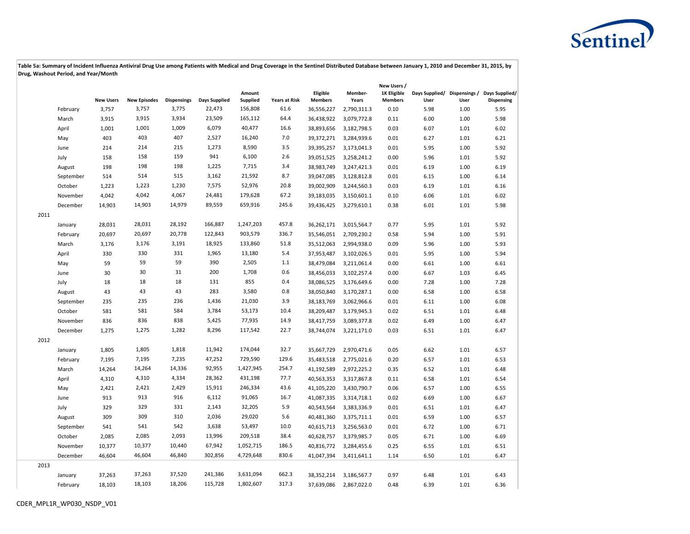

|      |           |                  |                     |                    |               |                    |                      |                            |                  | New Users /                   |      |      |                                                                  |
|------|-----------|------------------|---------------------|--------------------|---------------|--------------------|----------------------|----------------------------|------------------|-------------------------------|------|------|------------------------------------------------------------------|
|      |           | <b>New Users</b> | <b>New Episodes</b> | <b>Dispensings</b> | Days Supplied | Amount<br>Supplied | <b>Years at Risk</b> | Eligible<br><b>Members</b> | Member-<br>Years | 1K Eligible<br><b>Members</b> | User | User | Days Supplied/ Dispensings / Days Supplied/<br><b>Dispensing</b> |
|      | February  | 3,757            | 3,757               | 3,775              | 22,473        | 156,808            | 61.6                 | 36,556,227                 | 2,790,311.3      | 0.10                          | 5.98 | 1.00 | 5.95                                                             |
|      | March     | 3,915            | 3,915               | 3,934              | 23,509        | 165,112            | 64.4                 | 36,438,922                 | 3,079,772.8      | 0.11                          | 6.00 | 1.00 | 5.98                                                             |
|      | April     | 1,001            | 1,001               | 1,009              | 6,079         | 40,477             | 16.6                 | 38,893,656                 | 3,182,798.5      | 0.03                          | 6.07 | 1.01 | 6.02                                                             |
|      | May       | 403              | 403                 | 407                | 2,527         | 16,240             | 7.0                  | 39,372,271                 | 3,284,939.6      | 0.01                          | 6.27 | 1.01 | 6.21                                                             |
|      | June      | 214              | 214                 | 215                | 1,273         | 8,590              | 3.5                  | 39,395,257                 | 3,173,041.3      | 0.01                          | 5.95 | 1.00 | 5.92                                                             |
|      | July      | 158              | 158                 | 159                | 941           | 6,100              | 2.6                  | 39,051,525                 | 3,258,241.2      | 0.00                          | 5.96 | 1.01 | 5.92                                                             |
|      | August    | 198              | 198                 | 198                | 1,225         | 7,715              | 3.4                  | 38,983,749                 | 3,247,421.3      | 0.01                          | 6.19 | 1.00 | 6.19                                                             |
|      | September | 514              | 514                 | 515                | 3,162         | 21,592             | 8.7                  | 39,047,085                 | 3,128,812.8      | 0.01                          | 6.15 | 1.00 | 6.14                                                             |
|      | October   | 1,223            | 1,223               | 1,230              | 7,575         | 52,976             | 20.8                 | 39,002,909                 | 3,244,560.3      | 0.03                          | 6.19 | 1.01 | 6.16                                                             |
|      | November  | 4,042            | 4,042               | 4,067              | 24,481        | 179,628            | 67.2                 | 39,183,035                 | 3,150,601.1      | 0.10                          | 6.06 | 1.01 | 6.02                                                             |
|      | December  | 14,903           | 14,903              | 14,979             | 89,559        | 659,916            | 245.6                | 39,436,425                 | 3,279,610.1      | 0.38                          | 6.01 | 1.01 | 5.98                                                             |
| 2011 |           |                  |                     |                    |               |                    |                      |                            |                  |                               |      |      |                                                                  |
|      | January   | 28,031           | 28,031              | 28,192             | 166,887       | 1,247,203          | 457.8                | 36,262,171                 | 3,015,564.7      | 0.77                          | 5.95 | 1.01 | 5.92                                                             |
|      | February  | 20,697           | 20,697              | 20,778             | 122,843       | 903,579            | 336.7                | 35,546,051                 | 2,709,230.2      | 0.58                          | 5.94 | 1.00 | 5.91                                                             |
|      | March     | 3,176            | 3,176               | 3,191              | 18,925        | 133,860            | 51.8                 | 35,512,063                 | 2,994,938.0      | 0.09                          | 5.96 | 1.00 | 5.93                                                             |
|      | April     | 330              | 330                 | 331                | 1,965         | 13,180             | 5.4                  | 37,953,487                 | 3,102,026.5      | 0.01                          | 5.95 | 1.00 | 5.94                                                             |
|      | May       | 59               | 59                  | 59                 | 390           | 2,505              | 1.1                  | 38,479,084                 | 3,211,061.4      | 0.00                          | 6.61 | 1.00 | 6.61                                                             |
|      | June      | 30               | 30                  | 31                 | 200           | 1,708              | 0.6                  | 38,456,033                 | 3,102,257.4      | 0.00                          | 6.67 | 1.03 | 6.45                                                             |
|      | July      | 18               | 18                  | 18                 | 131           | 855                | 0.4                  | 38,086,525                 | 3,176,649.6      | 0.00                          | 7.28 | 1.00 | 7.28                                                             |
|      | August    | 43               | 43                  | 43                 | 283           | 3,580              | 0.8                  | 38,050,840                 | 3,170,287.1      | 0.00                          | 6.58 | 1.00 | 6.58                                                             |
|      | September | 235              | 235                 | 236                | 1,436         | 21,030             | 3.9                  | 38,183,769                 | 3,062,966.6      | 0.01                          | 6.11 | 1.00 | 6.08                                                             |
|      | October   | 581              | 581                 | 584                | 3,784         | 53,173             | 10.4                 | 38,209,487                 | 3,179,945.3      | 0.02                          | 6.51 | 1.01 | 6.48                                                             |
|      | November  | 836              | 836                 | 838                | 5,425         | 77,935             | 14.9                 | 38,417,759                 | 3,089,377.8      | 0.02                          | 6.49 | 1.00 | 6.47                                                             |
|      | December  | 1,275            | 1,275               | 1,282              | 8,296         | 117,542            | 22.7                 | 38,744,074                 | 3,221,171.0      | 0.03                          | 6.51 | 1.01 | 6.47                                                             |
| 2012 |           |                  |                     |                    |               |                    |                      |                            |                  |                               |      |      |                                                                  |
|      | January   | 1,805            | 1,805               | 1,818              | 11,942        | 174,044            | 32.7                 | 35,667,729                 | 2,970,471.6      | 0.05                          | 6.62 | 1.01 | 6.57                                                             |
|      | February  | 7,195            | 7,195               | 7,235              | 47,252        | 729,590            | 129.6                | 35,483,518                 | 2,775,021.6      | 0.20                          | 6.57 | 1.01 | 6.53                                                             |
|      | March     | 14,264           | 14,264              | 14,336             | 92,955        | 1,427,945          | 254.7                | 41,192,589                 | 2,972,225.2      | 0.35                          | 6.52 | 1.01 | 6.48                                                             |
|      | April     | 4,310            | 4,310               | 4,334              | 28,362        | 431,198            | 77.7                 | 40,563,353                 | 3,317,867.8      | 0.11                          | 6.58 | 1.01 | 6.54                                                             |
|      | May       | 2,421            | 2,421               | 2,429              | 15,911        | 246,334            | 43.6                 | 41,105,220                 | 3,430,790.7      | 0.06                          | 6.57 | 1.00 | 6.55                                                             |
|      | June      | 913              | 913                 | 916                | 6,112         | 91,065             | 16.7                 | 41,087,335                 | 3,314,718.1      | 0.02                          | 6.69 | 1.00 | 6.67                                                             |
|      | July      | 329              | 329                 | 331                | 2,143         | 32,205             | 5.9                  | 40,543,564                 | 3,383,336.9      | 0.01                          | 6.51 | 1.01 | 6.47                                                             |
|      | August    | 309              | 309                 | 310                | 2,036         | 29,020             | 5.6                  | 40,481,360                 | 3,375,711.1      | 0.01                          | 6.59 | 1.00 | 6.57                                                             |
|      | September | 541              | 541                 | 542                | 3,638         | 53,497             | 10.0                 | 40,615,713                 | 3,256,563.0      | 0.01                          | 6.72 | 1.00 | 6.71                                                             |
|      | October   | 2,085            | 2,085               | 2,093              | 13,996        | 209,518            | 38.4                 | 40,628,757                 | 3,379,985.7      | 0.05                          | 6.71 | 1.00 | 6.69                                                             |
|      | November  | 10,377           | 10,377              | 10,440             | 67,942        | 1,052,715          | 186.5                | 40,816,772                 | 3,284,455.6      | 0.25                          | 6.55 | 1.01 | 6.51                                                             |
|      | December  | 46,604           | 46,604              | 46,840             | 302,856       | 4,729,648          | 830.6                | 41,047,394                 | 3,411,641.1      | 1.14                          | 6.50 | 1.01 | 6.47                                                             |
| 2013 |           |                  |                     |                    |               |                    |                      |                            |                  |                               |      |      |                                                                  |
|      | January   | 37,263           | 37,263              | 37,520             | 241,386       | 3,631,094          | 662.3                | 38,352,214                 | 3,186,567.7      | 0.97                          | 6.48 | 1.01 | 6.43                                                             |
|      | February  | 18,103           | 18,103              | 18,206             | 115,728       | 1,802,607          | 317.3                | 37,639,086                 | 2,867,022.0      | 0.48                          | 6.39 | 1.01 | 6.36                                                             |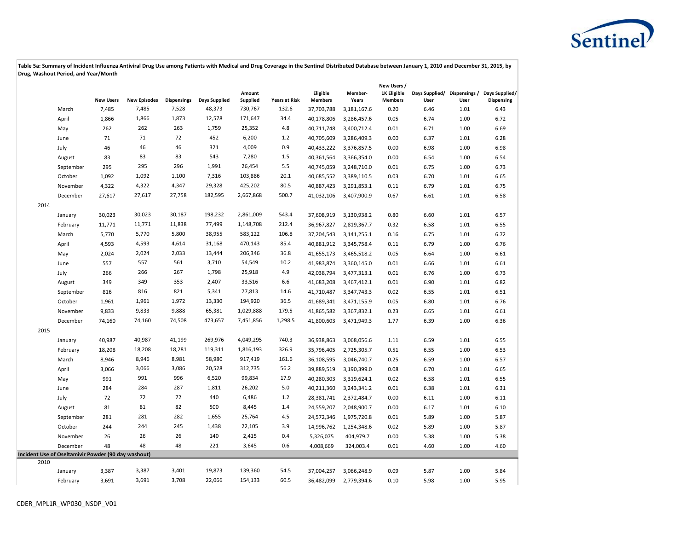

|      |                                                     |                  |                     |                    |                      |                    |                      |                            |                  | New Users /                   |      |      |                                                                  |
|------|-----------------------------------------------------|------------------|---------------------|--------------------|----------------------|--------------------|----------------------|----------------------------|------------------|-------------------------------|------|------|------------------------------------------------------------------|
|      |                                                     | <b>New Users</b> | <b>New Episodes</b> | <b>Dispensings</b> | <b>Days Supplied</b> | Amount<br>Supplied | <b>Years at Risk</b> | Eligible<br><b>Members</b> | Member-<br>Years | 1K Eligible<br><b>Members</b> | User | User | Days Supplied/ Dispensings / Days Supplied/<br><b>Dispensing</b> |
|      | March                                               | 7,485            | 7,485               | 7,528              | 48,373               | 730,767            | 132.6                | 37,703,788                 | 3,181,167.6      | 0.20                          | 6.46 | 1.01 | 6.43                                                             |
|      | April                                               | 1,866            | 1,866               | 1,873              | 12,578               | 171,647            | 34.4                 | 40,178,806                 | 3,286,457.6      | 0.05                          | 6.74 | 1.00 | 6.72                                                             |
|      | May                                                 | 262              | 262                 | 263                | 1,759                | 25,352             | 4.8                  | 40,711,748                 | 3,400,712.4      | 0.01                          | 6.71 | 1.00 | 6.69                                                             |
|      | June                                                | 71               | 71                  | 72                 | 452                  | 6,200              | 1.2                  | 40,705,609                 | 3,286,409.3      | 0.00                          | 6.37 | 1.01 | 6.28                                                             |
|      | July                                                | 46               | 46                  | 46                 | 321                  | 4,009              | 0.9                  | 40,433,222                 | 3,376,857.5      | 0.00                          | 6.98 | 1.00 | 6.98                                                             |
|      | August                                              | 83               | 83                  | 83                 | 543                  | 7,280              | 1.5                  | 40,361,564                 | 3,366,354.0      | 0.00                          | 6.54 | 1.00 | 6.54                                                             |
|      | September                                           | 295              | 295                 | 296                | 1,991                | 26,454             | 5.5                  | 40,745,059                 | 3,248,710.0      | 0.01                          | 6.75 | 1.00 | 6.73                                                             |
|      | October                                             | 1,092            | 1,092               | 1,100              | 7,316                | 103,886            | 20.1                 | 40,685,552                 | 3,389,110.5      | 0.03                          | 6.70 | 1.01 | 6.65                                                             |
|      | November                                            | 4,322            | 4,322               | 4,347              | 29,328               | 425,202            | 80.5                 | 40,887,423                 | 3,291,853.1      | 0.11                          | 6.79 | 1.01 | 6.75                                                             |
|      | December                                            | 27,617           | 27,617              | 27,758             | 182,595              | 2,667,868          | 500.7                | 41,032,106                 | 3,407,900.9      | 0.67                          | 6.61 | 1.01 | 6.58                                                             |
| 2014 |                                                     |                  |                     |                    |                      |                    |                      |                            |                  |                               |      |      |                                                                  |
|      | January                                             | 30,023           | 30,023              | 30,187             | 198,232              | 2,861,009          | 543.4                | 37,608,919                 | 3,130,938.2      | 0.80                          | 6.60 | 1.01 | 6.57                                                             |
|      | February                                            | 11,771           | 11,771              | 11,838             | 77,499               | 1,148,708          | 212.4                | 36,967,827                 | 2,819,367.7      | 0.32                          | 6.58 | 1.01 | 6.55                                                             |
|      | March                                               | 5,770            | 5,770               | 5,800              | 38,955               | 583,122            | 106.8                | 37,204,543                 | 3,141,255.1      | 0.16                          | 6.75 | 1.01 | 6.72                                                             |
|      | April                                               | 4,593            | 4,593               | 4,614              | 31,168               | 470,143            | 85.4                 | 40,881,912                 | 3,345,758.4      | 0.11                          | 6.79 | 1.00 | 6.76                                                             |
|      | May                                                 | 2,024            | 2,024               | 2,033              | 13,444               | 206,346            | 36.8                 | 41,655,173                 | 3,465,518.2      | 0.05                          | 6.64 | 1.00 | 6.61                                                             |
|      | June                                                | 557              | 557                 | 561                | 3,710                | 54,549             | 10.2                 | 41,983,874                 | 3,360,145.0      | 0.01                          | 6.66 | 1.01 | 6.61                                                             |
|      | July                                                | 266              | 266                 | 267                | 1,798                | 25,918             | 4.9                  | 42,038,794                 | 3,477,313.1      | 0.01                          | 6.76 | 1.00 | 6.73                                                             |
|      | August                                              | 349              | 349                 | 353                | 2,407                | 33,516             | 6.6                  | 41,683,208                 | 3,467,412.1      | 0.01                          | 6.90 | 1.01 | 6.82                                                             |
|      | September                                           | 816              | 816                 | 821                | 5,341                | 77,813             | 14.6                 | 41,710,487                 | 3,347,743.3      | 0.02                          | 6.55 | 1.01 | 6.51                                                             |
|      | October                                             | 1,961            | 1,961               | 1,972              | 13,330               | 194,920            | 36.5                 | 41,689,341                 | 3,471,155.9      | 0.05                          | 6.80 | 1.01 | 6.76                                                             |
|      | November                                            | 9,833            | 9,833               | 9,888              | 65,381               | 1,029,888          | 179.5                | 41,865,582                 | 3,367,832.1      | 0.23                          | 6.65 | 1.01 | 6.61                                                             |
|      | December                                            | 74,160           | 74,160              | 74,508             | 473,657              | 7,451,856          | 1,298.5              | 41,800,603                 | 3,471,949.3      | 1.77                          | 6.39 | 1.00 | 6.36                                                             |
| 2015 |                                                     |                  |                     |                    |                      |                    |                      |                            |                  |                               |      |      |                                                                  |
|      | January                                             | 40,987           | 40,987              | 41,199             | 269,976              | 4,049,295          | 740.3                | 36,938,863                 | 3,068,056.6      | 1.11                          | 6.59 | 1.01 | 6.55                                                             |
|      | February                                            | 18,208           | 18,208              | 18,281             | 119,311              | 1,816,193          | 326.9                | 35,796,405                 | 2,725,305.7      | 0.51                          | 6.55 | 1.00 | 6.53                                                             |
|      | March                                               | 8,946            | 8,946               | 8,981              | 58,980               | 917,419            | 161.6                | 36,108,595                 | 3,046,740.7      | 0.25                          | 6.59 | 1.00 | 6.57                                                             |
|      | April                                               | 3,066            | 3,066               | 3,086              | 20,528               | 312,735            | 56.2                 | 39,889,519                 | 3,190,399.0      | 0.08                          | 6.70 | 1.01 | 6.65                                                             |
|      | May                                                 | 991              | 991                 | 996                | 6,520                | 99,834             | 17.9                 | 40,280,303                 | 3,319,624.1      | 0.02                          | 6.58 | 1.01 | 6.55                                                             |
|      | June                                                | 284              | 284                 | 287                | 1,811                | 26,202             | 5.0                  | 40,211,360                 | 3,243,341.2      | 0.01                          | 6.38 | 1.01 | 6.31                                                             |
|      | July                                                | 72               | 72                  | 72                 | 440                  | 6,486              | 1.2                  | 28,381,741                 | 2,372,484.7      | 0.00                          | 6.11 | 1.00 | 6.11                                                             |
|      | August                                              | 81               | 81                  | 82                 | 500                  | 8,445              | 1.4                  | 24,559,207                 | 2,048,900.7      | 0.00                          | 6.17 | 1.01 | 6.10                                                             |
|      | September                                           | 281              | 281                 | 282                | 1,655                | 25,764             | 4.5                  | 24,572,346                 | 1,975,720.8      | 0.01                          | 5.89 | 1.00 | 5.87                                                             |
|      | October                                             | 244              | 244                 | 245                | 1,438                | 22,105             | 3.9                  | 14,996,762                 | 1,254,348.6      | 0.02                          | 5.89 | 1.00 | 5.87                                                             |
|      | November                                            | 26               | 26                  | 26                 | 140                  | 2,415              | 0.4                  | 5,326,075                  | 404,979.7        | 0.00                          | 5.38 | 1.00 | 5.38                                                             |
|      | December                                            | 48               | 48                  | 48                 | 221                  | 3,645              | 0.6                  | 4,008,669                  | 324,003.4        | 0.01                          | 4.60 | 1.00 | 4.60                                                             |
|      | Incident Use of Oseltamivir Powder (90 day washout) |                  |                     |                    |                      |                    |                      |                            |                  |                               |      |      |                                                                  |
| 2010 |                                                     |                  |                     |                    |                      |                    |                      |                            |                  |                               |      |      |                                                                  |
|      | January                                             | 3,387            | 3,387               | 3,401              | 19,873               | 139,360            | 54.5                 | 37,004,257                 | 3,066,248.9      | 0.09                          | 5.87 | 1.00 | 5.84                                                             |
|      | February                                            | 3,691            | 3,691               | 3,708              | 22,066               | 154,133            | 60.5                 | 36,482,099                 | 2,779,394.6      | 0.10                          | 5.98 | 1.00 | 5.95                                                             |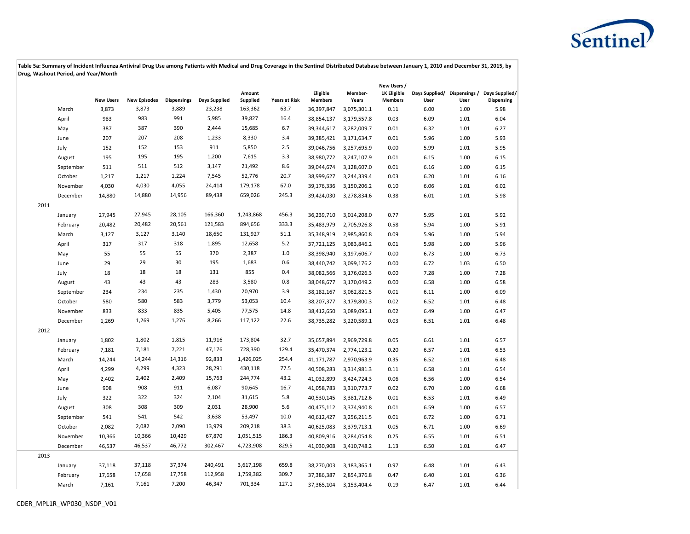

|      |           |                  |                     |                    |               |                    |                      |                            |                  | New Users /                   |      |      |                                                                  |
|------|-----------|------------------|---------------------|--------------------|---------------|--------------------|----------------------|----------------------------|------------------|-------------------------------|------|------|------------------------------------------------------------------|
|      |           | <b>New Users</b> | <b>New Episodes</b> | <b>Dispensings</b> | Days Supplied | Amount<br>Supplied | <b>Years at Risk</b> | Eligible<br><b>Members</b> | Member-<br>Years | 1K Eligible<br><b>Members</b> | User | User | Days Supplied/ Dispensings / Days Supplied/<br><b>Dispensing</b> |
|      | March     | 3,873            | 3,873               | 3,889              | 23,238        | 163,362            | 63.7                 | 36,397,847                 | 3,075,301.1      | 0.11                          | 6.00 | 1.00 | 5.98                                                             |
|      | April     | 983              | 983                 | 991                | 5,985         | 39,827             | 16.4                 | 38,854,137                 | 3,179,557.8      | 0.03                          | 6.09 | 1.01 | 6.04                                                             |
|      | May       | 387              | 387                 | 390                | 2,444         | 15,685             | 6.7                  | 39,344,617                 | 3,282,009.7      | 0.01                          | 6.32 | 1.01 | 6.27                                                             |
|      | June      | 207              | 207                 | 208                | 1,233         | 8,330              | 3.4                  | 39,385,421                 | 3,171,634.7      | 0.01                          | 5.96 | 1.00 | 5.93                                                             |
|      | July      | 152              | 152                 | 153                | 911           | 5,850              | 2.5                  | 39,046,756                 | 3,257,695.9      | 0.00                          | 5.99 | 1.01 | 5.95                                                             |
|      | August    | 195              | 195                 | 195                | 1,200         | 7,615              | 3.3                  | 38,980,772                 | 3,247,107.9      | 0.01                          | 6.15 | 1.00 | 6.15                                                             |
|      | September | 511              | 511                 | 512                | 3,147         | 21,492             | 8.6                  | 39,044,674                 | 3,128,607.0      | 0.01                          | 6.16 | 1.00 | 6.15                                                             |
|      | October   | 1,217            | 1,217               | 1,224              | 7,545         | 52,776             | 20.7                 | 38,999,627                 | 3,244,339.4      | 0.03                          | 6.20 | 1.01 | 6.16                                                             |
|      | November  | 4,030            | 4,030               | 4,055              | 24,414        | 179,178            | 67.0                 | 39,176,336                 | 3,150,206.2      | 0.10                          | 6.06 | 1.01 | 6.02                                                             |
|      | December  | 14,880           | 14,880              | 14,956             | 89,438        | 659,026            | 245.3                | 39,424,030                 | 3,278,834.6      | 0.38                          | 6.01 | 1.01 | 5.98                                                             |
| 2011 |           |                  |                     |                    |               |                    |                      |                            |                  |                               |      |      |                                                                  |
|      | January   | 27,945           | 27,945              | 28,105             | 166,360       | 1,243,868          | 456.3                | 36,239,710                 | 3,014,208.0      | 0.77                          | 5.95 | 1.01 | 5.92                                                             |
|      | February  | 20,482           | 20,482              | 20,561             | 121,583       | 894,656            | 333.3                | 35,483,979                 | 2,705,926.8      | 0.58                          | 5.94 | 1.00 | 5.91                                                             |
|      | March     | 3,127            | 3,127               | 3,140              | 18,650        | 131,927            | 51.1                 | 35,348,919                 | 2,985,860.8      | 0.09                          | 5.96 | 1.00 | 5.94                                                             |
|      | April     | 317              | 317                 | 318                | 1,895         | 12,658             | 5.2                  | 37,721,125                 | 3,083,846.2      | 0.01                          | 5.98 | 1.00 | 5.96                                                             |
|      | May       | 55               | 55                  | 55                 | 370           | 2,387              | 1.0                  | 38,398,940                 | 3,197,606.7      | 0.00                          | 6.73 | 1.00 | 6.73                                                             |
|      | June      | 29               | 29                  | 30                 | 195           | 1,683              | 0.6                  | 38,440,742                 | 3,099,176.2      | 0.00                          | 6.72 | 1.03 | 6.50                                                             |
|      | July      | 18               | 18                  | 18                 | 131           | 855                | 0.4                  | 38,082,566                 | 3,176,026.3      | 0.00                          | 7.28 | 1.00 | 7.28                                                             |
|      | August    | 43               | 43                  | 43                 | 283           | 3,580              | 0.8                  | 38,048,677                 | 3,170,049.2      | 0.00                          | 6.58 | 1.00 | 6.58                                                             |
|      | September | 234              | 234                 | 235                | 1,430         | 20,970             | 3.9                  | 38,182,167                 | 3,062,821.5      | 0.01                          | 6.11 | 1.00 | 6.09                                                             |
|      | October   | 580              | 580                 | 583                | 3,779         | 53,053             | 10.4                 | 38,207,377                 | 3,179,800.3      | 0.02                          | 6.52 | 1.01 | 6.48                                                             |
|      | November  | 833              | 833                 | 835                | 5,405         | 77,575             | 14.8                 | 38,412,650                 | 3,089,095.1      | 0.02                          | 6.49 | 1.00 | 6.47                                                             |
|      | December  | 1,269            | 1,269               | 1,276              | 8,266         | 117,122            | 22.6                 | 38,735,282                 | 3,220,589.1      | 0.03                          | 6.51 | 1.01 | 6.48                                                             |
| 2012 |           |                  |                     |                    |               |                    |                      |                            |                  |                               |      |      |                                                                  |
|      | January   | 1,802            | 1,802               | 1,815              | 11,916        | 173,804            | 32.7                 | 35,657,894                 | 2,969,729.8      | 0.05                          | 6.61 | 1.01 | 6.57                                                             |
|      | February  | 7,181            | 7,181               | 7,221              | 47,176        | 728,390            | 129.4                | 35,470,374                 | 2,774,123.2      | 0.20                          | 6.57 | 1.01 | 6.53                                                             |
|      | March     | 14,244           | 14,244              | 14,316             | 92,833        | 1,426,025          | 254.4                | 41,171,787                 | 2,970,963.9      | 0.35                          | 6.52 | 1.01 | 6.48                                                             |
|      | April     | 4,299            | 4,299               | 4,323              | 28,291        | 430,118            | 77.5                 | 40,508,283                 | 3,314,981.3      | 0.11                          | 6.58 | 1.01 | 6.54                                                             |
|      | May       | 2,402            | 2,402               | 2,409              | 15,763        | 244,774            | 43.2                 | 41,032,899                 | 3,424,724.3      | 0.06                          | 6.56 | 1.00 | 6.54                                                             |
|      | June      | 908              | 908                 | 911                | 6,087         | 90,645             | 16.7                 | 41,058,783                 | 3,310,773.7      | 0.02                          | 6.70 | 1.00 | 6.68                                                             |
|      | July      | 322              | 322                 | 324                | 2,104         | 31,615             | 5.8                  | 40,530,145                 | 3,381,712.6      | 0.01                          | 6.53 | 1.01 | 6.49                                                             |
|      | August    | 308              | 308                 | 309                | 2,031         | 28,900             | 5.6                  | 40,475,112                 | 3,374,940.8      | 0.01                          | 6.59 | 1.00 | 6.57                                                             |
|      | September | 541              | 541                 | 542                | 3,638         | 53,497             | 10.0                 | 40,612,427                 | 3,256,211.5      | 0.01                          | 6.72 | 1.00 | 6.71                                                             |
|      | October   | 2,082            | 2,082               | 2,090              | 13,979        | 209,218            | 38.3                 | 40,625,083                 | 3,379,713.1      | 0.05                          | 6.71 | 1.00 | 6.69                                                             |
|      | November  | 10,366           | 10,366              | 10,429             | 67,870        | 1,051,515          | 186.3                | 40,809,916                 | 3,284,054.8      | 0.25                          | 6.55 | 1.01 | 6.51                                                             |
|      | December  | 46,537           | 46,537              | 46,772             | 302,467       | 4,723,908          | 829.5                | 41,030,908                 | 3,410,748.2      | 1.13                          | 6.50 | 1.01 | 6.47                                                             |
| 2013 |           |                  |                     |                    |               |                    |                      |                            |                  |                               |      |      |                                                                  |
|      | January   | 37,118           | 37,118              | 37,374             | 240,491       | 3,617,198          | 659.8                | 38,270,003                 | 3,183,365.1      | 0.97                          | 6.48 | 1.01 | 6.43                                                             |
|      | February  | 17,658           | 17,658              | 17,758             | 112,958       | 1,759,382          | 309.7                | 37,386,387                 | 2,854,376.8      | 0.47                          | 6.40 | 1.01 | 6.36                                                             |
|      | March     | 7,161            | 7,161               | 7,200              | 46,347        | 701,334            | 127.1                | 37,365,104                 | 3,153,404.4      | 0.19                          | 6.47 | 1.01 | 6.44                                                             |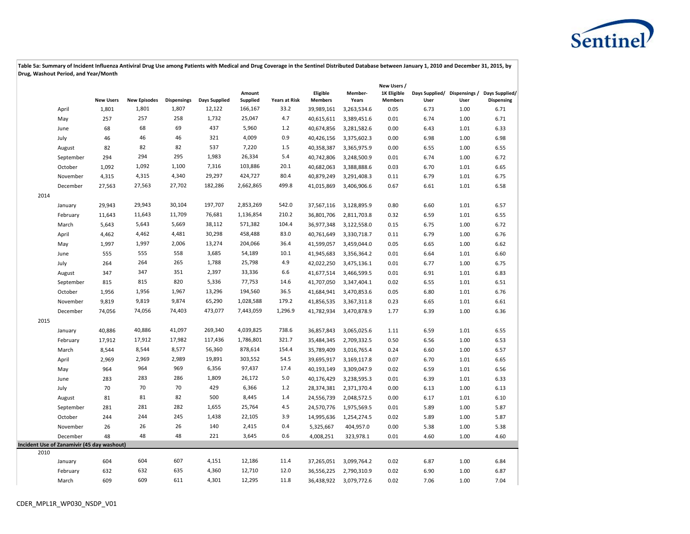

|      |                                            |                  |                     |                    |               |                    |                      |                            |                  | New Users /                   |      |      |                                                                  |
|------|--------------------------------------------|------------------|---------------------|--------------------|---------------|--------------------|----------------------|----------------------------|------------------|-------------------------------|------|------|------------------------------------------------------------------|
|      |                                            | <b>New Users</b> | <b>New Episodes</b> | <b>Dispensings</b> | Days Supplied | Amount<br>Supplied | <b>Years at Risk</b> | Eligible<br><b>Members</b> | Member-<br>Years | 1K Eligible<br><b>Members</b> | User | User | Days Supplied/ Dispensings / Days Supplied/<br><b>Dispensing</b> |
|      | April                                      | 1,801            | 1,801               | 1,807              | 12,122        | 166,167            | 33.2                 | 39,989,161                 | 3,263,534.6      | 0.05                          | 6.73 | 1.00 | 6.71                                                             |
|      | May                                        | 257              | 257                 | 258                | 1,732         | 25,047             | 4.7                  | 40,615,611                 | 3,389,451.6      | 0.01                          | 6.74 | 1.00 | 6.71                                                             |
|      | June                                       | 68               | 68                  | 69                 | 437           | 5,960              | 1.2                  | 40,674,856                 | 3,281,582.6      | 0.00                          | 6.43 | 1.01 | 6.33                                                             |
|      | July                                       | 46               | 46                  | 46                 | 321           | 4,009              | 0.9                  | 40,426,156                 | 3,375,602.3      | 0.00                          | 6.98 | 1.00 | 6.98                                                             |
|      | August                                     | 82               | 82                  | 82                 | 537           | 7,220              | 1.5                  | 40,358,387                 | 3,365,975.9      | 0.00                          | 6.55 | 1.00 | 6.55                                                             |
|      | September                                  | 294              | 294                 | 295                | 1,983         | 26,334             | 5.4                  | 40,742,806                 | 3,248,500.9      | 0.01                          | 6.74 | 1.00 | 6.72                                                             |
|      | October                                    | 1,092            | 1,092               | 1,100              | 7,316         | 103,886            | 20.1                 | 40,682,063                 | 3,388,888.6      | 0.03                          | 6.70 | 1.01 | 6.65                                                             |
|      | November                                   | 4,315            | 4,315               | 4,340              | 29,297        | 424,727            | 80.4                 | 40,879,249                 | 3,291,408.3      | 0.11                          | 6.79 | 1.01 | 6.75                                                             |
|      | December                                   | 27,563           | 27,563              | 27,702             | 182,286       | 2,662,865          | 499.8                | 41,015,869                 | 3,406,906.6      | 0.67                          | 6.61 | 1.01 | 6.58                                                             |
| 2014 |                                            |                  |                     |                    |               |                    |                      |                            |                  |                               |      |      |                                                                  |
|      | January                                    | 29,943           | 29,943              | 30,104             | 197,707       | 2,853,269          | 542.0                | 37,567,116                 | 3,128,895.9      | 0.80                          | 6.60 | 1.01 | 6.57                                                             |
|      | February                                   | 11,643           | 11,643              | 11,709             | 76,681        | 1,136,854          | 210.2                | 36,801,706                 | 2,811,703.8      | 0.32                          | 6.59 | 1.01 | 6.55                                                             |
|      | March                                      | 5,643            | 5,643               | 5,669              | 38,112        | 571,382            | 104.4                | 36,977,348                 | 3,122,558.0      | 0.15                          | 6.75 | 1.00 | 6.72                                                             |
|      | April                                      | 4,462            | 4,462               | 4,481              | 30,298        | 458,488            | 83.0                 | 40,761,649                 | 3,330,718.7      | 0.11                          | 6.79 | 1.00 | 6.76                                                             |
|      | May                                        | 1,997            | 1,997               | 2,006              | 13,274        | 204,066            | 36.4                 | 41,599,057                 | 3,459,044.0      | 0.05                          | 6.65 | 1.00 | 6.62                                                             |
|      | June                                       | 555              | 555                 | 558                | 3,685         | 54,189             | 10.1                 | 41,945,683                 | 3,356,364.2      | 0.01                          | 6.64 | 1.01 | 6.60                                                             |
|      | July                                       | 264              | 264                 | 265                | 1,788         | 25,798             | 4.9                  | 42,022,250                 | 3,475,136.1      | 0.01                          | 6.77 | 1.00 | 6.75                                                             |
|      | August                                     | 347              | 347                 | 351                | 2,397         | 33,336             | 6.6                  | 41,677,514                 | 3,466,599.5      | 0.01                          | 6.91 | 1.01 | 6.83                                                             |
|      | September                                  | 815              | 815                 | 820                | 5,336         | 77,753             | 14.6                 | 41,707,050                 | 3,347,404.1      | 0.02                          | 6.55 | 1.01 | 6.51                                                             |
|      | October                                    | 1,956            | 1,956               | 1,967              | 13,296        | 194,560            | 36.5                 | 41,684,941                 | 3,470,853.6      | 0.05                          | 6.80 | 1.01 | 6.76                                                             |
|      | November                                   | 9,819            | 9,819               | 9,874              | 65,290        | 1,028,588          | 179.2                | 41,856,535                 | 3,367,311.8      | 0.23                          | 6.65 | 1.01 | 6.61                                                             |
|      | December                                   | 74,056           | 74,056              | 74,403             | 473,077       | 7,443,059          | 1,296.9              | 41,782,934                 | 3,470,878.9      | 1.77                          | 6.39 | 1.00 | 6.36                                                             |
| 2015 |                                            |                  |                     |                    |               |                    |                      |                            |                  |                               |      |      |                                                                  |
|      | January                                    | 40,886           | 40,886              | 41,097             | 269,340       | 4,039,825          | 738.6                | 36,857,843                 | 3,065,025.6      | 1.11                          | 6.59 | 1.01 | 6.55                                                             |
|      | February                                   | 17,912           | 17,912              | 17,982             | 117,436       | 1,786,801          | 321.7                | 35,484,345                 | 2,709,332.5      | 0.50                          | 6.56 | 1.00 | 6.53                                                             |
|      | March                                      | 8,544            | 8,544               | 8,577              | 56,360        | 878,614            | 154.4                | 35,789,409                 | 3,016,765.4      | 0.24                          | 6.60 | 1.00 | 6.57                                                             |
|      | April                                      | 2,969            | 2,969               | 2,989              | 19,891        | 303,552            | 54.5                 | 39,695,917                 | 3,169,117.8      | 0.07                          | 6.70 | 1.01 | 6.65                                                             |
|      | May                                        | 964              | 964                 | 969                | 6,356         | 97,437             | 17.4                 | 40,193,149                 | 3,309,047.9      | 0.02                          | 6.59 | 1.01 | 6.56                                                             |
|      | June                                       | 283              | 283                 | 286                | 1,809         | 26,172             | 5.0                  | 40,176,429                 | 3,238,595.3      | 0.01                          | 6.39 | 1.01 | 6.33                                                             |
|      | July                                       | 70               | 70                  | 70                 | 429           | 6,366              | 1.2                  | 28,374,381                 | 2,371,370.4      | 0.00                          | 6.13 | 1.00 | 6.13                                                             |
|      | August                                     | 81               | 81                  | 82                 | 500           | 8,445              | 1.4                  | 24,556,739                 | 2,048,572.5      | 0.00                          | 6.17 | 1.01 | 6.10                                                             |
|      | September                                  | 281              | 281                 | 282                | 1,655         | 25,764             | 4.5                  | 24,570,776                 | 1,975,569.5      | 0.01                          | 5.89 | 1.00 | 5.87                                                             |
|      | October                                    | 244              | 244                 | 245                | 1,438         | 22,105             | 3.9                  | 14,995,636                 | 1,254,274.5      | 0.02                          | 5.89 | 1.00 | 5.87                                                             |
|      | November                                   | 26               | 26                  | 26                 | 140           | 2,415              | 0.4                  | 5,325,667                  | 404,957.0        | 0.00                          | 5.38 | 1.00 | 5.38                                                             |
|      | December                                   | 48               | 48                  | 48                 | 221           | 3,645              | 0.6                  | 4,008,251                  | 323,978.1        | 0.01                          | 4.60 | 1.00 | 4.60                                                             |
|      | Incident Use of Zanamivir (45 day washout) |                  |                     |                    |               |                    |                      |                            |                  |                               |      |      |                                                                  |
| 2010 |                                            |                  |                     |                    |               |                    |                      |                            |                  |                               |      |      |                                                                  |
|      | January                                    | 604              | 604                 | 607                | 4,151         | 12,186             | 11.4                 | 37,265,051                 | 3,099,764.2      | 0.02                          | 6.87 | 1.00 | 6.84                                                             |
|      | February                                   | 632              | 632                 | 635                | 4,360         | 12,710             | 12.0                 | 36,556,225                 | 2,790,310.9      | 0.02                          | 6.90 | 1.00 | 6.87                                                             |
|      | March                                      | 609              | 609                 | 611                | 4,301         | 12,295             | 11.8                 | 36,438,922                 | 3,079,772.6      | 0.02                          | 7.06 | 1.00 | 7.04                                                             |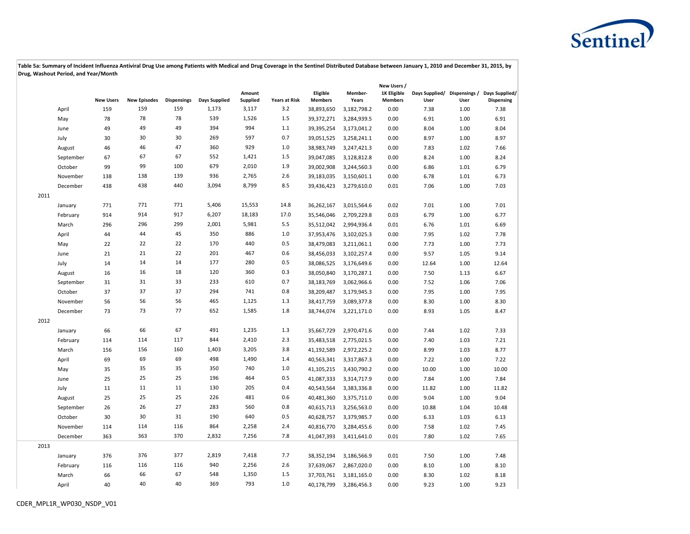

|      |           |                  |                     |                    |               |                           |                      |                            |                  | New Users /                   |       |      |                                                                  |
|------|-----------|------------------|---------------------|--------------------|---------------|---------------------------|----------------------|----------------------------|------------------|-------------------------------|-------|------|------------------------------------------------------------------|
|      |           | <b>New Users</b> | <b>New Episodes</b> | <b>Dispensings</b> | Days Supplied | Amount<br><b>Supplied</b> | <b>Years at Risk</b> | Eligible<br><b>Members</b> | Member-<br>Years | 1K Eligible<br><b>Members</b> | User  | User | Days Supplied/ Dispensings / Days Supplied/<br><b>Dispensing</b> |
|      | April     | 159              | 159                 | 159                | 1,173         | 3,117                     | 3.2                  | 38,893,650                 | 3,182,798.2      | 0.00                          | 7.38  | 1.00 | 7.38                                                             |
|      | May       | 78               | 78                  | 78                 | 539           | 1,526                     | 1.5                  | 39,372,271                 | 3,284,939.5      | 0.00                          | 6.91  | 1.00 | 6.91                                                             |
|      | June      | 49               | 49                  | 49                 | 394           | 994                       | 1.1                  | 39,395,254                 | 3,173,041.2      | 0.00                          | 8.04  | 1.00 | 8.04                                                             |
|      | July      | 30               | 30                  | 30                 | 269           | 597                       | 0.7                  | 39,051,525                 | 3,258,241.1      | 0.00                          | 8.97  | 1.00 | 8.97                                                             |
|      | August    | 46               | 46                  | 47                 | 360           | 929                       | 1.0                  | 38,983,749                 | 3,247,421.3      | 0.00                          | 7.83  | 1.02 | 7.66                                                             |
|      | September | 67               | 67                  | 67                 | 552           | 1,421                     | 1.5                  | 39,047,085                 | 3,128,812.8      | 0.00                          | 8.24  | 1.00 | 8.24                                                             |
|      | October   | 99               | 99                  | 100                | 679           | 2,010                     | 1.9                  | 39,002,908                 | 3,244,560.3      | 0.00                          | 6.86  | 1.01 | 6.79                                                             |
|      | November  | 138              | 138                 | 139                | 936           | 2,765                     | 2.6                  | 39,183,035                 | 3,150,601.1      | 0.00                          | 6.78  | 1.01 | 6.73                                                             |
|      | December  | 438              | 438                 | 440                | 3,094         | 8,799                     | 8.5                  | 39,436,423                 | 3,279,610.0      | 0.01                          | 7.06  | 1.00 | 7.03                                                             |
| 2011 |           |                  |                     |                    |               |                           |                      |                            |                  |                               |       |      |                                                                  |
|      | January   | 771              | 771                 | 771                | 5,406         | 15,553                    | 14.8                 | 36,262,167                 | 3,015,564.6      | 0.02                          | 7.01  | 1.00 | 7.01                                                             |
|      | February  | 914              | 914                 | 917                | 6,207         | 18,183                    | 17.0                 | 35,546,046                 | 2,709,229.8      | 0.03                          | 6.79  | 1.00 | 6.77                                                             |
|      | March     | 296              | 296                 | 299                | 2,001         | 5,981                     | 5.5                  | 35,512,042                 | 2,994,936.4      | 0.01                          | 6.76  | 1.01 | 6.69                                                             |
|      | April     | 44               | 44                  | 45                 | 350           | 886                       | 1.0                  | 37,953,476                 | 3,102,025.3      | 0.00                          | 7.95  | 1.02 | 7.78                                                             |
|      | May       | 22               | 22                  | 22                 | 170           | 440                       | 0.5                  | 38,479,083                 | 3,211,061.1      | 0.00                          | 7.73  | 1.00 | 7.73                                                             |
|      | June      | 21               | 21                  | 22                 | 201           | 467                       | 0.6                  | 38,456,033                 | 3,102,257.4      | 0.00                          | 9.57  | 1.05 | 9.14                                                             |
|      | July      | 14               | 14                  | 14                 | 177           | 280                       | 0.5                  | 38,086,525                 | 3,176,649.6      | 0.00                          | 12.64 | 1.00 | 12.64                                                            |
|      | August    | 16               | 16                  | 18                 | 120           | 360                       | 0.3                  | 38,050,840                 | 3,170,287.1      | 0.00                          | 7.50  | 1.13 | 6.67                                                             |
|      | September | 31               | 31                  | 33                 | 233           | 610                       | 0.7                  | 38,183,769                 | 3,062,966.6      | 0.00                          | 7.52  | 1.06 | 7.06                                                             |
|      | October   | 37               | 37                  | 37                 | 294           | 741                       | 0.8                  | 38,209,487                 | 3,179,945.3      | 0.00                          | 7.95  | 1.00 | 7.95                                                             |
|      | November  | 56               | 56                  | 56                 | 465           | 1,125                     | $1.3\,$              | 38,417,759                 | 3,089,377.8      | 0.00                          | 8.30  | 1.00 | 8.30                                                             |
|      | December  | 73               | 73                  | 77                 | 652           | 1,585                     | 1.8                  | 38,744,074                 | 3,221,171.0      | 0.00                          | 8.93  | 1.05 | 8.47                                                             |
| 2012 |           |                  |                     |                    |               |                           |                      |                            |                  |                               |       |      |                                                                  |
|      | January   | 66               | 66                  | 67                 | 491           | 1,235                     | 1.3                  | 35,667,729                 | 2,970,471.6      | 0.00                          | 7.44  | 1.02 | 7.33                                                             |
|      | February  | 114              | 114                 | 117                | 844           | 2,410                     | 2.3                  | 35,483,518                 | 2,775,021.5      | 0.00                          | 7.40  | 1.03 | 7.21                                                             |
|      | March     | 156              | 156                 | 160                | 1,403         | 3,205                     | 3.8                  | 41,192,589                 | 2,972,225.2      | 0.00                          | 8.99  | 1.03 | 8.77                                                             |
|      | April     | 69               | 69                  | 69                 | 498           | 1,490                     | 1.4                  | 40,563,341                 | 3,317,867.3      | 0.00                          | 7.22  | 1.00 | 7.22                                                             |
|      | May       | 35               | 35                  | 35                 | 350           | 740                       | 1.0                  | 41,105,215                 | 3,430,790.2      | 0.00                          | 10.00 | 1.00 | 10.00                                                            |
|      | June      | 25               | 25                  | 25                 | 196           | 464                       | 0.5                  | 41,087,333                 | 3,314,717.9      | 0.00                          | 7.84  | 1.00 | 7.84                                                             |
|      | July      | 11               | 11                  | 11                 | 130           | 205                       | 0.4                  | 40,543,564                 | 3,383,336.8      | 0.00                          | 11.82 | 1.00 | 11.82                                                            |
|      | August    | 25               | 25                  | 25                 | 226           | 481                       | 0.6                  | 40,481,360                 | 3,375,711.0      | 0.00                          | 9.04  | 1.00 | 9.04                                                             |
|      | September | 26               | 26                  | 27                 | 283           | 560                       | 0.8                  | 40,615,713                 | 3,256,563.0      | 0.00                          | 10.88 | 1.04 | 10.48                                                            |
|      | October   | 30               | 30                  | 31                 | 190           | 640                       | 0.5                  | 40,628,757                 | 3,379,985.7      | 0.00                          | 6.33  | 1.03 | 6.13                                                             |
|      | November  | 114              | 114                 | 116                | 864           | 2,258                     | 2.4                  | 40,816,770                 | 3,284,455.6      | 0.00                          | 7.58  | 1.02 | 7.45                                                             |
|      | December  | 363              | 363                 | 370                | 2,832         | 7,256                     | 7.8                  | 41,047,393                 | 3,411,641.0      | 0.01                          | 7.80  | 1.02 | 7.65                                                             |
| 2013 |           |                  |                     |                    |               |                           |                      |                            |                  |                               |       |      |                                                                  |
|      | January   | 376              | 376                 | 377                | 2,819         | 7,418                     | 7.7                  | 38,352,194                 | 3,186,566.9      | 0.01                          | 7.50  | 1.00 | 7.48                                                             |
|      | February  | 116              | 116                 | 116                | 940           | 2,256                     | 2.6                  | 37,639,067                 | 2,867,020.0      | 0.00                          | 8.10  | 1.00 | 8.10                                                             |
|      | March     | 66               | 66                  | 67                 | 548           | 1,350                     | 1.5                  | 37,703,761                 | 3,181,165.0      | 0.00                          | 8.30  | 1.02 | 8.18                                                             |
|      | April     | 40               | 40                  | 40                 | 369           | 793                       | 1.0                  | 40,178,799                 | 3,286,456.3      | 0.00                          | 9.23  | 1.00 | 9.23                                                             |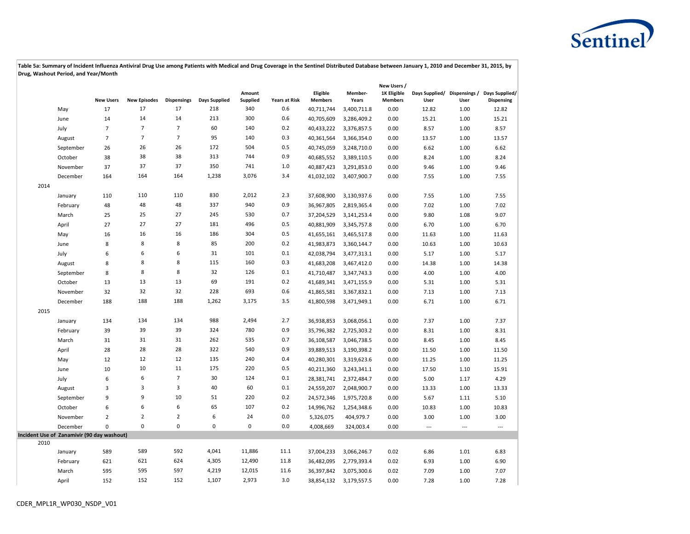

|      |                                            |                  |                     |                    |                      |                    |                      |                            |                  | New Users /                   |                          |                |                                                                  |
|------|--------------------------------------------|------------------|---------------------|--------------------|----------------------|--------------------|----------------------|----------------------------|------------------|-------------------------------|--------------------------|----------------|------------------------------------------------------------------|
|      |                                            | <b>New Users</b> | <b>New Episodes</b> | <b>Dispensings</b> | <b>Days Supplied</b> | Amount<br>Supplied | <b>Years at Risk</b> | Eligible<br><b>Members</b> | Member-<br>Years | 1K Eligible<br><b>Members</b> | User                     | User           | Days Supplied/ Dispensings / Days Supplied/<br><b>Dispensing</b> |
|      | May                                        | 17               | 17                  | 17                 | 218                  | 340                | 0.6                  | 40,711,744                 | 3,400,711.8      | 0.00                          | 12.82                    | 1.00           | 12.82                                                            |
|      | June                                       | 14               | 14                  | 14                 | 213                  | 300                | 0.6                  | 40,705,609                 | 3,286,409.2      | 0.00                          | 15.21                    | 1.00           | 15.21                                                            |
|      | July                                       | $\overline{7}$   | $\overline{7}$      | $\overline{7}$     | 60                   | 140                | 0.2                  | 40,433,222                 | 3,376,857.5      | 0.00                          | 8.57                     | 1.00           | 8.57                                                             |
|      | August                                     | $\overline{7}$   | $\overline{7}$      | $\overline{7}$     | 95                   | 140                | 0.3                  | 40,361,564                 | 3,366,354.0      | 0.00                          | 13.57                    | 1.00           | 13.57                                                            |
|      | September                                  | 26               | 26                  | 26                 | 172                  | 504                | 0.5                  | 40,745,059                 | 3,248,710.0      | 0.00                          | 6.62                     | 1.00           | 6.62                                                             |
|      | October                                    | 38               | 38                  | 38                 | 313                  | 744                | 0.9                  | 40,685,552                 | 3,389,110.5      | 0.00                          | 8.24                     | 1.00           | 8.24                                                             |
|      | November                                   | 37               | 37                  | 37                 | 350                  | 741                | $1.0$                | 40,887,423                 | 3,291,853.0      | 0.00                          | 9.46                     | 1.00           | 9.46                                                             |
|      | December                                   | 164              | 164                 | 164                | 1,238                | 3,076              | 3.4                  | 41,032,102                 | 3,407,900.7      | 0.00                          | 7.55                     | 1.00           | 7.55                                                             |
| 2014 |                                            |                  |                     |                    |                      |                    |                      |                            |                  |                               |                          |                |                                                                  |
|      | January                                    | 110              | 110                 | 110                | 830                  | 2,012              | 2.3                  | 37,608,900                 | 3,130,937.6      | 0.00                          | 7.55                     | 1.00           | 7.55                                                             |
|      | February                                   | 48               | 48                  | 48                 | 337                  | 940                | 0.9                  | 36,967,805                 | 2,819,365.4      | 0.00                          | 7.02                     | 1.00           | 7.02                                                             |
|      | March                                      | 25               | 25                  | 27                 | 245                  | 530                | 0.7                  | 37,204,529                 | 3,141,253.4      | 0.00                          | 9.80                     | 1.08           | 9.07                                                             |
|      | April                                      | 27               | 27                  | 27                 | 181                  | 496                | 0.5                  | 40,881,909                 | 3,345,757.8      | 0.00                          | 6.70                     | 1.00           | 6.70                                                             |
|      | May                                        | 16               | 16                  | 16                 | 186                  | 304                | 0.5                  | 41,655,161                 | 3,465,517.8      | 0.00                          | 11.63                    | 1.00           | 11.63                                                            |
|      | June                                       | 8                | 8                   | 8                  | 85                   | 200                | 0.2                  | 41,983,873                 | 3,360,144.7      | 0.00                          | 10.63                    | 1.00           | 10.63                                                            |
|      | July                                       | 6                | 6                   | 6                  | 31                   | 101                | 0.1                  | 42,038,794                 | 3,477,313.1      | 0.00                          | 5.17                     | 1.00           | 5.17                                                             |
|      | August                                     | 8                | 8                   | 8                  | 115                  | 160                | 0.3                  | 41,683,208                 | 3,467,412.0      | 0.00                          | 14.38                    | 1.00           | 14.38                                                            |
|      | September                                  | 8                | 8                   | 8                  | 32                   | 126                | 0.1                  | 41,710,487                 | 3,347,743.3      | 0.00                          | 4.00                     | 1.00           | 4.00                                                             |
|      | October                                    | 13               | 13                  | 13                 | 69                   | 191                | 0.2                  | 41,689,341                 | 3,471,155.9      | 0.00                          | 5.31                     | 1.00           | 5.31                                                             |
|      | November                                   | 32               | 32                  | 32                 | 228                  | 693                | 0.6                  | 41,865,581                 | 3,367,832.1      | 0.00                          | 7.13                     | 1.00           | 7.13                                                             |
|      | December                                   | 188              | 188                 | 188                | 1,262                | 3,175              | 3.5                  | 41,800,598                 | 3,471,949.1      | 0.00                          | 6.71                     | 1.00           | 6.71                                                             |
| 2015 |                                            |                  |                     |                    |                      |                    |                      |                            |                  |                               |                          |                |                                                                  |
|      | January                                    | 134              | 134                 | 134                | 988                  | 2,494              | 2.7                  | 36,938,853                 | 3,068,056.1      | 0.00                          | 7.37                     | 1.00           | 7.37                                                             |
|      | February                                   | 39               | 39                  | 39                 | 324                  | 780                | 0.9                  | 35,796,382                 | 2,725,303.2      | 0.00                          | 8.31                     | 1.00           | 8.31                                                             |
|      | March                                      | 31               | 31                  | 31                 | 262                  | 535                | 0.7                  | 36,108,587                 | 3,046,738.5      | 0.00                          | 8.45                     | 1.00           | 8.45                                                             |
|      | April                                      | 28               | 28                  | 28                 | 322                  | 540                | 0.9                  | 39,889,513                 | 3,190,398.2      | 0.00                          | 11.50                    | 1.00           | 11.50                                                            |
|      | May                                        | 12               | 12                  | 12                 | 135                  | 240                | 0.4                  | 40,280,301                 | 3,319,623.6      | 0.00                          | 11.25                    | 1.00           | 11.25                                                            |
|      | June                                       | 10               | 10                  | 11                 | 175                  | 220                | 0.5                  | 40,211,360                 | 3,243,341.1      | 0.00                          | 17.50                    | 1.10           | 15.91                                                            |
|      | July                                       | 6                | 6                   | $\overline{7}$     | 30                   | 124                | 0.1                  | 28,381,741                 | 2,372,484.7      | 0.00                          | 5.00                     | 1.17           | 4.29                                                             |
|      | August                                     | 3                | 3                   | 3                  | 40                   | 60                 | 0.1                  | 24,559,207                 | 2,048,900.7      | 0.00                          | 13.33                    | 1.00           | 13.33                                                            |
|      | September                                  | 9                | 9                   | 10                 | 51                   | 220                | 0.2                  | 24,572,346                 | 1,975,720.8      | 0.00                          | 5.67                     | 1.11           | 5.10                                                             |
|      | October                                    | 6                | 6                   | 6                  | 65                   | 107                | 0.2                  | 14,996,762                 | 1,254,348.6      | 0.00                          | 10.83                    | 1.00           | 10.83                                                            |
|      | November                                   | $\overline{2}$   | $\overline{2}$      | $\overline{2}$     | 6                    | 24                 | 0.0                  | 5,326,075                  | 404,979.7        | 0.00                          | 3.00                     | 1.00           | 3.00                                                             |
|      | December                                   | $\mathbf 0$      | $\pmb{0}$           | 0                  | $\pmb{0}$            | $\pmb{0}$          | 0.0                  | 4,008,669                  | 324,003.4        | 0.00                          | $\overline{\phantom{a}}$ | $\overline{a}$ | $\overline{a}$                                                   |
|      | Incident Use of Zanamivir (90 day washout) |                  |                     |                    |                      |                    |                      |                            |                  |                               |                          |                |                                                                  |
| 2010 |                                            |                  |                     |                    |                      |                    |                      |                            |                  |                               |                          |                |                                                                  |
|      | January                                    | 589              | 589                 | 592                | 4,041                | 11,886             | 11.1                 | 37,004,233                 | 3,066,246.7      | 0.02                          | 6.86                     | 1.01           | 6.83                                                             |
|      | February                                   | 621              | 621                 | 624                | 4,305                | 12,490             | 11.8                 | 36,482,095                 | 2,779,393.4      | 0.02                          | 6.93                     | 1.00           | 6.90                                                             |
|      | March                                      | 595              | 595                 | 597                | 4,219                | 12,015             | 11.6                 | 36,397,842                 | 3,075,300.6      | 0.02                          | 7.09                     | 1.00           | 7.07                                                             |
|      | April                                      | 152              | 152                 | 152                | 1,107                | 2,973              | 3.0                  | 38,854,132                 | 3,179,557.5      | 0.00                          | 7.28                     | 1.00           | 7.28                                                             |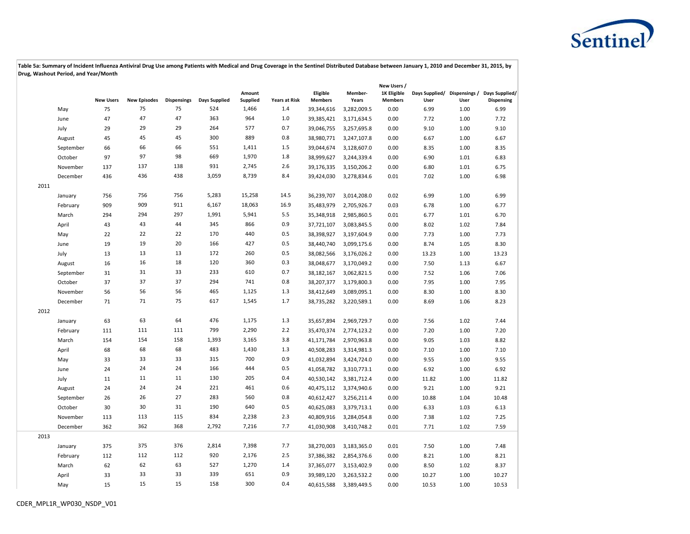

|      |           |                  |                     |                    |               |                           |                      |                            |                  | New Users /                   |       |      |                                                                  |
|------|-----------|------------------|---------------------|--------------------|---------------|---------------------------|----------------------|----------------------------|------------------|-------------------------------|-------|------|------------------------------------------------------------------|
|      |           | <b>New Users</b> | <b>New Episodes</b> | <b>Dispensings</b> | Days Supplied | Amount<br><b>Supplied</b> | <b>Years at Risk</b> | Eligible<br><b>Members</b> | Member-<br>Years | 1K Eligible<br><b>Members</b> | User  | User | Days Supplied/ Dispensings / Days Supplied/<br><b>Dispensing</b> |
|      | May       | 75               | 75                  | 75                 | 524           | 1,466                     | 1.4                  | 39,344,616                 | 3,282,009.5      | 0.00                          | 6.99  | 1.00 | 6.99                                                             |
|      | June      | 47               | 47                  | 47                 | 363           | 964                       | 1.0                  | 39,385,421                 | 3,171,634.5      | 0.00                          | 7.72  | 1.00 | 7.72                                                             |
|      | July      | 29               | 29                  | 29                 | 264           | 577                       | 0.7                  | 39,046,755                 | 3,257,695.8      | 0.00                          | 9.10  | 1.00 | 9.10                                                             |
|      | August    | 45               | 45                  | 45                 | 300           | 889                       | 0.8                  | 38,980,771                 | 3,247,107.8      | 0.00                          | 6.67  | 1.00 | 6.67                                                             |
|      | September | 66               | 66                  | 66                 | 551           | 1,411                     | 1.5                  | 39,044,674                 | 3,128,607.0      | 0.00                          | 8.35  | 1.00 | 8.35                                                             |
|      | October   | 97               | 97                  | 98                 | 669           | 1,970                     | 1.8                  | 38,999,627                 | 3,244,339.4      | 0.00                          | 6.90  | 1.01 | 6.83                                                             |
|      | November  | 137              | 137                 | 138                | 931           | 2,745                     | 2.6                  | 39,176,335                 | 3,150,206.2      | 0.00                          | 6.80  | 1.01 | 6.75                                                             |
|      | December  | 436              | 436                 | 438                | 3,059         | 8,739                     | 8.4                  | 39,424,030                 | 3,278,834.6      | 0.01                          | 7.02  | 1.00 | 6.98                                                             |
| 2011 |           |                  |                     |                    |               |                           |                      |                            |                  |                               |       |      |                                                                  |
|      | January   | 756              | 756                 | 756                | 5,283         | 15,258                    | 14.5                 | 36,239,707                 | 3,014,208.0      | 0.02                          | 6.99  | 1.00 | 6.99                                                             |
|      | February  | 909              | 909                 | 911                | 6,167         | 18,063                    | 16.9                 | 35,483,979                 | 2,705,926.7      | 0.03                          | 6.78  | 1.00 | 6.77                                                             |
|      | March     | 294              | 294                 | 297                | 1,991         | 5,941                     | 5.5                  | 35,348,918                 | 2,985,860.5      | 0.01                          | 6.77  | 1.01 | 6.70                                                             |
|      | April     | 43               | 43                  | 44                 | 345           | 866                       | 0.9                  | 37,721,107                 | 3,083,845.5      | 0.00                          | 8.02  | 1.02 | 7.84                                                             |
|      | May       | 22               | 22                  | 22                 | 170           | 440                       | 0.5                  | 38,398,927                 | 3,197,604.9      | 0.00                          | 7.73  | 1.00 | 7.73                                                             |
|      | June      | 19               | 19                  | 20                 | 166           | 427                       | 0.5                  | 38,440,740                 | 3,099,175.6      | 0.00                          | 8.74  | 1.05 | 8.30                                                             |
|      | July      | 13               | 13                  | 13                 | 172           | 260                       | 0.5                  | 38,082,566                 | 3,176,026.2      | 0.00                          | 13.23 | 1.00 | 13.23                                                            |
|      | August    | 16               | 16                  | 18                 | 120           | 360                       | 0.3                  | 38,048,677                 | 3,170,049.2      | 0.00                          | 7.50  | 1.13 | 6.67                                                             |
|      | September | 31               | 31                  | 33                 | 233           | 610                       | 0.7                  | 38,182,167                 | 3,062,821.5      | 0.00                          | 7.52  | 1.06 | 7.06                                                             |
|      | October   | 37               | 37                  | 37                 | 294           | 741                       | 0.8                  | 38,207,377                 | 3,179,800.3      | 0.00                          | 7.95  | 1.00 | 7.95                                                             |
|      | November  | 56               | 56                  | 56                 | 465           | 1,125                     | 1.3                  | 38,412,649                 | 3,089,095.1      | 0.00                          | 8.30  | 1.00 | 8.30                                                             |
|      | December  | 71               | 71                  | 75                 | 617           | 1,545                     | 1.7                  | 38,735,282                 | 3,220,589.1      | 0.00                          | 8.69  | 1.06 | 8.23                                                             |
| 2012 |           |                  |                     |                    |               |                           |                      |                            |                  |                               |       |      |                                                                  |
|      | January   | 63               | 63                  | 64                 | 476           | 1,175                     | 1.3                  | 35,657,894                 | 2,969,729.7      | 0.00                          | 7.56  | 1.02 | 7.44                                                             |
|      | February  | 111              | 111                 | 111                | 799           | 2,290                     | 2.2                  | 35,470,374                 | 2,774,123.2      | 0.00                          | 7.20  | 1.00 | 7.20                                                             |
|      | March     | 154              | 154                 | 158                | 1,393         | 3,165                     | 3.8                  | 41,171,784                 | 2,970,963.8      | 0.00                          | 9.05  | 1.03 | 8.82                                                             |
|      | April     | 68               | 68                  | 68                 | 483           | 1,430                     | 1.3                  | 40,508,283                 | 3,314,981.3      | 0.00                          | 7.10  | 1.00 | 7.10                                                             |
|      | May       | 33               | 33                  | 33                 | 315           | 700                       | 0.9                  | 41,032,894                 | 3,424,724.0      | 0.00                          | 9.55  | 1.00 | 9.55                                                             |
|      | June      | 24               | 24                  | 24                 | 166           | 444                       | 0.5                  | 41,058,782                 | 3,310,773.1      | 0.00                          | 6.92  | 1.00 | 6.92                                                             |
|      | July      | 11               | 11                  | 11                 | 130           | 205                       | 0.4                  | 40,530,142                 | 3,381,712.4      | 0.00                          | 11.82 | 1.00 | 11.82                                                            |
|      | August    | 24               | 24                  | 24                 | 221           | 461                       | 0.6                  | 40,475,112                 | 3,374,940.6      | 0.00                          | 9.21  | 1.00 | 9.21                                                             |
|      | September | 26               | 26                  | 27                 | 283           | 560                       | 0.8                  | 40,612,427                 | 3,256,211.4      | 0.00                          | 10.88 | 1.04 | 10.48                                                            |
|      | October   | 30               | 30                  | 31                 | 190           | 640                       | 0.5                  | 40,625,083                 | 3,379,713.1      | 0.00                          | 6.33  | 1.03 | 6.13                                                             |
|      | November  | 113              | 113                 | 115                | 834           | 2,238                     | 2.3                  | 40,809,916                 | 3,284,054.8      | 0.00                          | 7.38  | 1.02 | 7.25                                                             |
|      | December  | 362              | 362                 | 368                | 2,792         | 7,216                     | 7.7                  | 41,030,908                 | 3,410,748.2      | 0.01                          | 7.71  | 1.02 | 7.59                                                             |
| 2013 |           |                  |                     |                    |               |                           |                      |                            |                  |                               |       |      |                                                                  |
|      | January   | 375              | 375                 | 376                | 2,814         | 7,398                     | 7.7                  | 38,270,003                 | 3,183,365.0      | 0.01                          | 7.50  | 1.00 | 7.48                                                             |
|      | February  | 112              | 112                 | 112                | 920           | 2,176                     | 2.5                  | 37,386,382                 | 2,854,376.6      | 0.00                          | 8.21  | 1.00 | 8.21                                                             |
|      | March     | 62               | 62                  | 63                 | 527           | 1,270                     | 1.4                  | 37,365,077                 | 3,153,402.9      | 0.00                          | 8.50  | 1.02 | 8.37                                                             |
|      | April     | 33               | 33                  | 33                 | 339           | 651                       | 0.9                  | 39,989,120                 | 3,263,532.2      | 0.00                          | 10.27 | 1.00 | 10.27                                                            |
|      | May       | 15               | 15                  | 15                 | 158           | 300                       | 0.4                  | 40,615,588                 | 3,389,449.5      | 0.00                          | 10.53 | 1.00 | 10.53                                                            |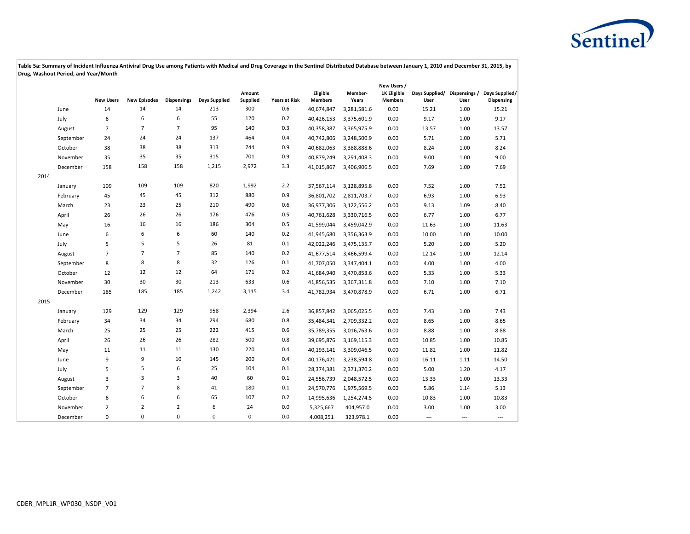

|      |           |                  |                     |                    |                      |                    |                      |                            |                  | New Users /                   |                                      |       |                                     |
|------|-----------|------------------|---------------------|--------------------|----------------------|--------------------|----------------------|----------------------------|------------------|-------------------------------|--------------------------------------|-------|-------------------------------------|
|      |           | <b>New Users</b> | <b>New Episodes</b> | <b>Dispensings</b> | <b>Days Supplied</b> | Amount<br>Supplied | <b>Years at Risk</b> | Eligible<br><b>Members</b> | Member-<br>Years | 1K Eligible<br><b>Members</b> | Days Supplied/ Dispensings /<br>User | User  | Days Supplied/<br><b>Dispensing</b> |
|      | June      | 14               | 14                  | 14                 | 213                  | 300                | 0.6                  | 40,674,847                 | 3,281,581.6      | 0.00                          | 15.21                                | 1.00  | 15.21                               |
|      | July      | 6                | 6                   | 6                  | 55                   | 120                | 0.2                  | 40,426,153                 | 3,375,601.9      | 0.00                          | 9.17                                 | 1.00  | 9.17                                |
|      | August    | $\overline{7}$   | $\overline{7}$      | $\overline{7}$     | 95                   | 140                | 0.3                  | 40,358,387                 | 3,365,975.9      | 0.00                          | 13.57                                | 1.00  | 13.57                               |
|      | September | 24               | 24                  | 24                 | 137                  | 464                | 0.4                  | 40,742,806                 | 3,248,500.9      | 0.00                          | 5.71                                 | 1.00  | 5.71                                |
|      | October   | 38               | 38                  | 38                 | 313                  | 744                | 0.9                  | 40,682,063                 | 3,388,888.6      | 0.00                          | 8.24                                 | 1.00  | 8.24                                |
|      | November  | 35               | 35                  | 35                 | 315                  | 701                | 0.9                  | 40,879,249                 | 3,291,408.3      | 0.00                          | 9.00                                 | 1.00  | 9.00                                |
|      | December  | 158              | 158                 | 158                | 1,215                | 2,972              | 3.3                  | 41,015,867                 | 3,406,906.5      | 0.00                          | 7.69                                 | 1.00  | 7.69                                |
| 2014 |           |                  |                     |                    |                      |                    |                      |                            |                  |                               |                                      |       |                                     |
|      | January   | 109              | 109                 | 109                | 820                  | 1,992              | 2.2                  | 37,567,114                 | 3,128,895.8      | 0.00                          | 7.52                                 | 1.00  | 7.52                                |
|      | February  | 45               | 45                  | 45                 | 312                  | 880                | 0.9                  | 36,801,702                 | 2,811,703.7      | 0.00                          | 6.93                                 | 1.00  | 6.93                                |
|      | March     | 23               | 23                  | 25                 | 210                  | 490                | 0.6                  | 36,977,306                 | 3,122,556.2      | 0.00                          | 9.13                                 | 1.09  | 8.40                                |
|      | April     | 26               | 26                  | 26                 | 176                  | 476                | 0.5                  | 40,761,628                 | 3,330,716.5      | 0.00                          | 6.77                                 | 1.00  | 6.77                                |
|      | May       | 16               | 16                  | 16                 | 186                  | 304                | 0.5                  | 41,599,044                 | 3,459,042.9      | 0.00                          | 11.63                                | 1.00  | 11.63                               |
|      | June      | 6                | 6                   | 6                  | 60                   | 140                | 0.2                  | 41,945,680                 | 3,356,363.9      | 0.00                          | 10.00                                | 1.00  | 10.00                               |
|      | July      | 5                | 5                   | 5                  | 26                   | 81                 | 0.1                  | 42,022,246                 | 3,475,135.7      | 0.00                          | 5.20                                 | 1.00  | 5.20                                |
|      | August    | $\overline{7}$   | $\overline{7}$      | $\overline{7}$     | 85                   | 140                | 0.2                  | 41,677,514                 | 3,466,599.4      | 0.00                          | 12.14                                | 1.00  | 12.14                               |
|      | September | 8                | 8                   | 8                  | 32                   | 126                | 0.1                  | 41,707,050                 | 3,347,404.1      | 0.00                          | 4.00                                 | 1.00  | 4.00                                |
|      | October   | 12               | 12                  | 12                 | 64                   | 171                | 0.2                  | 41,684,940                 | 3,470,853.6      | 0.00                          | 5.33                                 | 1.00  | 5.33                                |
|      | November  | 30               | 30                  | 30                 | 213                  | 633                | 0.6                  | 41,856,535                 | 3,367,311.8      | 0.00                          | 7.10                                 | 1.00  | 7.10                                |
|      | December  | 185              | 185                 | 185                | 1,242                | 3,115              | 3.4                  | 41,782,934                 | 3,470,878.9      | 0.00                          | 6.71                                 | 1.00  | 6.71                                |
| 2015 |           |                  |                     |                    |                      |                    |                      |                            |                  |                               |                                      |       |                                     |
|      | January   | 129              | 129                 | 129                | 958                  | 2,394              | 2.6                  | 36,857,842                 | 3,065,025.5      | 0.00                          | 7.43                                 | 1.00  | 7.43                                |
|      | February  | 34               | 34                  | 34                 | 294                  | 680                | 0.8                  | 35,484,341                 | 2,709,332.2      | 0.00                          | 8.65                                 | 1.00  | 8.65                                |
|      | March     | 25               | 25                  | 25                 | 222                  | 415                | 0.6                  | 35,789,355                 | 3,016,763.6      | 0.00                          | 8.88                                 | 1.00  | 8.88                                |
|      | April     | 26               | 26                  | 26                 | 282                  | 500                | 0.8                  | 39,695,876                 | 3,169,115.3      | 0.00                          | 10.85                                | 1.00  | 10.85                               |
|      | May       | 11               | 11                  | 11                 | 130                  | 220                | 0.4                  | 40,193,141                 | 3,309,046.5      | 0.00                          | 11.82                                | 1.00  | 11.82                               |
|      | June      | 9                | 9                   | 10                 | 145                  | 200                | 0.4                  | 40,176,421                 | 3,238,594.8      | 0.00                          | 16.11                                | 1.11  | 14.50                               |
|      | July      | 5                | 5                   | 6                  | 25                   | 104                | 0.1                  | 28,374,381                 | 2,371,370.2      | 0.00                          | 5.00                                 | 1.20  | 4.17                                |
|      | August    | 3                | 3                   | 3                  | 40                   | 60                 | 0.1                  | 24,556,739                 | 2,048,572.5      | 0.00                          | 13.33                                | 1.00  | 13.33                               |
|      | September | $\overline{7}$   | $\overline{7}$      | 8                  | 41                   | 180                | 0.1                  | 24,570,776                 | 1,975,569.5      | 0.00                          | 5.86                                 | 1.14  | 5.13                                |
|      | October   | 6                | 6                   | 6                  | 65                   | 107                | 0.2                  | 14,995,636                 | 1,254,274.5      | 0.00                          | 10.83                                | 1.00  | 10.83                               |
|      | November  | $\overline{2}$   | $\overline{2}$      | $\overline{2}$     | 6                    | 24                 | $0.0\,$              | 5,325,667                  | 404,957.0        | 0.00                          | 3.00                                 | 1.00  | 3.00                                |
|      | December  | $\Omega$         | $\mathbf 0$         | $\Omega$           | $\mathbf 0$          | 0                  | 0.0                  | 4,008,251                  | 323,978.1        | 0.00                          | $\overline{\phantom{a}}$             | $---$ |                                     |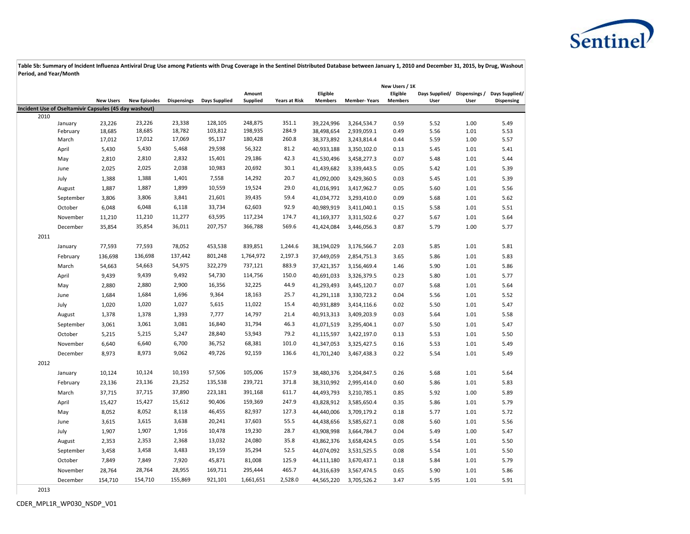

|                                                       |           |                  |                     |                    |               |           |                      |                |                     | New Users / 1K |      |      |                                             |
|-------------------------------------------------------|-----------|------------------|---------------------|--------------------|---------------|-----------|----------------------|----------------|---------------------|----------------|------|------|---------------------------------------------|
|                                                       |           |                  |                     |                    |               | Amount    |                      | Eligible       |                     | Eligible       |      |      | Days Supplied/ Dispensings / Days Supplied/ |
| Incident Use of Oseltamivir Capsules (45 day washout) |           | <b>New Users</b> | <b>New Episodes</b> | <b>Dispensings</b> | Days Supplied | Supplied  | <b>Years at Risk</b> | <b>Members</b> | <b>Member-Years</b> | <b>Members</b> | User | User | Dispensing                                  |
| 2010                                                  |           |                  |                     |                    |               |           |                      |                |                     |                |      |      |                                             |
|                                                       | January   | 23,226           | 23,226              | 23,338             | 128,105       | 248,875   | 351.1                | 39,224,996     | 3,264,534.7         | 0.59           | 5.52 | 1.00 | 5.49                                        |
|                                                       | February  | 18,685           | 18,685              | 18,782             | 103,812       | 198,935   | 284.9                | 38,498,654     | 2,939,059.1         | 0.49           | 5.56 | 1.01 | 5.53                                        |
|                                                       | March     | 17,012           | 17,012              | 17,069             | 95,137        | 180,428   | 260.8                | 38,373,892     | 3,243,814.4         | 0.44           | 5.59 | 1.00 | 5.57                                        |
|                                                       | April     | 5,430            | 5,430               | 5,468              | 29,598        | 56,322    | 81.2                 | 40,933,188     | 3,350,102.0         | 0.13           | 5.45 | 1.01 | 5.41                                        |
|                                                       | May       | 2,810            | 2,810               | 2,832              | 15,401        | 29,186    | 42.3                 | 41,530,496     | 3,458,277.3         | 0.07           | 5.48 | 1.01 | 5.44                                        |
|                                                       | June      | 2,025            | 2,025               | 2,038              | 10,983        | 20,692    | 30.1                 | 41,439,682     | 3,339,443.5         | 0.05           | 5.42 | 1.01 | 5.39                                        |
|                                                       | July      | 1,388            | 1,388               | 1,401              | 7,558         | 14,292    | 20.7                 | 41,092,000     | 3,429,360.5         | 0.03           | 5.45 | 1.01 | 5.39                                        |
|                                                       | August    | 1,887            | 1,887               | 1,899              | 10,559        | 19,524    | 29.0                 | 41,016,991     | 3,417,962.7         | 0.05           | 5.60 | 1.01 | 5.56                                        |
|                                                       | September | 3,806            | 3,806               | 3,841              | 21,601        | 39,435    | 59.4                 | 41,034,772     | 3,293,410.0         | 0.09           | 5.68 | 1.01 | 5.62                                        |
|                                                       | October   | 6,048            | 6,048               | 6,118              | 33,734        | 62,603    | 92.9                 | 40,989,919     | 3,411,040.1         | 0.15           | 5.58 | 1.01 | 5.51                                        |
|                                                       | November  | 11,210           | 11,210              | 11,277             | 63,595        | 117,234   | 174.7                | 41,169,377     | 3,311,502.6         | 0.27           | 5.67 | 1.01 | 5.64                                        |
|                                                       | December  | 35,854           | 35,854              | 36,011             | 207,757       | 366,788   | 569.6                | 41,424,084     | 3,446,056.3         | 0.87           | 5.79 | 1.00 | 5.77                                        |
| 2011                                                  |           |                  |                     |                    |               |           |                      |                |                     |                |      |      |                                             |
|                                                       | January   | 77,593           | 77,593              | 78,052             | 453,538       | 839,851   | 1,244.6              | 38,194,029     | 3,176,566.7         | 2.03           | 5.85 | 1.01 | 5.81                                        |
|                                                       | February  | 136,698          | 136,698             | 137,442            | 801,248       | 1,764,972 | 2,197.3              | 37,449,059     | 2,854,751.3         | 3.65           | 5.86 | 1.01 | 5.83                                        |
|                                                       | March     | 54,663           | 54,663              | 54,975             | 322,279       | 737,121   | 883.9                | 37,421,357     | 3,156,469.4         | 1.46           | 5.90 | 1.01 | 5.86                                        |
|                                                       | April     | 9,439            | 9,439               | 9,492              | 54,730        | 114,756   | 150.0                | 40,691,033     | 3,326,379.5         | 0.23           | 5.80 | 1.01 | 5.77                                        |
|                                                       | May       | 2,880            | 2,880               | 2,900              | 16,356        | 32,225    | 44.9                 | 41,293,493     | 3,445,120.7         | 0.07           | 5.68 | 1.01 | 5.64                                        |
|                                                       | June      | 1,684            | 1,684               | 1,696              | 9,364         | 18,163    | 25.7                 | 41,291,118     | 3,330,723.2         | 0.04           | 5.56 | 1.01 | 5.52                                        |
|                                                       | July      | 1,020            | 1,020               | 1,027              | 5,615         | 11,022    | 15.4                 | 40,931,889     | 3,414,116.6         | 0.02           | 5.50 | 1.01 | 5.47                                        |
|                                                       | August    | 1,378            | 1,378               | 1,393              | 7,777         | 14,797    | 21.4                 | 40,913,313     | 3,409,203.9         | 0.03           | 5.64 | 1.01 | 5.58                                        |
|                                                       | September | 3,061            | 3,061               | 3,081              | 16,840        | 31,794    | 46.3                 | 41,071,519     | 3,295,404.1         | 0.07           | 5.50 | 1.01 | 5.47                                        |
|                                                       | October   | 5,215            | 5,215               | 5,247              | 28,840        | 53,943    | 79.2                 | 41,115,597     | 3,422,197.0         | 0.13           | 5.53 | 1.01 | 5.50                                        |
|                                                       | November  | 6,640            | 6,640               | 6,700              | 36,752        | 68,381    | 101.0                | 41,347,053     | 3,325,427.5         | 0.16           | 5.53 | 1.01 | 5.49                                        |
|                                                       | December  | 8,973            | 8,973               | 9,062              | 49,726        | 92,159    | 136.6                | 41,701,240     | 3,467,438.3         | 0.22           | 5.54 | 1.01 | 5.49                                        |
| 2012                                                  |           |                  |                     |                    |               |           |                      |                |                     |                |      |      |                                             |
|                                                       | January   | 10,124           | 10,124              | 10,193             | 57,506        | 105,006   | 157.9                | 38,480,376     | 3,204,847.5         | 0.26           | 5.68 | 1.01 | 5.64                                        |
|                                                       | February  | 23,136           | 23,136              | 23,252             | 135,538       | 239,721   | 371.8                | 38,310,992     | 2,995,414.0         | 0.60           | 5.86 | 1.01 | 5.83                                        |
|                                                       | March     | 37,715           | 37,715              | 37,890             | 223,181       | 391,168   | 611.7                | 44,493,793     | 3,210,785.1         | 0.85           | 5.92 | 1.00 | 5.89                                        |
|                                                       | April     | 15,427           | 15,427              | 15,612             | 90,406        | 159,369   | 247.9                | 43,828,912     | 3,585,650.4         | 0.35           | 5.86 | 1.01 | 5.79                                        |
|                                                       | May       | 8,052            | 8,052               | 8,118              | 46,455        | 82,937    | 127.3                | 44,440,006     | 3,709,179.2         | 0.18           | 5.77 | 1.01 | 5.72                                        |
|                                                       | June      | 3,615            | 3,615               | 3,638              | 20,241        | 37,603    | 55.5                 | 44,438,656     | 3,585,627.1         | 0.08           | 5.60 | 1.01 | 5.56                                        |
|                                                       | July      | 1,907            | 1,907               | 1,916              | 10,478        | 19,230    | 28.7                 | 43,908,998     | 3,664,784.7         | 0.04           | 5.49 | 1.00 | 5.47                                        |
|                                                       | August    | 2,353            | 2,353               | 2,368              | 13,032        | 24,080    | 35.8                 | 43,862,376     | 3,658,424.5         | 0.05           | 5.54 | 1.01 | 5.50                                        |
|                                                       | September | 3,458            | 3,458               | 3,483              | 19,159        | 35,294    | 52.5                 | 44,074,092     | 3,531,525.5         | 0.08           | 5.54 | 1.01 | 5.50                                        |
|                                                       | October   | 7,849            | 7,849               | 7,920              | 45,871        | 81,008    | 125.9                | 44,111,180     | 3,670,437.1         | 0.18           | 5.84 | 1.01 | 5.79                                        |
|                                                       | November  | 28,764           | 28,764              | 28,955             | 169,711       | 295,444   | 465.7                | 44,316,639     | 3,567,474.5         | 0.65           | 5.90 | 1.01 | 5.86                                        |
|                                                       | December  | 154,710          | 154,710             | 155,869            | 921,101       | 1,661,651 | 2,528.0              | 44,565,220     | 3,705,526.2         | 3.47           | 5.95 | 1.01 | 5.91                                        |
| 2013                                                  |           |                  |                     |                    |               |           |                      |                |                     |                |      |      |                                             |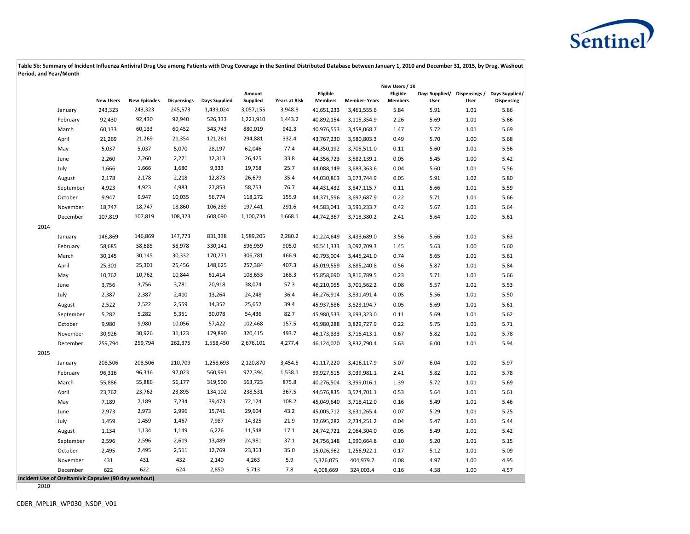

|      |                                                       |                  |                     |                    |               |                    |                      |                            |                     | New Users / 1K             |                                      |      |                              |
|------|-------------------------------------------------------|------------------|---------------------|--------------------|---------------|--------------------|----------------------|----------------------------|---------------------|----------------------------|--------------------------------------|------|------------------------------|
|      |                                                       | <b>New Users</b> | <b>New Episodes</b> | <b>Dispensings</b> | Days Supplied | Amount<br>Supplied | <b>Years at Risk</b> | Eligible<br><b>Members</b> | <b>Member-Years</b> | Eligible<br><b>Members</b> | Days Supplied/ Dispensings /<br>User | User | Days Supplied/<br>Dispensing |
|      | January                                               | 243,323          | 243,323             | 245,573            | 1,439,024     | 3,057,155          | 3,948.8              | 41,651,233                 | 3,461,555.6         | 5.84                       | 5.91                                 | 1.01 | 5.86                         |
|      | February                                              | 92,430           | 92,430              | 92,940             | 526,333       | 1,221,910          | 1,443.2              | 40,892,154                 | 3,115,354.9         | 2.26                       | 5.69                                 | 1.01 | 5.66                         |
|      | March                                                 | 60,133           | 60,133              | 60,452             | 343,743       | 880,019            | 942.3                | 40,976,553                 | 3,458,068.7         | 1.47                       | 5.72                                 | 1.01 | 5.69                         |
|      | April                                                 | 21,269           | 21,269              | 21,354             | 121,261       | 294,881            | 332.4                | 43,767,230                 | 3,580,803.3         | 0.49                       | 5.70                                 | 1.00 | 5.68                         |
|      | May                                                   | 5,037            | 5,037               | 5,070              | 28,197        | 62,046             | 77.4                 | 44,350,192                 | 3,705,511.0         | 0.11                       | 5.60                                 | 1.01 | 5.56                         |
|      | June                                                  | 2,260            | 2,260               | 2,271              | 12,313        | 26,425             | 33.8                 | 44,356,723                 | 3,582,139.1         | 0.05                       | 5.45                                 | 1.00 | 5.42                         |
|      | July                                                  | 1,666            | 1,666               | 1,680              | 9,333         | 19,768             | 25.7                 | 44,088,149                 | 3,683,363.6         | 0.04                       | 5.60                                 | 1.01 | 5.56                         |
|      | August                                                | 2,178            | 2,178               | 2,218              | 12,873        | 26,679             | 35.4                 | 44,030,863                 | 3,673,744.9         | 0.05                       | 5.91                                 | 1.02 | 5.80                         |
|      | September                                             | 4,923            | 4,923               | 4,983              | 27,853        | 58,753             | 76.7                 | 44,431,432                 | 3,547,115.7         | 0.11                       | 5.66                                 | 1.01 | 5.59                         |
|      | October                                               | 9,947            | 9,947               | 10,035             | 56,774        | 118,272            | 155.9                | 44,371,596                 | 3,697,687.9         | 0.22                       | 5.71                                 | 1.01 | 5.66                         |
|      | November                                              | 18,747           | 18,747              | 18,860             | 106,289       | 197,441            | 291.6                | 44,583,041                 | 3,591,233.7         | 0.42                       | 5.67                                 | 1.01 | 5.64                         |
|      | December                                              | 107,819          | 107,819             | 108,323            | 608,090       | 1,100,734          | 1,668.1              | 44,742,367                 | 3,718,380.2         | 2.41                       | 5.64                                 | 1.00 | 5.61                         |
| 2014 |                                                       |                  |                     |                    |               |                    |                      |                            |                     |                            |                                      |      |                              |
|      | January                                               | 146,869          | 146,869             | 147,773            | 831,338       | 1,589,205          | 2,280.2              | 41,224,649                 | 3,433,689.0         | 3.56                       | 5.66                                 | 1.01 | 5.63                         |
|      | February                                              | 58,685           | 58,685              | 58,978             | 330,141       | 596,959            | 905.0                | 40,541,333                 | 3,092,709.3         | 1.45                       | 5.63                                 | 1.00 | 5.60                         |
|      | March                                                 | 30,145           | 30,145              | 30,332             | 170,271       | 306,781            | 466.9                | 40,793,004                 | 3,445,241.0         | 0.74                       | 5.65                                 | 1.01 | 5.61                         |
|      | April                                                 | 25,301           | 25,301              | 25,456             | 148,625       | 257,384            | 407.3                | 45,019,559                 | 3,685,240.8         | 0.56                       | 5.87                                 | 1.01 | 5.84                         |
|      | May                                                   | 10,762           | 10,762              | 10,844             | 61,414        | 108,653            | 168.3                | 45,858,690                 | 3,816,789.5         | 0.23                       | 5.71                                 | 1.01 | 5.66                         |
|      | June                                                  | 3,756            | 3,756               | 3,781              | 20,918        | 38,074             | 57.3                 | 46,210,055                 | 3,701,562.2         | 0.08                       | 5.57                                 | 1.01 | 5.53                         |
|      | July                                                  | 2,387            | 2,387               | 2,410              | 13,264        | 24,248             | 36.4                 | 46,276,914                 | 3,831,491.4         | 0.05                       | 5.56                                 | 1.01 | 5.50                         |
|      | August                                                | 2,522            | 2,522               | 2,559              | 14,352        | 25,652             | 39.4                 | 45,937,586                 | 3,823,194.7         | 0.05                       | 5.69                                 | 1.01 | 5.61                         |
|      | September                                             | 5,282            | 5,282               | 5,351              | 30,078        | 54,436             | 82.7                 | 45,980,533                 | 3,693,323.0         | 0.11                       | 5.69                                 | 1.01 | 5.62                         |
|      | October                                               | 9,980            | 9,980               | 10,056             | 57,422        | 102,468            | 157.5                | 45,980,288                 | 3,829,727.9         | 0.22                       | 5.75                                 | 1.01 | 5.71                         |
|      | November                                              | 30,926           | 30,926              | 31,123             | 179,890       | 320,415            | 493.7                | 46,173,833                 | 3,716,413.1         | 0.67                       | 5.82                                 | 1.01 | 5.78                         |
|      | December                                              | 259,794          | 259,794             | 262,375            | 1,558,450     | 2,676,101          | 4,277.4              | 46,124,070                 | 3,832,790.4         | 5.63                       | 6.00                                 | 1.01 | 5.94                         |
| 2015 |                                                       |                  |                     |                    |               |                    |                      |                            |                     |                            |                                      |      |                              |
|      | January                                               | 208,506          | 208,506             | 210,709            | 1,258,693     | 2,120,870          | 3,454.5              | 41,117,220                 | 3,416,117.9         | 5.07                       | 6.04                                 | 1.01 | 5.97                         |
|      | February                                              | 96,316           | 96,316              | 97,023             | 560,991       | 972,394            | 1,538.1              | 39,927,515                 | 3,039,981.1         | 2.41                       | 5.82                                 | 1.01 | 5.78                         |
|      | March                                                 | 55,886           | 55,886              | 56,177             | 319,500       | 563,723            | 875.8                | 40,276,504                 | 3,399,016.1         | 1.39                       | 5.72                                 | 1.01 | 5.69                         |
|      | April                                                 | 23,762           | 23,762              | 23,895             | 134,102       | 238,531            | 367.5                | 44,576,835                 | 3,574,701.1         | 0.53                       | 5.64                                 | 1.01 | 5.61                         |
|      | May                                                   | 7,189            | 7,189               | 7,234              | 39,473        | 72,124             | 108.2                | 45,049,640                 | 3,718,412.0         | 0.16                       | 5.49                                 | 1.01 | 5.46                         |
|      | June                                                  | 2,973            | 2,973               | 2,996              | 15,741        | 29,604             | 43.2                 | 45,005,712                 | 3,631,265.4         | 0.07                       | 5.29                                 | 1.01 | 5.25                         |
|      | July                                                  | 1,459            | 1,459               | 1,467              | 7,987         | 14,325             | 21.9                 | 32,695,282                 | 2,734,251.2         | 0.04                       | 5.47                                 | 1.01 | 5.44                         |
|      | August                                                | 1,134            | 1,134               | 1,149              | 6,226         | 11,548             | 17.1                 | 24,742,721                 | 2,064,304.0         | 0.05                       | 5.49                                 | 1.01 | 5.42                         |
|      | September                                             | 2,596            | 2,596               | 2,619              | 13,489        | 24,981             | 37.1                 | 24,756,148                 | 1,990,664.8         | 0.10                       | 5.20                                 | 1.01 | 5.15                         |
|      | October                                               | 2,495            | 2,495               | 2,511              | 12,769        | 23,363             | 35.0                 | 15,026,962                 | 1,256,922.1         | 0.17                       | 5.12                                 | 1.01 | 5.09                         |
|      | November                                              | 431              | 431                 | 432                | 2,140         | 4,263              | 5.9                  | 5,326,075                  | 404,979.7           | 0.08                       | 4.97                                 | 1.00 | 4.95                         |
|      | December                                              | 622              | 622                 | 624                | 2,850         | 5,713              | 7.8                  | 4,008,669                  | 324,003.4           | 0.16                       | 4.58                                 | 1.00 | 4.57                         |
|      | Incident Use of Oseltamivir Capsules (90 day washout) |                  |                     |                    |               |                    |                      |                            |                     |                            |                                      |      |                              |

2010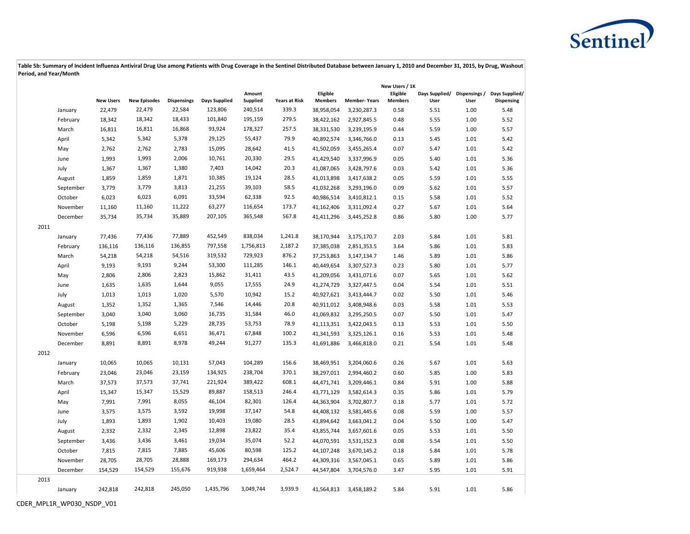

|      |           |                  |                     |                    |                      |                    |                      |                            |                     | New Users / 1K             |                                      |      |                              |
|------|-----------|------------------|---------------------|--------------------|----------------------|--------------------|----------------------|----------------------------|---------------------|----------------------------|--------------------------------------|------|------------------------------|
|      |           | <b>New Users</b> | <b>New Episodes</b> | <b>Dispensings</b> | <b>Days Supplied</b> | Amount<br>Supplied | <b>Years at Risk</b> | Eligible<br><b>Members</b> | <b>Member-Years</b> | Eligible<br><b>Members</b> | Days Supplied/ Dispensings /<br>User | User | Days Supplied/<br>Dispensing |
|      | January   | 22,479           | 22,479              | 22,584             | 123,806              | 240,514            | 339.3                | 38,958,054                 | 3,230,287.3         | 0.58                       | 5.51                                 | 1.00 | 5.48                         |
|      | February  | 18,342           | 18,342              | 18,433             | 101,840              | 195,159            | 279.5                | 38,422,162                 | 2,927,845.5         | 0.48                       | 5.55                                 | 1.00 | 5.52                         |
|      | March     | 16,811           | 16,811              | 16,868             | 93,924               | 178,327            | 257.5                | 38,331,530                 | 3,239,195.9         | 0.44                       | 5.59                                 | 1.00 | 5.57                         |
|      | April     | 5,342            | 5,342               | 5,378              | 29,125               | 55,437             | 79.9                 | 40,892,574                 | 3,346,766.0         | 0.13                       | 5.45                                 | 1.01 | 5.42                         |
|      | May       | 2,762            | 2,762               | 2,783              | 15,095               | 28,642             | 41.5                 | 41,502,059                 | 3,455,265.4         | 0.07                       | 5.47                                 | 1.01 | 5.42                         |
|      | June      | 1,993            | 1,993               | 2,006              | 10,761               | 20,330             | 29.5                 | 41,429,540                 | 3,337,996.9         | 0.05                       | 5.40                                 | 1.01 | 5.36                         |
|      | July      | 1,367            | 1,367               | 1,380              | 7,403                | 14,042             | 20.3                 | 41,087,065                 | 3,428,797.6         | 0.03                       | 5.42                                 | 1.01 | 5.36                         |
|      | August    | 1,859            | 1,859               | 1,871              | 10,385               | 19,124             | 28.5                 | 41,013,898                 | 3,417,638.2         | 0.05                       | 5.59                                 | 1.01 | 5.55                         |
|      | September | 3,779            | 3,779               | 3,813              | 21,255               | 39,103             | 58.5                 | 41,032,268                 | 3,293,196.0         | 0.09                       | 5.62                                 | 1.01 | 5.57                         |
|      | October   | 6,023            | 6,023               | 6,091              | 33,594               | 62,338             | 92.5                 | 40,986,514                 | 3,410,812.1         | 0.15                       | 5.58                                 | 1.01 | 5.52                         |
|      | November  | 11,160           | 11,160              | 11,222             | 63,277               | 116,654            | 173.7                | 41,162,406                 | 3,311,092.4         | 0.27                       | 5.67                                 | 1.01 | 5.64                         |
|      | December  | 35,734           | 35,734              | 35,889             | 207,105              | 365,548            | 567.8                | 41,411,296                 | 3,445,252.8         | 0.86                       | 5.80                                 | 1.00 | 5.77                         |
| 2011 |           |                  |                     |                    |                      |                    |                      |                            |                     |                            |                                      |      |                              |
|      | January   | 77,436           | 77,436              | 77,889             | 452,549              | 838,034            | 1,241.8              | 38,170,944                 | 3,175,170.7         | 2.03                       | 5.84                                 | 1.01 | 5.81                         |
|      | February  | 136,116          | 136,116             | 136,855            | 797,558              | 1,756,813          | 2,187.2              | 37,385,038                 | 2,851,353.5         | 3.64                       | 5.86                                 | 1.01 | 5.83                         |
|      | March     | 54,218           | 54,218              | 54,516             | 319,532              | 729,923            | 876.2                | 37,253,863                 | 3,147,134.7         | 1.46                       | 5.89                                 | 1.01 | 5.86                         |
|      | April     | 9,193            | 9,193               | 9,244              | 53,300               | 111,285            | 146.1                | 40,449,654                 | 3,307,527.3         | 0.23                       | 5.80                                 | 1.01 | 5.77                         |
|      | May       | 2,806            | 2,806               | 2,823              | 15,862               | 31,411             | 43.5                 | 41,209,056                 | 3,431,071.6         | 0.07                       | 5.65                                 | 1.01 | 5.62                         |
|      | June      | 1,635            | 1,635               | 1,644              | 9,055                | 17,555             | 24.9                 | 41,274,729                 | 3,327,447.5         | 0.04                       | 5.54                                 | 1.01 | 5.51                         |
|      | July      | 1,013            | 1,013               | 1,020              | 5,570                | 10,942             | 15.2                 | 40,927,621                 | 3,413,444.7         | 0.02                       | 5.50                                 | 1.01 | 5.46                         |
|      | August    | 1,352            | 1,352               | 1,365              | 7,546                | 14,446             | 20.8                 | 40,911,012                 | 3,408,948.6         | 0.03                       | 5.58                                 | 1.01 | 5.53                         |
|      | September | 3,040            | 3,040               | 3,060              | 16,735               | 31,584             | 46.0                 | 41,069,832                 | 3,295,250.5         | 0.07                       | 5.50                                 | 1.01 | 5.47                         |
|      | October   | 5,198            | 5,198               | 5,229              | 28,735               | 53,753             | 78.9                 | 41,113,351                 | 3,422,043.5         | 0.13                       | 5.53                                 | 1.01 | 5.50                         |
|      | November  | 6,596            | 6,596               | 6,651              | 36,471               | 67,848             | 100.2                | 41,341,593                 | 3,325,126.1         | 0.16                       | 5.53                                 | 1.01 | 5.48                         |
|      | December  | 8,891            | 8,891               | 8,978              | 49,244               | 91,277             | 135.3                | 41,691,886                 | 3,466,818.0         | 0.21                       | 5.54                                 | 1.01 | 5.48                         |
| 2012 |           |                  |                     |                    |                      |                    |                      |                            |                     |                            |                                      |      |                              |
|      | January   | 10,065           | 10,065              | 10,131             | 57,043               | 104,289            | 156.6                | 38,469,951                 | 3,204,060.6         | 0.26                       | 5.67                                 | 1.01 | 5.63                         |
|      | February  | 23,046           | 23,046              | 23,159             | 134,925              | 238,704            | 370.1                | 38,297,011                 | 2,994,460.2         | 0.60                       | 5.85                                 | 1.00 | 5.83                         |
|      | March     | 37,573           | 37,573              | 37,741             | 221,924              | 389,422            | 608.1                | 44,471,741                 | 3,209,446.1         | 0.84                       | 5.91                                 | 1.00 | 5.88                         |
|      | April     | 15,347           | 15,347              | 15,529             | 89,887               | 158,513            | 246.4                | 43,771,129                 | 3,582,614.3         | 0.35                       | 5.86                                 | 1.01 | 5.79                         |
|      | May       | 7,991            | 7,991               | 8,055              | 46,104               | 82,301             | 126.4                | 44,363,904                 | 3,702,807.7         | 0.18                       | 5.77                                 | 1.01 | 5.72                         |
|      | June      | 3,575            | 3,575               | 3,592              | 19,998               | 37,147             | 54.8                 | 44,408,132                 | 3,581,445.6         | 0.08                       | 5.59                                 | 1.00 | 5.57                         |
|      | July      | 1,893            | 1,893               | 1,902              | 10,403               | 19,080             | 28.5                 | 43,894,642                 | 3,663,041.2         | 0.04                       | 5.50                                 | 1.00 | 5.47                         |
|      | August    | 2,332            | 2,332               | 2,345              | 12,898               | 23,822             | 35.4                 | 43,855,744                 | 3,657,601.6         | 0.05                       | 5.53                                 | 1.01 | 5.50                         |
|      | September | 3,436            | 3,436               | 3,461              | 19,034               | 35,074             | 52.2                 | 44,070,591                 | 3,531,152.3         | 0.08                       | 5.54                                 | 1.01 | 5.50                         |
|      | October   | 7,815            | 7,815               | 7,885              | 45,606               | 80,598             | 125.2                | 44,107,248                 | 3,670,145.2         | 0.18                       | 5.84                                 | 1.01 | 5.78                         |
|      | November  | 28,705           | 28,705              | 28,888             | 169,173              | 294,634            | 464.2                | 44,309,316                 | 3,567,045.1         | 0.65                       | 5.89                                 | 1.01 | 5.86                         |
|      | December  | 154,529          | 154,529             | 155,676            | 919,938              | 1,659,464          | 2,524.7              | 44,547,804                 | 3,704,576.0         | 3.47                       | 5.95                                 | 1.01 | 5.91                         |
| 2013 |           |                  |                     |                    |                      |                    |                      |                            |                     |                            |                                      |      |                              |
|      | January   | 242,818          | 242,818             | 245,050            | 1,435,796            | 3,049,744          | 3,939.9              | 41,564,813                 | 3,458,189.2         | 5.84                       | 5.91                                 | 1.01 | 5.86                         |
|      |           |                  |                     |                    |                      |                    |                      |                            |                     |                            |                                      |      |                              |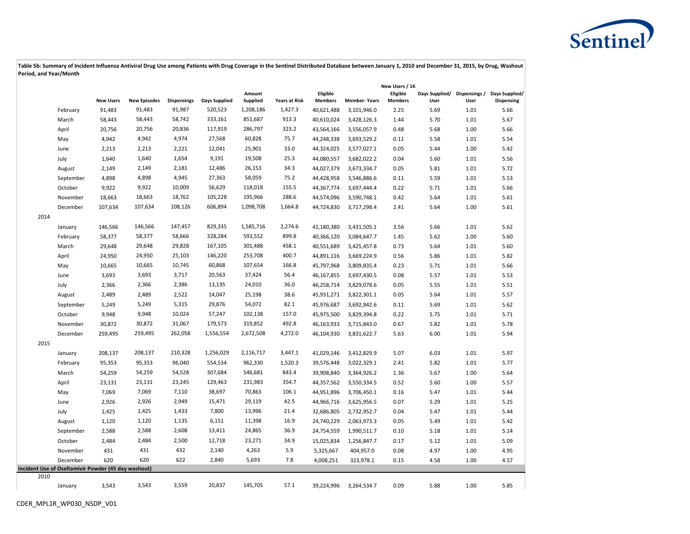

|      |                                                     |                  |                     |                    |               |                    |                      |                            |                     | New Users / 1K             |                                      |      |                              |
|------|-----------------------------------------------------|------------------|---------------------|--------------------|---------------|--------------------|----------------------|----------------------------|---------------------|----------------------------|--------------------------------------|------|------------------------------|
|      |                                                     | <b>New Users</b> | <b>New Episodes</b> | <b>Dispensings</b> | Days Supplied | Amount<br>Supplied | <b>Years at Risk</b> | Eligible<br><b>Members</b> | <b>Member-Years</b> | Eligible<br><b>Members</b> | Days Supplied/ Dispensings /<br>User | User | Days Supplied/<br>Dispensing |
|      | February                                            | 91,483           | 91,483              | 91,987             | 520,523       | 1,208,186          | 1,427.3              | 40,621,488                 | 3,101,946.0         | 2.25                       | 5.69                                 | 1.01 | 5.66                         |
|      | March                                               | 58,443           | 58,443              | 58,742             | 333,161       | 851,687            | 913.3                | 40,610,024                 | 3,428,126.3         | 1.44                       | 5.70                                 | 1.01 | 5.67                         |
|      | April                                               | 20,756           | 20,756              | 20,836             | 117,919       | 286,797            | 323.2                | 43,564,166                 | 3,556,057.9         | 0.48                       | 5.68                                 | 1.00 | 5.66                         |
|      | May                                                 | 4,942            | 4,942               | 4,974              | 27,568        | 60,828             | 75.7                 | 44,248,338                 | 3,693,529.2         | 0.11                       | 5.58                                 | 1.01 | 5.54                         |
|      | June                                                | 2,213            | 2,213               | 2,221              | 12,041        | 25,901             | 33.0                 | 44,324,025                 | 3,577,027.1         | 0.05                       | 5.44                                 | 1.00 | 5.42                         |
|      | July                                                | 1,640            | 1,640               | 1,654              | 9,191         | 19,508             | 25.3                 | 44,080,557                 | 3,682,022.2         | 0.04                       | 5.60                                 | 1.01 | 5.56                         |
|      | August                                              | 2,149            | 2,149               | 2,181              | 12,486        | 26,153             | 34.3                 | 44,027,379                 | 3,673,334.7         | 0.05                       | 5.81                                 | 1.01 | 5.72                         |
|      | September                                           | 4,898            | 4,898               | 4,945              | 27,363        | 58,059             | 75.2                 | 44,428,958                 | 3,546,886.6         | 0.11                       | 5.59                                 | 1.01 | 5.53                         |
|      | October                                             | 9,922            | 9,922               | 10,009             | 56,629        | 118,018            | 155.5                | 44,367,774                 | 3,697,444.4         | 0.22                       | 5.71                                 | 1.01 | 5.66                         |
|      | November                                            | 18,663           | 18,663              | 18,762             | 105,228       | 195,966            | 288.6                | 44,574,096                 | 3,590,748.1         | 0.42                       | 5.64                                 | 1.01 | 5.61                         |
|      | December                                            | 107,634          | 107,634             | 108,126            | 606,894       | 1,098,708          | 1,664.8              | 44,724,830                 | 3,717,298.4         | 2.41                       | 5.64                                 | 1.00 | 5.61                         |
| 2014 |                                                     |                  |                     |                    |               |                    |                      |                            |                     |                            |                                      |      |                              |
|      | January                                             | 146,566          | 146,566             | 147,457            | 829,335       | 1,585,716          | 2,274.6              | 41,180,380                 | 3,431,505.1         | 3.56                       | 5.66                                 | 1.01 | 5.62                         |
|      | February                                            | 58,377           | 58,377              | 58,666             | 328,284       | 593,552            | 899.8                | 40,366,120                 | 3,084,647.7         | 1.45                       | 5.62                                 | 1.00 | 5.60                         |
|      | March                                               | 29,648           | 29,648              | 29,828             | 167,105       | 301,488            | 458.1                | 40,551,689                 | 3,425,457.8         | 0.73                       | 5.64                                 | 1.01 | 5.60                         |
|      | April                                               | 24,950           | 24,950              | 25,103             | 146,220       | 253,708            | 400.7                | 44,891,116                 | 3,669,224.9         | 0.56                       | 5.86                                 | 1.01 | 5.82                         |
|      | May                                                 | 10,665           | 10,665              | 10,745             | 60,868        | 107,654            | 166.8                | 45,797,968                 | 3,809,835.4         | 0.23                       | 5.71                                 | 1.01 | 5.66                         |
|      | June                                                | 3,693            | 3,693               | 3,717              | 20,563        | 37,424             | 56.4                 | 46,167,855                 | 3,697,430.5         | 0.08                       | 5.57                                 | 1.01 | 5.53                         |
|      | July                                                | 2,366            | 2,366               | 2,386              | 13,135        | 24,010             | 36.0                 | 46,258,714                 | 3,829,078.6         | 0.05                       | 5.55                                 | 1.01 | 5.51                         |
|      | August                                              | 2,489            | 2,489               | 2,522              | 14,047        | 25,198             | 38.6                 | 45,931,271                 | 3,822,301.1         | 0.05                       | 5.64                                 | 1.01 | 5.57                         |
|      | September                                           | 5,249            | 5,249               | 5,315              | 29,876        | 54,072             | 82.1                 | 45,976,687                 | 3,692,942.6         | 0.11                       | 5.69                                 | 1.01 | 5.62                         |
|      | October                                             | 9,948            | 9,948               | 10,024             | 57,247        | 102,138            | 157.0                | 45,975,500                 | 3,829,394.8         | 0.22                       | 5.75                                 | 1.01 | 5.71                         |
|      | November                                            | 30,872           | 30,872              | 31,067             | 179,573       | 319,852            | 492.8                | 46,163,933                 | 3,715,843.0         | 0.67                       | 5.82                                 | 1.01 | 5.78                         |
|      | December                                            | 259,495          | 259,495             | 262,058            | 1,556,554     | 2,672,508          | 4,272.0              | 46,104,930                 | 3,831,622.7         | 5.63                       | 6.00                                 | 1.01 | 5.94                         |
| 2015 |                                                     |                  |                     |                    |               |                    |                      |                            |                     |                            |                                      |      |                              |
|      | January                                             | 208,137          | 208,137             | 210,328            | 1,256,029     | 2,116,717          | 3,447.1              | 41,029,146                 | 3,412,829.9         | 5.07                       | 6.03                                 | 1.01 | 5.97                         |
|      | February                                            | 95,353           | 95,353              | 96,040             | 554,534       | 962,330            | 1,520.3              | 39,576,448                 | 3,022,329.1         | 2.41                       | 5.82                                 | 1.01 | 5.77                         |
|      | March                                               | 54,259           | 54,259              | 54,528             | 307,684       | 546,681            | 843.4                | 39,908,840                 | 3,364,926.2         | 1.36                       | 5.67                                 | 1.00 | 5.64                         |
|      | April                                               | 23,131           | 23,131              | 23,245             | 129,463       | 231,983            | 354.7                | 44,357,562                 | 3,550,334.5         | 0.52                       | 5.60                                 | 1.00 | 5.57                         |
|      | May                                                 | 7,069            | 7,069               | 7,110              | 38,697        | 70,863             | 106.1                | 44,951,896                 | 3,706,450.1         | 0.16                       | 5.47                                 | 1.01 | 5.44                         |
|      | June                                                | 2,926            | 2,926               | 2,949              | 15,471        | 29,119             | 42.5                 | 44,966,716                 | 3,625,956.5         | 0.07                       | 5.29                                 | 1.01 | 5.25                         |
|      | July                                                | 1,425            | 1,425               | 1,433              | 7,800         | 13,996             | 21.4                 | 32,686,805                 | 2,732,952.7         | 0.04                       | 5.47                                 | 1.01 | 5.44                         |
|      | August                                              | 1,120            | 1,120               | 1,135              | 6,151         | 11,398             | 16.9                 | 24,740,229                 | 2,063,973.3         | 0.05                       | 5.49                                 | 1.01 | 5.42                         |
|      | September                                           | 2,588            | 2,588               | 2,608              | 13,411        | 24,865             | 36.9                 | 24,754,559                 | 1,990,511.7         | 0.10                       | 5.18                                 | 1.01 | 5.14                         |
|      | October                                             | 2,484            | 2,484               | 2,500              | 12,718        | 23,271             | 34.9                 | 15,025,834                 | 1,256,847.7         | 0.17                       | 5.12                                 | 1.01 | 5.09                         |
|      | November                                            | 431              | 431                 | 432                | 2,140         | 4,263              | 5.9                  | 5,325,667                  | 404,957.0           | 0.08                       | 4.97                                 | 1.00 | 4.95                         |
|      | December                                            | 620              | 620                 | 622                | 2,840         | 5,693              | 7.8                  | 4,008,251                  | 323,978.1           | 0.15                       | 4.58                                 | 1.00 | 4.57                         |
|      | Incident Use of Oseltamivir Powder (45 day washout) |                  |                     |                    |               |                    |                      |                            |                     |                            |                                      |      |                              |
| 2010 |                                                     |                  |                     |                    |               |                    |                      |                            |                     |                            |                                      |      |                              |
|      | January                                             | 3,543            | 3,543               | 3,559              | 20,837        | 145,705            | 57.1                 | 39,224,996                 | 3,264,534.7         | 0.09                       | 5.88                                 | 1.00 | 5.85                         |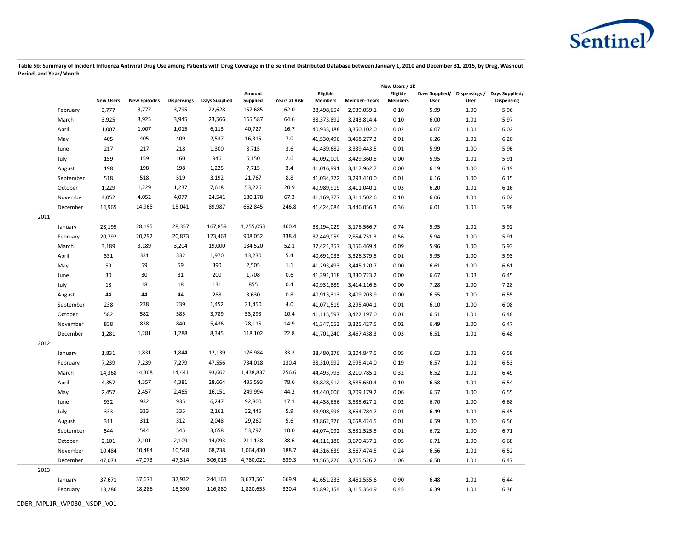

|      |           |                  |                     |                    |                      |                           |                      |                            |                     | New Users / 1K             |                                      |      |                              |
|------|-----------|------------------|---------------------|--------------------|----------------------|---------------------------|----------------------|----------------------------|---------------------|----------------------------|--------------------------------------|------|------------------------------|
|      |           | <b>New Users</b> | <b>New Episodes</b> | <b>Dispensings</b> | <b>Days Supplied</b> | Amount<br><b>Supplied</b> | <b>Years at Risk</b> | Eligible<br><b>Members</b> | <b>Member-Years</b> | Eligible<br><b>Members</b> | Days Supplied/ Dispensings /<br>User | User | Days Supplied/<br>Dispensing |
|      | February  | 3,777            | 3,777               | 3,795              | 22,628               | 157,685                   | 62.0                 | 38,498,654                 | 2,939,059.1         | 0.10                       | 5.99                                 | 1.00 | 5.96                         |
|      | March     | 3,925            | 3,925               | 3,945              | 23,566               | 165,587                   | 64.6                 | 38,373,892                 | 3,243,814.4         | 0.10                       | 6.00                                 | 1.01 | 5.97                         |
|      | April     | 1,007            | 1,007               | 1,015              | 6,113                | 40,727                    | 16.7                 | 40,933,188                 | 3,350,102.0         | 0.02                       | 6.07                                 | 1.01 | 6.02                         |
|      | May       | 405              | 405                 | 409                | 2,537                | 16,315                    | 7.0                  | 41,530,496                 | 3,458,277.3         | 0.01                       | 6.26                                 | 1.01 | 6.20                         |
|      | June      | 217              | 217                 | 218                | 1,300                | 8,715                     | 3.6                  | 41,439,682                 | 3,339,443.5         | 0.01                       | 5.99                                 | 1.00 | 5.96                         |
|      | July      | 159              | 159                 | 160                | 946                  | 6,150                     | 2.6                  | 41,092,000                 | 3,429,360.5         | 0.00                       | 5.95                                 | 1.01 | 5.91                         |
|      | August    | 198              | 198                 | 198                | 1,225                | 7,715                     | 3.4                  | 41,016,991                 | 3,417,962.7         | 0.00                       | 6.19                                 | 1.00 | 6.19                         |
|      | September | 518              | 518                 | 519                | 3,192                | 21,767                    | 8.8                  | 41,034,772                 | 3,293,410.0         | 0.01                       | 6.16                                 | 1.00 | 6.15                         |
|      | October   | 1,229            | 1,229               | 1,237              | 7,618                | 53,226                    | 20.9                 | 40,989,919                 | 3,411,040.1         | 0.03                       | 6.20                                 | 1.01 | 6.16                         |
|      | November  | 4,052            | 4,052               | 4,077              | 24,541               | 180,178                   | 67.3                 | 41,169,377                 | 3,311,502.6         | 0.10                       | 6.06                                 | 1.01 | 6.02                         |
|      | December  | 14,965           | 14,965              | 15,041             | 89,987               | 662,845                   | 246.8                | 41,424,084                 | 3,446,056.3         | 0.36                       | 6.01                                 | 1.01 | 5.98                         |
| 2011 |           |                  |                     |                    |                      |                           |                      |                            |                     |                            |                                      |      |                              |
|      | January   | 28,195           | 28,195              | 28,357             | 167,859              | 1,255,053                 | 460.4                | 38,194,029                 | 3,176,566.7         | 0.74                       | 5.95                                 | 1.01 | 5.92                         |
|      | February  | 20,792           | 20,792              | 20,873             | 123,463              | 908,052                   | 338.4                | 37,449,059                 | 2,854,751.3         | 0.56                       | 5.94                                 | 1.00 | 5.91                         |
|      | March     | 3,189            | 3,189               | 3,204              | 19,000               | 134,520                   | 52.1                 | 37,421,357                 | 3,156,469.4         | 0.09                       | 5.96                                 | 1.00 | 5.93                         |
|      | April     | 331              | 331                 | 332                | 1,970                | 13,230                    | 5.4                  | 40,691,033                 | 3,326,379.5         | 0.01                       | 5.95                                 | 1.00 | 5.93                         |
|      | May       | 59               | 59                  | 59                 | 390                  | 2,505                     | 1.1                  | 41,293,493                 | 3,445,120.7         | 0.00                       | 6.61                                 | 1.00 | 6.61                         |
|      | June      | 30               | 30                  | 31                 | 200                  | 1,708                     | 0.6                  | 41,291,118                 | 3,330,723.2         | 0.00                       | 6.67                                 | 1.03 | 6.45                         |
|      | July      | 18               | 18                  | 18                 | 131                  | 855                       | 0.4                  | 40,931,889                 | 3,414,116.6         | 0.00                       | 7.28                                 | 1.00 | 7.28                         |
|      | August    | 44               | 44                  | 44                 | 288                  | 3,630                     | 0.8                  | 40,913,313                 | 3,409,203.9         | 0.00                       | 6.55                                 | 1.00 | 6.55                         |
|      | September | 238              | 238                 | 239                | 1,452                | 21,450                    | 4.0                  | 41,071,519                 | 3,295,404.1         | 0.01                       | 6.10                                 | 1.00 | 6.08                         |
|      | October   | 582              | 582                 | 585                | 3,789                | 53,293                    | 10.4                 | 41,115,597                 | 3,422,197.0         | 0.01                       | 6.51                                 | 1.01 | 6.48                         |
|      | November  | 838              | 838                 | 840                | 5,436                | 78,115                    | 14.9                 | 41,347,053                 | 3,325,427.5         | 0.02                       | 6.49                                 | 1.00 | 6.47                         |
|      | December  | 1,281            | 1,281               | 1,288              | 8,345                | 118,102                   | 22.8                 | 41,701,240                 | 3,467,438.3         | 0.03                       | 6.51                                 | 1.01 | 6.48                         |
| 2012 |           |                  |                     |                    |                      |                           |                      |                            |                     |                            |                                      |      |                              |
|      | January   | 1,831            | 1,831               | 1,844              | 12,139               | 176,984                   | 33.3                 | 38,480,376                 | 3,204,847.5         | 0.05                       | 6.63                                 | 1.01 | 6.58                         |
|      | February  | 7,239            | 7,239               | 7,279              | 47,556               | 734,018                   | 130.4                | 38,310,992                 | 2,995,414.0         | 0.19                       | 6.57                                 | 1.01 | 6.53                         |
|      | March     | 14,368           | 14,368              | 14,441             | 93,662               | 1,438,837                 | 256.6                | 44,493,793                 | 3,210,785.1         | 0.32                       | 6.52                                 | 1.01 | 6.49                         |
|      | April     | 4,357            | 4,357               | 4,381              | 28,664               | 435,593                   | 78.6                 | 43,828,912                 | 3,585,650.4         | 0.10                       | 6.58                                 | 1.01 | 6.54                         |
|      | May       | 2,457            | 2,457               | 2,465              | 16,151               | 249,994                   | 44.2                 | 44,440,006                 | 3,709,179.2         | 0.06                       | 6.57                                 | 1.00 | 6.55                         |
|      | June      | 932              | 932                 | 935                | 6,247                | 92,800                    | 17.1                 | 44,438,656                 | 3,585,627.1         | 0.02                       | 6.70                                 | 1.00 | 6.68                         |
|      | July      | 333              | 333                 | 335                | 2,161                | 32,445                    | 5.9                  | 43,908,998                 | 3,664,784.7         | 0.01                       | 6.49                                 | 1.01 | 6.45                         |
|      | August    | 311              | 311                 | 312                | 2,048                | 29,260                    | 5.6                  | 43,862,376                 | 3,658,424.5         | 0.01                       | 6.59                                 | 1.00 | 6.56                         |
|      | September | 544              | 544                 | 545                | 3,658                | 53,797                    | 10.0                 | 44,074,092                 | 3,531,525.5         | 0.01                       | 6.72                                 | 1.00 | 6.71                         |
|      | October   | 2,101            | 2,101               | 2,109              | 14,093               | 211,138                   | 38.6                 | 44,111,180                 | 3,670,437.1         | 0.05                       | 6.71                                 | 1.00 | 6.68                         |
|      | November  | 10,484           | 10,484              | 10,548             | 68,738               | 1,064,430                 | 188.7                | 44,316,639                 | 3,567,474.5         | 0.24                       | 6.56                                 | 1.01 | 6.52                         |
|      | December  | 47,073           | 47,073              | 47,314             | 306,018              | 4,780,021                 | 839.3                | 44,565,220                 | 3,705,526.2         | 1.06                       | 6.50                                 | 1.01 | 6.47                         |
| 2013 |           |                  |                     |                    |                      |                           |                      |                            |                     |                            |                                      |      |                              |
|      | January   | 37,671           | 37,671              | 37,932             | 244,161              | 3,673,561                 | 669.9                | 41,651,233                 | 3,461,555.6         | 0.90                       | 6.48                                 | 1.01 | 6.44                         |
|      | February  | 18,286           | 18,286              | 18,390             | 116,880              | 1,820,655                 | 320.4                | 40,892,154                 | 3,115,354.9         | 0.45                       | 6.39                                 | 1.01 | 6.36                         |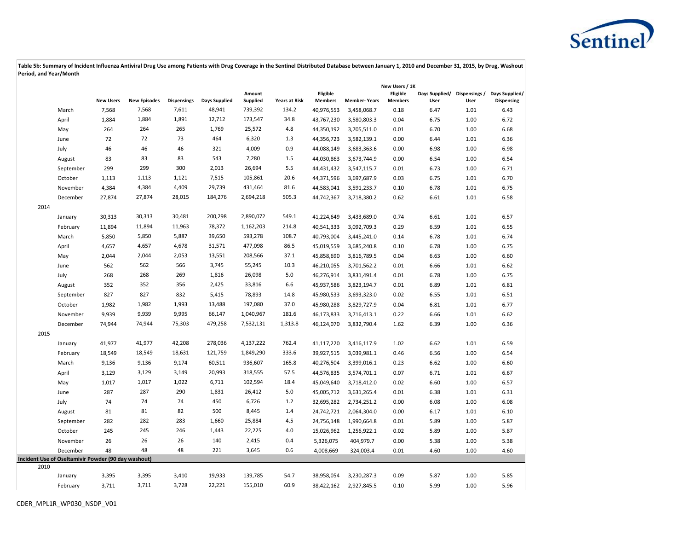

|      |                                                     |                  |                     |                    |               |                    |                      |                            |                     | New Users / 1K             |                                      |      |                              |
|------|-----------------------------------------------------|------------------|---------------------|--------------------|---------------|--------------------|----------------------|----------------------------|---------------------|----------------------------|--------------------------------------|------|------------------------------|
|      |                                                     | <b>New Users</b> | <b>New Episodes</b> | <b>Dispensings</b> | Days Supplied | Amount<br>Supplied | <b>Years at Risk</b> | Eligible<br><b>Members</b> | <b>Member-Years</b> | Eligible<br><b>Members</b> | Days Supplied/ Dispensings /<br>User | User | Days Supplied/<br>Dispensing |
|      | March                                               | 7,568            | 7,568               | 7,611              | 48,941        | 739,392            | 134.2                | 40,976,553                 | 3,458,068.7         | 0.18                       | 6.47                                 | 1.01 | 6.43                         |
|      | April                                               | 1,884            | 1,884               | 1,891              | 12,712        | 173,547            | 34.8                 | 43,767,230                 | 3,580,803.3         | 0.04                       | 6.75                                 | 1.00 | 6.72                         |
|      | May                                                 | 264              | 264                 | 265                | 1,769         | 25,572             | 4.8                  | 44,350,192                 | 3,705,511.0         | 0.01                       | 6.70                                 | 1.00 | 6.68                         |
|      | June                                                | 72               | 72                  | 73                 | 464           | 6,320              | 1.3                  | 44,356,723                 | 3,582,139.1         | 0.00                       | 6.44                                 | 1.01 | 6.36                         |
|      | July                                                | 46               | 46                  | 46                 | 321           | 4,009              | 0.9                  | 44,088,149                 | 3,683,363.6         | 0.00                       | 6.98                                 | 1.00 | 6.98                         |
|      | August                                              | 83               | 83                  | 83                 | 543           | 7,280              | 1.5                  | 44,030,863                 | 3,673,744.9         | 0.00                       | 6.54                                 | 1.00 | 6.54                         |
|      | September                                           | 299              | 299                 | 300                | 2,013         | 26,694             | 5.5                  | 44,431,432                 | 3,547,115.7         | 0.01                       | 6.73                                 | 1.00 | 6.71                         |
|      | October                                             | 1,113            | 1,113               | 1,121              | 7,515         | 105,861            | 20.6                 | 44,371,596                 | 3,697,687.9         | 0.03                       | 6.75                                 | 1.01 | 6.70                         |
|      | November                                            | 4,384            | 4,384               | 4,409              | 29,739        | 431,464            | 81.6                 | 44,583,041                 | 3,591,233.7         | 0.10                       | 6.78                                 | 1.01 | 6.75                         |
|      | December                                            | 27,874           | 27,874              | 28,015             | 184,276       | 2,694,218          | 505.3                | 44,742,367                 | 3,718,380.2         | 0.62                       | 6.61                                 | 1.01 | 6.58                         |
| 2014 |                                                     |                  |                     |                    |               |                    |                      |                            |                     |                            |                                      |      |                              |
|      | January                                             | 30,313           | 30,313              | 30,481             | 200,298       | 2,890,072          | 549.1                | 41,224,649                 | 3,433,689.0         | 0.74                       | 6.61                                 | 1.01 | 6.57                         |
|      | February                                            | 11,894           | 11,894              | 11,963             | 78,372        | 1,162,203          | 214.8                | 40,541,333                 | 3,092,709.3         | 0.29                       | 6.59                                 | 1.01 | 6.55                         |
|      | March                                               | 5,850            | 5,850               | 5,887              | 39,650        | 593,278            | 108.7                | 40,793,004                 | 3,445,241.0         | 0.14                       | 6.78                                 | 1.01 | 6.74                         |
|      | April                                               | 4,657            | 4,657               | 4,678              | 31,571        | 477,098            | 86.5                 | 45,019,559                 | 3,685,240.8         | 0.10                       | 6.78                                 | 1.00 | 6.75                         |
|      | May                                                 | 2,044            | 2,044               | 2,053              | 13,551        | 208,566            | 37.1                 | 45,858,690                 | 3,816,789.5         | 0.04                       | 6.63                                 | 1.00 | 6.60                         |
|      | June                                                | 562              | 562                 | 566                | 3,745         | 55,245             | 10.3                 | 46,210,055                 | 3,701,562.2         | 0.01                       | 6.66                                 | 1.01 | 6.62                         |
|      | July                                                | 268              | 268                 | 269                | 1,816         | 26,098             | 5.0                  | 46,276,914                 | 3,831,491.4         | 0.01                       | 6.78                                 | 1.00 | 6.75                         |
|      | August                                              | 352              | 352                 | 356                | 2,425         | 33,816             | 6.6                  | 45,937,586                 | 3,823,194.7         | 0.01                       | 6.89                                 | 1.01 | 6.81                         |
|      | September                                           | 827              | 827                 | 832                | 5,415         | 78,893             | 14.8                 | 45,980,533                 | 3,693,323.0         | 0.02                       | 6.55                                 | 1.01 | 6.51                         |
|      | October                                             | 1,982            | 1,982               | 1,993              | 13,488        | 197,080            | 37.0                 | 45,980,288                 | 3,829,727.9         | 0.04                       | 6.81                                 | 1.01 | 6.77                         |
|      | November                                            | 9,939            | 9,939               | 9,995              | 66,147        | 1,040,967          | 181.6                | 46,173,833                 | 3,716,413.1         | 0.22                       | 6.66                                 | 1.01 | 6.62                         |
|      | December                                            | 74,944           | 74,944              | 75,303             | 479,258       | 7,532,131          | 1,313.8              | 46,124,070                 | 3,832,790.4         | 1.62                       | 6.39                                 | 1.00 | 6.36                         |
| 2015 |                                                     |                  |                     |                    |               |                    |                      |                            |                     |                            |                                      |      |                              |
|      | January                                             | 41,977           | 41,977              | 42,208             | 278,036       | 4,137,222          | 762.4                | 41,117,220                 | 3,416,117.9         | 1.02                       | 6.62                                 | 1.01 | 6.59                         |
|      | February                                            | 18,549           | 18,549              | 18,631             | 121,759       | 1,849,290          | 333.6                | 39,927,515                 | 3,039,981.1         | 0.46                       | 6.56                                 | 1.00 | 6.54                         |
|      | March                                               | 9,136            | 9,136               | 9,174              | 60,511        | 936,607            | 165.8                | 40,276,504                 | 3,399,016.1         | 0.23                       | 6.62                                 | 1.00 | 6.60                         |
|      | April                                               | 3,129            | 3,129               | 3,149              | 20,993        | 318,555            | 57.5                 | 44,576,835                 | 3,574,701.1         | 0.07                       | 6.71                                 | 1.01 | 6.67                         |
|      | May                                                 | 1,017            | 1,017               | 1,022              | 6,711         | 102,594            | 18.4                 | 45,049,640                 | 3,718,412.0         | 0.02                       | 6.60                                 | 1.00 | 6.57                         |
|      | June                                                | 287              | 287                 | 290                | 1,831         | 26,412             | 5.0                  | 45,005,712                 | 3,631,265.4         | 0.01                       | 6.38                                 | 1.01 | 6.31                         |
|      | July                                                | 74               | 74                  | 74                 | 450           | 6,726              | $1.2$                | 32,695,282                 | 2,734,251.2         | 0.00                       | 6.08                                 | 1.00 | 6.08                         |
|      | August                                              | 81               | 81                  | 82                 | 500           | 8,445              | 1.4                  | 24,742,721                 | 2,064,304.0         | 0.00                       | 6.17                                 | 1.01 | 6.10                         |
|      | September                                           | 282              | 282                 | 283                | 1,660         | 25,884             | 4.5                  | 24,756,148                 | 1,990,664.8         | 0.01                       | 5.89                                 | 1.00 | 5.87                         |
|      | October                                             | 245              | 245                 | 246                | 1,443         | 22,225             | 4.0                  | 15,026,962                 | 1,256,922.1         | 0.02                       | 5.89                                 | 1.00 | 5.87                         |
|      | November                                            | 26               | 26                  | 26                 | 140           | 2,415              | 0.4                  | 5,326,075                  | 404,979.7           | 0.00                       | 5.38                                 | 1.00 | 5.38                         |
|      | December                                            | 48               | 48                  | 48                 | 221           | 3,645              | 0.6                  | 4,008,669                  | 324,003.4           | 0.01                       | 4.60                                 | 1.00 | 4.60                         |
|      | Incident Use of Oseltamivir Powder (90 day washout) |                  |                     |                    |               |                    |                      |                            |                     |                            |                                      |      |                              |
| 2010 |                                                     |                  |                     |                    |               |                    |                      |                            |                     |                            |                                      |      |                              |
|      | January                                             | 3,395            | 3,395               | 3,410              | 19,933        | 139,785            | 54.7                 | 38,958,054                 | 3,230,287.3         | 0.09                       | 5.87                                 | 1.00 | 5.85                         |
|      | February                                            | 3,711            | 3,711               | 3,728              | 22,221        | 155,010            | 60.9                 | 38,422,162                 | 2,927,845.5         | 0.10                       | 5.99                                 | 1.00 | 5.96                         |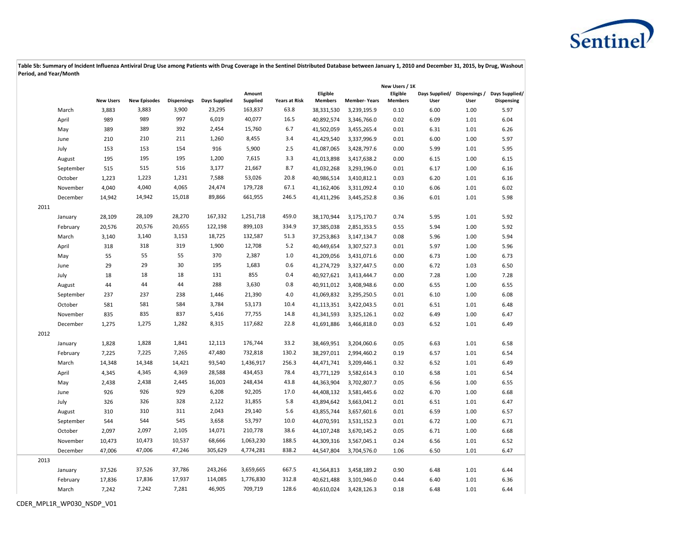

|      |           |                  |                     |                    |               |                    |                      |                            |                     | New Users / 1K             |      |      |                                                                  |
|------|-----------|------------------|---------------------|--------------------|---------------|--------------------|----------------------|----------------------------|---------------------|----------------------------|------|------|------------------------------------------------------------------|
|      |           | <b>New Users</b> | <b>New Episodes</b> | <b>Dispensings</b> | Days Supplied | Amount<br>Supplied | <b>Years at Risk</b> | Eligible<br><b>Members</b> | <b>Member-Years</b> | Eligible<br><b>Members</b> | User | User | Days Supplied/ Dispensings / Days Supplied/<br><b>Dispensing</b> |
|      | March     | 3,883            | 3,883               | 3,900              | 23,295        | 163,837            | 63.8                 | 38,331,530                 | 3,239,195.9         | 0.10                       | 6.00 | 1.00 | 5.97                                                             |
|      | April     | 989              | 989                 | 997                | 6,019         | 40,077             | 16.5                 | 40,892,574                 | 3,346,766.0         | 0.02                       | 6.09 | 1.01 | 6.04                                                             |
|      | May       | 389              | 389                 | 392                | 2,454         | 15,760             | 6.7                  | 41,502,059                 | 3,455,265.4         | 0.01                       | 6.31 | 1.01 | 6.26                                                             |
|      | June      | 210              | 210                 | 211                | 1,260         | 8,455              | 3.4                  | 41,429,540                 | 3,337,996.9         | 0.01                       | 6.00 | 1.00 | 5.97                                                             |
|      | July      | 153              | 153                 | 154                | 916           | 5,900              | 2.5                  | 41,087,065                 | 3,428,797.6         | 0.00                       | 5.99 | 1.01 | 5.95                                                             |
|      | August    | 195              | 195                 | 195                | 1,200         | 7,615              | 3.3                  | 41,013,898                 | 3,417,638.2         | 0.00                       | 6.15 | 1.00 | 6.15                                                             |
|      | September | 515              | 515                 | 516                | 3,177         | 21,667             | 8.7                  | 41,032,268                 | 3,293,196.0         | 0.01                       | 6.17 | 1.00 | 6.16                                                             |
|      | October   | 1,223            | 1,223               | 1,231              | 7,588         | 53,026             | 20.8                 | 40,986,514                 | 3,410,812.1         | 0.03                       | 6.20 | 1.01 | 6.16                                                             |
|      | November  | 4,040            | 4,040               | 4,065              | 24,474        | 179,728            | 67.1                 | 41,162,406                 | 3,311,092.4         | 0.10                       | 6.06 | 1.01 | 6.02                                                             |
|      | December  | 14,942           | 14,942              | 15,018             | 89,866        | 661,955            | 246.5                | 41,411,296                 | 3,445,252.8         | 0.36                       | 6.01 | 1.01 | 5.98                                                             |
| 2011 |           |                  |                     |                    |               |                    |                      |                            |                     |                            |      |      |                                                                  |
|      | January   | 28,109           | 28,109              | 28,270             | 167,332       | 1,251,718          | 459.0                | 38,170,944                 | 3,175,170.7         | 0.74                       | 5.95 | 1.01 | 5.92                                                             |
|      | February  | 20,576           | 20,576              | 20,655             | 122,198       | 899,103            | 334.9                | 37,385,038                 | 2,851,353.5         | 0.55                       | 5.94 | 1.00 | 5.92                                                             |
|      | March     | 3,140            | 3,140               | 3,153              | 18,725        | 132,587            | 51.3                 | 37,253,863                 | 3,147,134.7         | 0.08                       | 5.96 | 1.00 | 5.94                                                             |
|      | April     | 318              | 318                 | 319                | 1,900         | 12,708             | 5.2                  | 40,449,654                 | 3,307,527.3         | 0.01                       | 5.97 | 1.00 | 5.96                                                             |
|      | May       | 55               | 55                  | 55                 | 370           | 2,387              | 1.0                  | 41,209,056                 | 3,431,071.6         | 0.00                       | 6.73 | 1.00 | 6.73                                                             |
|      | June      | 29               | 29                  | 30                 | 195           | 1,683              | 0.6                  | 41,274,729                 | 3,327,447.5         | 0.00                       | 6.72 | 1.03 | 6.50                                                             |
|      | July      | 18               | 18                  | 18                 | 131           | 855                | 0.4                  | 40,927,621                 | 3,413,444.7         | 0.00                       | 7.28 | 1.00 | 7.28                                                             |
|      | August    | 44               | 44                  | 44                 | 288           | 3,630              | 0.8                  | 40,911,012                 | 3,408,948.6         | 0.00                       | 6.55 | 1.00 | 6.55                                                             |
|      | September | 237              | 237                 | 238                | 1,446         | 21,390             | 4.0                  | 41,069,832                 | 3,295,250.5         | 0.01                       | 6.10 | 1.00 | 6.08                                                             |
|      | October   | 581              | 581                 | 584                | 3,784         | 53,173             | 10.4                 | 41,113,351                 | 3,422,043.5         | 0.01                       | 6.51 | 1.01 | 6.48                                                             |
|      | November  | 835              | 835                 | 837                | 5,416         | 77,755             | 14.8                 | 41,341,593                 | 3,325,126.1         | 0.02                       | 6.49 | 1.00 | 6.47                                                             |
|      | December  | 1,275            | 1,275               | 1,282              | 8,315         | 117,682            | 22.8                 | 41,691,886                 | 3,466,818.0         | 0.03                       | 6.52 | 1.01 | 6.49                                                             |
| 2012 |           |                  |                     |                    |               |                    |                      |                            |                     |                            |      |      |                                                                  |
|      | January   | 1,828            | 1,828               | 1,841              | 12,113        | 176,744            | 33.2                 | 38,469,951                 | 3,204,060.6         | 0.05                       | 6.63 | 1.01 | 6.58                                                             |
|      | February  | 7,225            | 7,225               | 7,265              | 47,480        | 732,818            | 130.2                | 38,297,011                 | 2,994,460.2         | 0.19                       | 6.57 | 1.01 | 6.54                                                             |
|      | March     | 14,348           | 14,348              | 14,421             | 93,540        | 1,436,917          | 256.3                | 44,471,741                 | 3,209,446.1         | 0.32                       | 6.52 | 1.01 | 6.49                                                             |
|      | April     | 4,345            | 4,345               | 4,369              | 28,588        | 434,453            | 78.4                 | 43,771,129                 | 3,582,614.3         | 0.10                       | 6.58 | 1.01 | 6.54                                                             |
|      | May       | 2,438            | 2,438               | 2,445              | 16,003        | 248,434            | 43.8                 | 44,363,904                 | 3,702,807.7         | 0.05                       | 6.56 | 1.00 | 6.55                                                             |
|      | June      | 926              | 926                 | 929                | 6,208         | 92,205             | 17.0                 | 44,408,132                 | 3,581,445.6         | 0.02                       | 6.70 | 1.00 | 6.68                                                             |
|      | July      | 326              | 326                 | 328                | 2,122         | 31,855             | 5.8                  | 43,894,642                 | 3,663,041.2         | 0.01                       | 6.51 | 1.01 | 6.47                                                             |
|      | August    | 310              | 310                 | 311                | 2,043         | 29,140             | 5.6                  | 43,855,744                 | 3,657,601.6         | 0.01                       | 6.59 | 1.00 | 6.57                                                             |
|      | September | 544              | 544                 | 545                | 3,658         | 53,797             | 10.0                 | 44,070,591                 | 3,531,152.3         | 0.01                       | 6.72 | 1.00 | 6.71                                                             |
|      | October   | 2,097            | 2,097               | 2,105              | 14,071        | 210,778            | 38.6                 | 44,107,248                 | 3,670,145.2         | 0.05                       | 6.71 | 1.00 | 6.68                                                             |
|      | November  | 10,473           | 10,473              | 10,537             | 68,666        | 1,063,230          | 188.5                | 44,309,316                 | 3,567,045.1         | 0.24                       | 6.56 | 1.01 | 6.52                                                             |
|      | December  | 47,006           | 47,006              | 47,246             | 305,629       | 4,774,281          | 838.2                | 44,547,804                 | 3,704,576.0         | 1.06                       | 6.50 | 1.01 | 6.47                                                             |
| 2013 |           |                  |                     |                    |               |                    |                      |                            |                     |                            |      |      |                                                                  |
|      | January   | 37,526           | 37,526              | 37,786             | 243,266       | 3,659,665          | 667.5                | 41,564,813                 | 3,458,189.2         | 0.90                       | 6.48 | 1.01 | 6.44                                                             |
|      | February  | 17,836           | 17,836              | 17,937             | 114,085       | 1,776,830          | 312.8                | 40,621,488                 | 3,101,946.0         | 0.44                       | 6.40 | 1.01 | 6.36                                                             |
|      | March     | 7,242            | 7,242               | 7,281              | 46,905        | 709,719            | 128.6                | 40,610,024                 | 3,428,126.3         | 0.18                       | 6.48 | 1.01 | 6.44                                                             |
|      |           |                  |                     |                    |               |                    |                      |                            |                     |                            |      |      |                                                                  |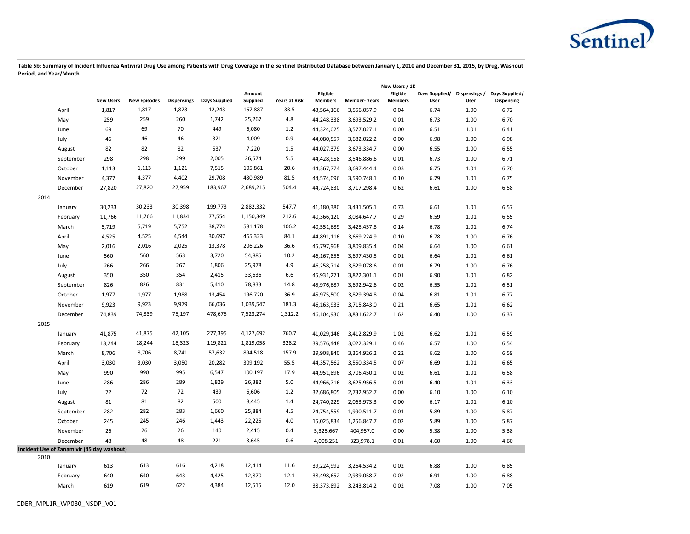

|      |                                            |                  |                     |                    |                      |                           |                      |                            |                     | New Users / 1K             |                                      |      |                              |
|------|--------------------------------------------|------------------|---------------------|--------------------|----------------------|---------------------------|----------------------|----------------------------|---------------------|----------------------------|--------------------------------------|------|------------------------------|
|      |                                            | <b>New Users</b> | <b>New Episodes</b> | <b>Dispensings</b> | <b>Days Supplied</b> | Amount<br><b>Supplied</b> | <b>Years at Risk</b> | Eligible<br><b>Members</b> | <b>Member-Years</b> | Eligible<br><b>Members</b> | Days Supplied/ Dispensings /<br>User | User | Days Supplied/<br>Dispensing |
|      | April                                      | 1,817            | 1,817               | 1,823              | 12,243               | 167,887                   | 33.5                 | 43,564,166                 | 3,556,057.9         | 0.04                       | 6.74                                 | 1.00 | 6.72                         |
|      | May                                        | 259              | 259                 | 260                | 1,742                | 25,267                    | 4.8                  | 44,248,338                 | 3,693,529.2         | 0.01                       | 6.73                                 | 1.00 | 6.70                         |
|      | June                                       | 69               | 69                  | 70                 | 449                  | 6,080                     | 1.2                  | 44,324,025                 | 3,577,027.1         | 0.00                       | 6.51                                 | 1.01 | 6.41                         |
|      | July                                       | 46               | 46                  | 46                 | 321                  | 4,009                     | 0.9                  | 44,080,557                 | 3,682,022.2         | 0.00                       | 6.98                                 | 1.00 | 6.98                         |
|      | August                                     | 82               | 82                  | 82                 | 537                  | 7,220                     | 1.5                  | 44,027,379                 | 3,673,334.7         | 0.00                       | 6.55                                 | 1.00 | 6.55                         |
|      | September                                  | 298              | 298                 | 299                | 2,005                | 26,574                    | 5.5                  | 44,428,958                 | 3,546,886.6         | 0.01                       | 6.73                                 | 1.00 | 6.71                         |
|      | October                                    | 1,113            | 1,113               | 1,121              | 7,515                | 105,861                   | 20.6                 | 44,367,774                 | 3,697,444.4         | 0.03                       | 6.75                                 | 1.01 | 6.70                         |
|      | November                                   | 4,377            | 4,377               | 4,402              | 29,708               | 430,989                   | 81.5                 | 44,574,096                 | 3,590,748.1         | 0.10                       | 6.79                                 | 1.01 | 6.75                         |
|      | December                                   | 27,820           | 27,820              | 27,959             | 183,967              | 2,689,215                 | 504.4                | 44,724,830                 | 3,717,298.4         | 0.62                       | 6.61                                 | 1.00 | 6.58                         |
| 2014 |                                            |                  |                     |                    |                      |                           |                      |                            |                     |                            |                                      |      |                              |
|      | January                                    | 30,233           | 30,233              | 30,398             | 199,773              | 2,882,332                 | 547.7                | 41,180,380                 | 3,431,505.1         | 0.73                       | 6.61                                 | 1.01 | 6.57                         |
|      | February                                   | 11,766           | 11,766              | 11,834             | 77,554               | 1,150,349                 | 212.6                | 40,366,120                 | 3,084,647.7         | 0.29                       | 6.59                                 | 1.01 | 6.55                         |
|      | March                                      | 5,719            | 5,719               | 5,752              | 38,774               | 581,178                   | 106.2                | 40,551,689                 | 3,425,457.8         | 0.14                       | 6.78                                 | 1.01 | 6.74                         |
|      | April                                      | 4,525            | 4,525               | 4,544              | 30,697               | 465,323                   | 84.1                 | 44,891,116                 | 3,669,224.9         | 0.10                       | 6.78                                 | 1.00 | 6.76                         |
|      | May                                        | 2,016            | 2,016               | 2,025              | 13,378               | 206,226                   | 36.6                 | 45,797,968                 | 3,809,835.4         | 0.04                       | 6.64                                 | 1.00 | 6.61                         |
|      | June                                       | 560              | 560                 | 563                | 3,720                | 54,885                    | 10.2                 | 46,167,855                 | 3,697,430.5         | 0.01                       | 6.64                                 | 1.01 | 6.61                         |
|      | July                                       | 266              | 266                 | 267                | 1,806                | 25,978                    | 4.9                  | 46,258,714                 | 3,829,078.6         | 0.01                       | 6.79                                 | 1.00 | 6.76                         |
|      | August                                     | 350              | 350                 | 354                | 2,415                | 33,636                    | 6.6                  | 45,931,271                 | 3,822,301.1         | 0.01                       | 6.90                                 | 1.01 | 6.82                         |
|      | September                                  | 826              | 826                 | 831                | 5,410                | 78,833                    | 14.8                 | 45,976,687                 | 3,692,942.6         | 0.02                       | 6.55                                 | 1.01 | 6.51                         |
|      | October                                    | 1,977            | 1,977               | 1,988              | 13,454               | 196,720                   | 36.9                 | 45,975,500                 | 3,829,394.8         | 0.04                       | 6.81                                 | 1.01 | 6.77                         |
|      | November                                   | 9,923            | 9,923               | 9,979              | 66,036               | 1,039,547                 | 181.3                | 46,163,933                 | 3,715,843.0         | 0.21                       | 6.65                                 | 1.01 | 6.62                         |
|      | December                                   | 74,839           | 74,839              | 75,197             | 478,675              | 7,523,274                 | 1,312.2              | 46,104,930                 | 3,831,622.7         | 1.62                       | 6.40                                 | 1.00 | 6.37                         |
| 2015 |                                            |                  |                     |                    |                      |                           |                      |                            |                     |                            |                                      |      |                              |
|      | January                                    | 41,875           | 41,875              | 42,105             | 277,395              | 4,127,692                 | 760.7                | 41,029,146                 | 3,412,829.9         | 1.02                       | 6.62                                 | 1.01 | 6.59                         |
|      | February                                   | 18,244           | 18,244              | 18,323             | 119,821              | 1,819,058                 | 328.2                | 39,576,448                 | 3,022,329.1         | 0.46                       | 6.57                                 | 1.00 | 6.54                         |
|      | March                                      | 8,706            | 8,706               | 8,741              | 57,632               | 894,518                   | 157.9                | 39,908,840                 | 3,364,926.2         | 0.22                       | 6.62                                 | 1.00 | 6.59                         |
|      | April                                      | 3,030            | 3,030               | 3,050              | 20,282               | 309,192                   | 55.5                 | 44,357,562                 | 3,550,334.5         | 0.07                       | 6.69                                 | 1.01 | 6.65                         |
|      | May                                        | 990              | 990                 | 995                | 6,547                | 100,197                   | 17.9                 | 44,951,896                 | 3,706,450.1         | 0.02                       | 6.61                                 | 1.01 | 6.58                         |
|      | June                                       | 286              | 286                 | 289                | 1,829                | 26,382                    | 5.0                  | 44,966,716                 | 3,625,956.5         | 0.01                       | 6.40                                 | 1.01 | 6.33                         |
|      | July                                       | 72               | 72                  | 72                 | 439                  | 6,606                     | 1.2                  | 32,686,805                 | 2,732,952.7         | 0.00                       | 6.10                                 | 1.00 | 6.10                         |
|      | August                                     | 81               | 81                  | 82                 | 500                  | 8,445                     | 1.4                  | 24,740,229                 | 2,063,973.3         | 0.00                       | 6.17                                 | 1.01 | 6.10                         |
|      | September                                  | 282              | 282                 | 283                | 1,660                | 25,884                    | 4.5                  | 24,754,559                 | 1,990,511.7         | 0.01                       | 5.89                                 | 1.00 | 5.87                         |
|      | October                                    | 245              | 245                 | 246                | 1,443                | 22,225                    | 4.0                  | 15,025,834                 | 1,256,847.7         | 0.02                       | 5.89                                 | 1.00 | 5.87                         |
|      | November                                   | 26               | 26                  | 26                 | 140                  | 2,415                     | 0.4                  | 5,325,667                  | 404,957.0           | 0.00                       | 5.38                                 | 1.00 | 5.38                         |
|      | December                                   | 48               | 48                  | 48                 | 221                  | 3,645                     | 0.6                  | 4,008,251                  | 323,978.1           | 0.01                       | 4.60                                 | 1.00 | 4.60                         |
|      | Incident Use of Zanamivir (45 day washout) |                  |                     |                    |                      |                           |                      |                            |                     |                            |                                      |      |                              |
| 2010 |                                            |                  |                     |                    |                      |                           |                      |                            |                     |                            |                                      |      |                              |
|      | January                                    | 613              | 613                 | 616                | 4,218                | 12,414                    | 11.6                 | 39,224,992                 | 3,264,534.2         | 0.02                       | 6.88                                 | 1.00 | 6.85                         |
|      | February                                   | 640              | 640                 | 643                | 4,425                | 12,870                    | 12.1                 | 38,498,652                 | 2,939,058.7         | 0.02                       | 6.91                                 | 1.00 | 6.88                         |
|      | March                                      | 619              | 619                 | 622                | 4,384                | 12,515                    | 12.0                 | 38,373,892                 | 3,243,814.2         | 0.02                       | 7.08                                 | 1.00 | 7.05                         |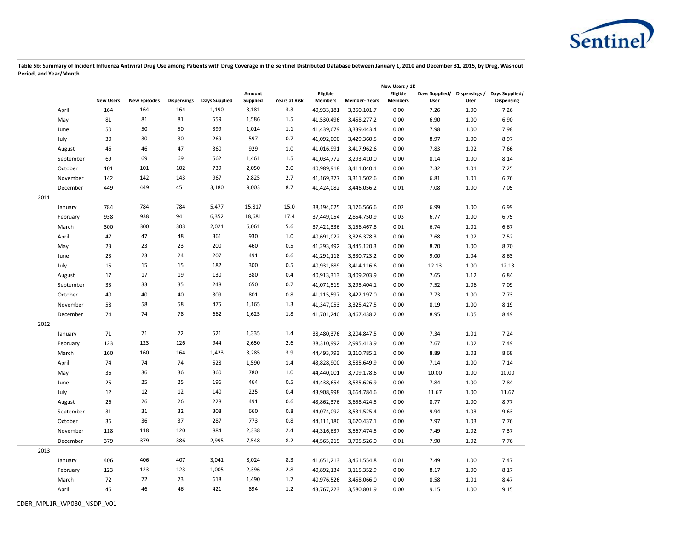

|      |           |                  |                     |                    |               |                    |                      |                            |                     | New Users / 1K             |                                      |      |                                     |
|------|-----------|------------------|---------------------|--------------------|---------------|--------------------|----------------------|----------------------------|---------------------|----------------------------|--------------------------------------|------|-------------------------------------|
|      |           | <b>New Users</b> | <b>New Episodes</b> | <b>Dispensings</b> | Days Supplied | Amount<br>Supplied | <b>Years at Risk</b> | Eligible<br><b>Members</b> | <b>Member-Years</b> | Eligible<br><b>Members</b> | Days Supplied/ Dispensings /<br>User | User | Days Supplied/<br><b>Dispensing</b> |
|      | April     | 164              | 164                 | 164                | 1,190         | 3,181              | 3.3                  | 40,933,181                 | 3,350,101.7         | 0.00                       | 7.26                                 | 1.00 | 7.26                                |
|      | May       | 81               | 81                  | 81                 | 559           | 1,586              | 1.5                  | 41,530,496                 | 3,458,277.2         | 0.00                       | 6.90                                 | 1.00 | 6.90                                |
|      | June      | 50               | 50                  | 50                 | 399           | 1,014              | 1.1                  | 41,439,679                 | 3,339,443.4         | 0.00                       | 7.98                                 | 1.00 | 7.98                                |
|      | July      | 30               | 30                  | 30                 | 269           | 597                | 0.7                  | 41,092,000                 | 3,429,360.5         | 0.00                       | 8.97                                 | 1.00 | 8.97                                |
|      | August    | 46               | 46                  | 47                 | 360           | 929                | $1.0\,$              | 41,016,991                 | 3,417,962.6         | 0.00                       | 7.83                                 | 1.02 | 7.66                                |
|      | September | 69               | 69                  | 69                 | 562           | 1,461              | 1.5                  | 41,034,772                 | 3,293,410.0         | 0.00                       | 8.14                                 | 1.00 | 8.14                                |
|      | October   | 101              | 101                 | 102                | 739           | 2,050              | 2.0                  | 40,989,918                 | 3,411,040.1         | 0.00                       | 7.32                                 | 1.01 | 7.25                                |
|      | November  | 142              | 142                 | 143                | 967           | 2,825              | 2.7                  | 41,169,377                 | 3,311,502.6         | 0.00                       | 6.81                                 | 1.01 | 6.76                                |
|      | December  | 449              | 449                 | 451                | 3,180         | 9,003              | 8.7                  | 41,424,082                 | 3,446,056.2         | 0.01                       | 7.08                                 | 1.00 | 7.05                                |
| 2011 |           |                  |                     |                    |               |                    |                      |                            |                     |                            |                                      |      |                                     |
|      | January   | 784              | 784                 | 784                | 5,477         | 15,817             | 15.0                 | 38,194,025                 | 3,176,566.6         | 0.02                       | 6.99                                 | 1.00 | 6.99                                |
|      | February  | 938              | 938                 | 941                | 6,352         | 18,681             | 17.4                 | 37,449,054                 | 2,854,750.9         | 0.03                       | 6.77                                 | 1.00 | 6.75                                |
|      | March     | 300              | 300                 | 303                | 2,021         | 6,061              | 5.6                  | 37,421,336                 | 3,156,467.8         | 0.01                       | 6.74                                 | 1.01 | 6.67                                |
|      | April     | 47               | 47                  | 48                 | 361           | 930                | 1.0                  | 40,691,022                 | 3,326,378.3         | 0.00                       | 7.68                                 | 1.02 | 7.52                                |
|      | May       | 23               | 23                  | 23                 | 200           | 460                | 0.5                  | 41,293,492                 | 3,445,120.3         | 0.00                       | 8.70                                 | 1.00 | 8.70                                |
|      | June      | 23               | 23                  | 24                 | 207           | 491                | 0.6                  | 41,291,118                 | 3,330,723.2         | 0.00                       | 9.00                                 | 1.04 | 8.63                                |
|      | July      | 15               | 15                  | 15                 | 182           | 300                | 0.5                  | 40,931,889                 | 3,414,116.6         | 0.00                       | 12.13                                | 1.00 | 12.13                               |
|      | August    | 17               | 17                  | 19                 | 130           | 380                | 0.4                  | 40,913,313                 | 3,409,203.9         | 0.00                       | 7.65                                 | 1.12 | 6.84                                |
|      | September | 33               | 33                  | 35                 | 248           | 650                | 0.7                  | 41,071,519                 | 3,295,404.1         | 0.00                       | 7.52                                 | 1.06 | 7.09                                |
|      | October   | 40               | 40                  | 40                 | 309           | 801                | 0.8                  | 41,115,597                 | 3,422,197.0         | 0.00                       | 7.73                                 | 1.00 | 7.73                                |
|      | November  | 58               | 58                  | 58                 | 475           | 1,165              | 1.3                  | 41,347,053                 | 3,325,427.5         | 0.00                       | 8.19                                 | 1.00 | 8.19                                |
|      | December  | 74               | 74                  | 78                 | 662           | 1,625              | 1.8                  | 41,701,240                 | 3,467,438.2         | 0.00                       | 8.95                                 | 1.05 | 8.49                                |
| 2012 |           |                  |                     |                    |               |                    |                      |                            |                     |                            |                                      |      |                                     |
|      | January   | 71               | 71                  | 72                 | 521           | 1,335              | 1.4                  | 38,480,376                 | 3,204,847.5         | 0.00                       | 7.34                                 | 1.01 | 7.24                                |
|      | February  | 123              | 123                 | 126                | 944           | 2,650              | 2.6                  | 38,310,992                 | 2,995,413.9         | 0.00                       | 7.67                                 | 1.02 | 7.49                                |
|      | March     | 160              | 160                 | 164                | 1,423         | 3,285              | 3.9                  | 44,493,793                 | 3,210,785.1         | 0.00                       | 8.89                                 | 1.03 | 8.68                                |
|      | April     | 74               | 74                  | 74                 | 528           | 1,590              | 1.4                  | 43,828,900                 | 3,585,649.9         | 0.00                       | 7.14                                 | 1.00 | 7.14                                |
|      | May       | 36               | 36                  | 36                 | 360           | 780                | $1.0\,$              | 44,440,001                 | 3,709,178.6         | 0.00                       | 10.00                                | 1.00 | 10.00                               |
|      | June      | 25               | 25                  | 25                 | 196           | 464                | 0.5                  | 44,438,654                 | 3,585,626.9         | 0.00                       | 7.84                                 | 1.00 | 7.84                                |
|      | July      | 12               | 12                  | 12                 | 140           | 225                | 0.4                  | 43,908,998                 | 3,664,784.6         | 0.00                       | 11.67                                | 1.00 | 11.67                               |
|      | August    | 26               | 26                  | 26                 | 228           | 491                | 0.6                  | 43,862,376                 | 3,658,424.5         | 0.00                       | 8.77                                 | 1.00 | 8.77                                |
|      | September | 31               | 31                  | 32                 | 308           | 660                | 0.8                  | 44,074,092                 | 3,531,525.4         | 0.00                       | 9.94                                 | 1.03 | 9.63                                |
|      | October   | 36               | 36                  | 37                 | 287           | 773                | 0.8                  | 44,111,180                 | 3,670,437.1         | 0.00                       | 7.97                                 | 1.03 | 7.76                                |
|      | November  | 118              | 118                 | 120                | 884           | 2,338              | 2.4                  | 44,316,637                 | 3,567,474.5         | 0.00                       | 7.49                                 | 1.02 | 7.37                                |
|      | December  | 379              | 379                 | 386                | 2,995         | 7,548              | 8.2                  | 44,565,219                 | 3,705,526.0         | 0.01                       | 7.90                                 | 1.02 | 7.76                                |
| 2013 |           |                  |                     |                    |               |                    |                      |                            |                     |                            |                                      |      |                                     |
|      | January   | 406              | 406                 | 407                | 3,041         | 8,024              | 8.3                  | 41,651,213                 | 3,461,554.8         | 0.01                       | 7.49                                 | 1.00 | 7.47                                |
|      | February  | 123              | 123                 | 123                | 1,005         | 2,396              | 2.8                  | 40,892,134                 | 3,115,352.9         | 0.00                       | 8.17                                 | 1.00 | 8.17                                |
|      | March     | 72               | 72                  | 73                 | 618           | 1,490              | 1.7                  | 40,976,526                 | 3,458,066.0         | 0.00                       | 8.58                                 | 1.01 | 8.47                                |
|      | April     | 46               | 46                  | 46                 | 421           | 894                | 1.2                  | 43,767,223                 | 3,580,801.9         | 0.00                       | 9.15                                 | 1.00 | 9.15                                |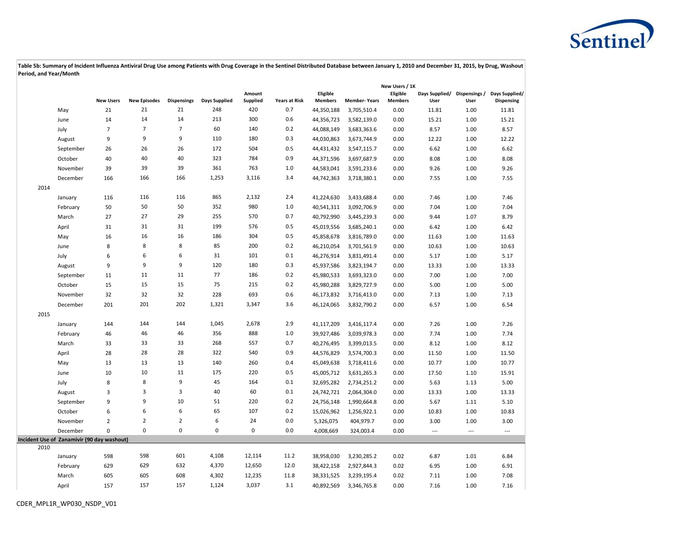

|      |                                            |                  |                     |                    |               |                    |                      |                            |                     | New Users / 1K             |                                      |                |                              |
|------|--------------------------------------------|------------------|---------------------|--------------------|---------------|--------------------|----------------------|----------------------------|---------------------|----------------------------|--------------------------------------|----------------|------------------------------|
|      |                                            | <b>New Users</b> | <b>New Episodes</b> | <b>Dispensings</b> | Days Supplied | Amount<br>Supplied | <b>Years at Risk</b> | Eligible<br><b>Members</b> | <b>Member-Years</b> | Eligible<br><b>Members</b> | Days Supplied/ Dispensings /<br>User | User           | Days Supplied/<br>Dispensing |
|      | May                                        | 21               | 21                  | 21                 | 248           | 420                | 0.7                  | 44,350,188                 | 3,705,510.4         | 0.00                       | 11.81                                | 1.00           | 11.81                        |
|      | June                                       | 14               | 14                  | 14                 | 213           | 300                | 0.6                  | 44,356,723                 | 3,582,139.0         | 0.00                       | 15.21                                | 1.00           | 15.21                        |
|      | July                                       | $\overline{7}$   | $\overline{7}$      | $\overline{7}$     | 60            | 140                | 0.2                  | 44,088,149                 | 3,683,363.6         | 0.00                       | 8.57                                 | 1.00           | 8.57                         |
|      | August                                     | 9                | 9                   | 9                  | 110           | 180                | 0.3                  | 44,030,863                 | 3,673,744.9         | 0.00                       | 12.22                                | 1.00           | 12.22                        |
|      | September                                  | 26               | 26                  | 26                 | 172           | 504                | 0.5                  | 44,431,432                 | 3,547,115.7         | 0.00                       | 6.62                                 | 1.00           | 6.62                         |
|      | October                                    | 40               | 40                  | 40                 | 323           | 784                | 0.9                  | 44,371,596                 | 3,697,687.9         | 0.00                       | 8.08                                 | 1.00           | 8.08                         |
|      | November                                   | 39               | 39                  | 39                 | 361           | 763                | 1.0                  | 44,583,041                 | 3,591,233.6         | 0.00                       | 9.26                                 | 1.00           | 9.26                         |
|      | December                                   | 166              | 166                 | 166                | 1,253         | 3,116              | 3.4                  | 44,742,363                 | 3,718,380.1         | 0.00                       | 7.55                                 | 1.00           | 7.55                         |
| 2014 |                                            |                  |                     |                    |               |                    |                      |                            |                     |                            |                                      |                |                              |
|      | January                                    | 116              | 116                 | 116                | 865           | 2,132              | 2.4                  | 41,224,630                 | 3,433,688.4         | 0.00                       | 7.46                                 | 1.00           | 7.46                         |
|      | February                                   | 50               | 50                  | 50                 | 352           | 980                | 1.0                  | 40,541,311                 | 3,092,706.9         | 0.00                       | 7.04                                 | 1.00           | 7.04                         |
|      | March                                      | 27               | 27                  | 29                 | 255           | 570                | 0.7                  | 40,792,990                 | 3,445,239.3         | 0.00                       | 9.44                                 | 1.07           | 8.79                         |
|      | April                                      | 31               | 31                  | 31                 | 199           | 576                | 0.5                  | 45,019,556                 | 3,685,240.1         | 0.00                       | 6.42                                 | 1.00           | 6.42                         |
|      | May                                        | 16               | 16                  | 16                 | 186           | 304                | 0.5                  | 45,858,678                 | 3,816,789.0         | 0.00                       | 11.63                                | 1.00           | 11.63                        |
|      | June                                       | 8                | 8                   | 8                  | 85            | 200                | 0.2                  | 46,210,054                 | 3,701,561.9         | 0.00                       | 10.63                                | 1.00           | 10.63                        |
|      | July                                       | 6                | 6                   | 6                  | 31            | 101                | 0.1                  | 46,276,914                 | 3,831,491.4         | 0.00                       | 5.17                                 | 1.00           | 5.17                         |
|      | August                                     | 9                | 9                   | 9                  | 120           | 180                | 0.3                  | 45,937,586                 | 3,823,194.7         | 0.00                       | 13.33                                | 1.00           | 13.33                        |
|      | September                                  | 11               | 11                  | 11                 | 77            | 186                | 0.2                  | 45,980,533                 | 3,693,323.0         | 0.00                       | 7.00                                 | 1.00           | 7.00                         |
|      | October                                    | 15               | 15                  | 15                 | 75            | 215                | 0.2                  | 45,980,288                 | 3,829,727.9         | 0.00                       | 5.00                                 | 1.00           | 5.00                         |
|      | November                                   | 32               | 32                  | 32                 | 228           | 693                | 0.6                  | 46,173,832                 | 3,716,413.0         | 0.00                       | 7.13                                 | 1.00           | 7.13                         |
|      | December                                   | 201              | 201                 | 202                | 1,321         | 3,347              | 3.6                  | 46,124,065                 | 3,832,790.2         | 0.00                       | 6.57                                 | 1.00           | 6.54                         |
| 2015 |                                            |                  |                     |                    |               |                    |                      |                            |                     |                            |                                      |                |                              |
|      | January                                    | 144              | 144                 | 144                | 1,045         | 2,678              | 2.9                  | 41,117,209                 | 3,416,117.4         | 0.00                       | 7.26                                 | 1.00           | 7.26                         |
|      | February                                   | 46               | 46                  | 46                 | 356           | 888                | 1.0                  | 39,927,486                 | 3,039,978.3         | 0.00                       | 7.74                                 | 1.00           | 7.74                         |
|      | March                                      | 33               | 33                  | 33                 | 268           | 557                | 0.7                  | 40,276,495                 | 3,399,013.5         | 0.00                       | 8.12                                 | 1.00           | 8.12                         |
|      | April                                      | 28               | 28                  | 28                 | 322           | 540                | 0.9                  | 44,576,829                 | 3,574,700.3         | 0.00                       | 11.50                                | 1.00           | 11.50                        |
|      | May                                        | 13               | 13                  | 13                 | 140           | 260                | 0.4                  | 45,049,638                 | 3,718,411.6         | 0.00                       | 10.77                                | 1.00           | 10.77                        |
|      | June                                       | 10               | 10                  | 11                 | 175           | 220                | 0.5                  | 45,005,712                 | 3,631,265.3         | 0.00                       | 17.50                                | 1.10           | 15.91                        |
|      | July                                       | 8                | 8                   | 9                  | 45            | 164                | 0.1                  | 32,695,282                 | 2,734,251.2         | 0.00                       | 5.63                                 | 1.13           | 5.00                         |
|      | August                                     | 3                | 3                   | 3                  | 40            | 60                 | 0.1                  | 24,742,721                 | 2,064,304.0         | 0.00                       | 13.33                                | 1.00           | 13.33                        |
|      | September                                  | 9                | 9                   | 10                 | 51            | 220                | 0.2                  | 24,756,148                 | 1,990,664.8         | 0.00                       | 5.67                                 | 1.11           | 5.10                         |
|      | October                                    | 6                | 6                   | 6                  | 65            | 107                | 0.2                  | 15,026,962                 | 1,256,922.1         | 0.00                       | 10.83                                | 1.00           | 10.83                        |
|      | November                                   | $\overline{2}$   | $\overline{2}$      | $\overline{2}$     | 6             | 24                 | 0.0                  | 5,326,075                  | 404,979.7           | 0.00                       | 3.00                                 | 1.00           | 3.00                         |
|      | December                                   | $\mathbf 0$      | $\pmb{0}$           | $\mathbf 0$        | 0             | $\pmb{0}$          | 0.0                  | 4,008,669                  | 324,003.4           | 0.00                       | $\overline{a}$                       | $\overline{a}$ | ---                          |
|      | Incident Use of Zanamivir (90 day washout) |                  |                     |                    |               |                    |                      |                            |                     |                            |                                      |                |                              |
| 2010 |                                            |                  |                     |                    |               |                    |                      |                            |                     |                            |                                      |                |                              |
|      | January                                    | 598              | 598                 | 601                | 4,108         | 12,114             | 11.2                 | 38,958,030                 | 3,230,285.2         | 0.02                       | 6.87                                 | 1.01           | 6.84                         |
|      | February                                   | 629              | 629                 | 632                | 4,370         | 12,650             | 12.0                 | 38,422,158                 | 2,927,844.3         | 0.02                       | 6.95                                 | 1.00           | 6.91                         |
|      | March                                      | 605              | 605                 | 608                | 4,302         | 12,235             | 11.8                 | 38,331,525                 | 3,239,195.4         | 0.02                       | 7.11                                 | 1.00           | 7.08                         |
|      | April                                      | 157              | 157                 | 157                | 1,124         | 3,037              | 3.1                  | 40,892,569                 | 3,346,765.8         | 0.00                       | 7.16                                 | 1.00           | 7.16                         |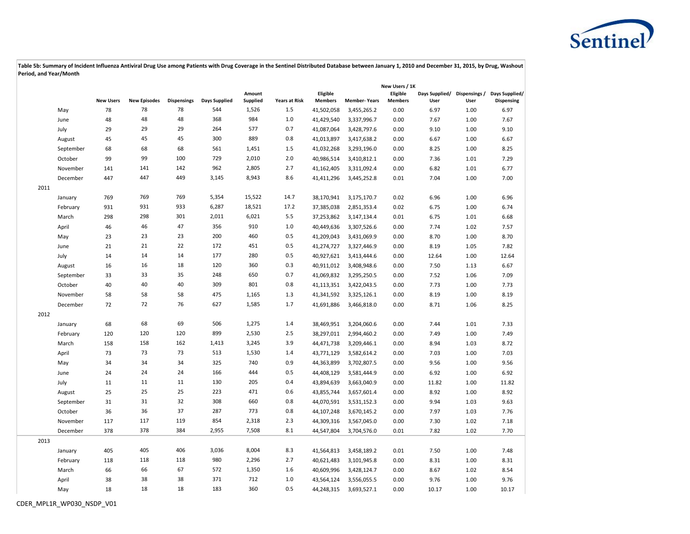

|      |           |                  |                     |                    |               |                    | New Users / 1K       |                            |                     |                            |                                      |      |                                     |
|------|-----------|------------------|---------------------|--------------------|---------------|--------------------|----------------------|----------------------------|---------------------|----------------------------|--------------------------------------|------|-------------------------------------|
|      |           | <b>New Users</b> | <b>New Episodes</b> | <b>Dispensings</b> | Days Supplied | Amount<br>Supplied | <b>Years at Risk</b> | Eligible<br><b>Members</b> | <b>Member-Years</b> | Eligible<br><b>Members</b> | Days Supplied/ Dispensings /<br>User | User | Days Supplied/<br><b>Dispensing</b> |
|      | May       | 78               | 78                  | 78                 | 544           | 1,526              | 1.5                  | 41,502,058                 | 3,455,265.2         | 0.00                       | 6.97                                 | 1.00 | 6.97                                |
|      | June      | 48               | 48                  | 48                 | 368           | 984                | $1.0$                | 41,429,540                 | 3,337,996.7         | 0.00                       | 7.67                                 | 1.00 | 7.67                                |
|      | July      | 29               | 29                  | 29                 | 264           | 577                | 0.7                  | 41,087,064                 | 3,428,797.6         | 0.00                       | 9.10                                 | 1.00 | 9.10                                |
|      | August    | 45               | 45                  | 45                 | 300           | 889                | 0.8                  | 41,013,897                 | 3,417,638.2         | 0.00                       | 6.67                                 | 1.00 | 6.67                                |
|      | September | 68               | 68                  | 68                 | 561           | 1,451              | 1.5                  | 41,032,268                 | 3,293,196.0         | 0.00                       | 8.25                                 | 1.00 | 8.25                                |
|      | October   | 99               | 99                  | 100                | 729           | 2,010              | 2.0                  | 40,986,514                 | 3,410,812.1         | 0.00                       | 7.36                                 | 1.01 | 7.29                                |
|      | November  | 141              | 141                 | 142                | 962           | 2,805              | 2.7                  | 41,162,405                 | 3,311,092.4         | 0.00                       | 6.82                                 | 1.01 | 6.77                                |
|      | December  | 447              | 447                 | 449                | 3,145         | 8,943              | 8.6                  | 41,411,296                 | 3,445,252.8         | 0.01                       | 7.04                                 | 1.00 | 7.00                                |
| 2011 |           |                  |                     |                    |               |                    |                      |                            |                     |                            |                                      |      |                                     |
|      | January   | 769              | 769                 | 769                | 5,354         | 15,522             | 14.7                 | 38,170,941                 | 3,175,170.7         | 0.02                       | 6.96                                 | 1.00 | 6.96                                |
|      | February  | 931              | 931                 | 933                | 6,287         | 18,521             | 17.2                 | 37,385,038                 | 2,851,353.4         | 0.02                       | 6.75                                 | 1.00 | 6.74                                |
|      | March     | 298              | 298                 | 301                | 2,011         | 6,021              | 5.5                  | 37,253,862                 | 3,147,134.4         | 0.01                       | 6.75                                 | 1.01 | 6.68                                |
|      | April     | 46               | 46                  | 47                 | 356           | 910                | 1.0                  | 40,449,636                 | 3,307,526.6         | 0.00                       | 7.74                                 | 1.02 | 7.57                                |
|      | May       | 23               | 23                  | 23                 | 200           | 460                | 0.5                  | 41,209,043                 | 3,431,069.9         | 0.00                       | 8.70                                 | 1.00 | 8.70                                |
|      | June      | 21               | 21                  | 22                 | 172           | 451                | 0.5                  | 41,274,727                 | 3,327,446.9         | 0.00                       | 8.19                                 | 1.05 | 7.82                                |
|      | July      | 14               | 14                  | 14                 | 177           | 280                | 0.5                  | 40,927,621                 | 3,413,444.6         | 0.00                       | 12.64                                | 1.00 | 12.64                               |
|      | August    | 16               | 16                  | 18                 | 120           | 360                | 0.3                  | 40,911,012                 | 3,408,948.6         | 0.00                       | 7.50                                 | 1.13 | 6.67                                |
|      | September | 33               | 33                  | 35                 | 248           | 650                | 0.7                  | 41,069,832                 | 3,295,250.5         | 0.00                       | 7.52                                 | 1.06 | 7.09                                |
|      | October   | 40               | 40                  | 40                 | 309           | 801                | 0.8                  | 41,113,351                 | 3,422,043.5         | 0.00                       | 7.73                                 | 1.00 | 7.73                                |
|      | November  | 58               | 58                  | 58                 | 475           | 1,165              | 1.3                  | 41,341,592                 | 3,325,126.1         | 0.00                       | 8.19                                 | 1.00 | 8.19                                |
|      | December  | 72               | 72                  | 76                 | 627           | 1,585              | 1.7                  | 41,691,886                 | 3,466,818.0         | 0.00                       | 8.71                                 | 1.06 | 8.25                                |
| 2012 |           |                  |                     |                    |               |                    |                      |                            |                     |                            |                                      |      |                                     |
|      | January   | 68               | 68                  | 69                 | 506           | 1,275              | 1.4                  | 38,469,951                 | 3,204,060.6         | 0.00                       | 7.44                                 | 1.01 | 7.33                                |
|      | February  | 120              | 120                 | 120                | 899           | 2,530              | 2.5                  | 38,297,011                 | 2,994,460.2         | 0.00                       | 7.49                                 | 1.00 | 7.49                                |
|      | March     | 158              | 158                 | 162                | 1,413         | 3,245              | 3.9                  | 44,471,738                 | 3,209,446.1         | 0.00                       | 8.94                                 | 1.03 | 8.72                                |
|      | April     | 73               | 73                  | 73                 | 513           | 1,530              | 1.4                  | 43,771,129                 | 3,582,614.2         | 0.00                       | 7.03                                 | 1.00 | 7.03                                |
|      | May       | 34               | 34                  | 34                 | 325           | 740                | 0.9                  | 44,363,899                 | 3,702,807.5         | 0.00                       | 9.56                                 | 1.00 | 9.56                                |
|      | June      | 24               | 24                  | 24                 | 166           | 444                | 0.5                  | 44,408,129                 | 3,581,444.9         | 0.00                       | 6.92                                 | 1.00 | 6.92                                |
|      | July      | 11               | 11                  | 11                 | 130           | 205                | 0.4                  | 43,894,639                 | 3,663,040.9         | 0.00                       | 11.82                                | 1.00 | 11.82                               |
|      | August    | 25               | 25                  | 25                 | 223           | 471                | 0.6                  | 43,855,744                 | 3,657,601.4         | 0.00                       | 8.92                                 | 1.00 | 8.92                                |
|      | September | 31               | 31                  | 32                 | 308           | 660                | 0.8                  | 44,070,591                 | 3,531,152.3         | 0.00                       | 9.94                                 | 1.03 | 9.63                                |
|      | October   | 36               | 36                  | 37                 | 287           | 773                | 0.8                  | 44,107,248                 | 3,670,145.2         | 0.00                       | 7.97                                 | 1.03 | 7.76                                |
|      | November  | 117              | 117                 | 119                | 854           | 2,318              | 2.3                  | 44,309,316                 | 3,567,045.0         | 0.00                       | 7.30                                 | 1.02 | 7.18                                |
|      | December  | 378              | 378                 | 384                | 2,955         | 7,508              | 8.1                  | 44,547,804                 | 3,704,576.0         | 0.01                       | 7.82                                 | 1.02 | 7.70                                |
| 2013 |           |                  |                     |                    |               |                    |                      |                            |                     |                            |                                      |      |                                     |
|      | January   | 405              | 405                 | 406                | 3,036         | 8,004              | 8.3                  | 41,564,813                 | 3,458,189.2         | 0.01                       | 7.50                                 | 1.00 | 7.48                                |
|      | February  | 118              | 118                 | 118                | 980           | 2,296              | 2.7                  | 40,621,483                 | 3,101,945.8         | 0.00                       | 8.31                                 | 1.00 | 8.31                                |
|      | March     | 66               | 66                  | 67                 | 572           | 1,350              | 1.6                  | 40,609,996                 | 3,428,124.7         | 0.00                       | 8.67                                 | 1.02 | 8.54                                |
|      | April     | 38               | 38                  | 38                 | 371           | 712                | $1.0$                | 43,564,124                 | 3,556,055.5         | 0.00                       | 9.76                                 | 1.00 | 9.76                                |
|      | May       | 18               | 18                  | 18                 | 183           | 360                | 0.5                  | 44,248,315                 | 3,693,527.1         | 0.00                       | 10.17                                | 1.00 | 10.17                               |
|      |           |                  |                     |                    |               |                    |                      |                            |                     |                            |                                      |      |                                     |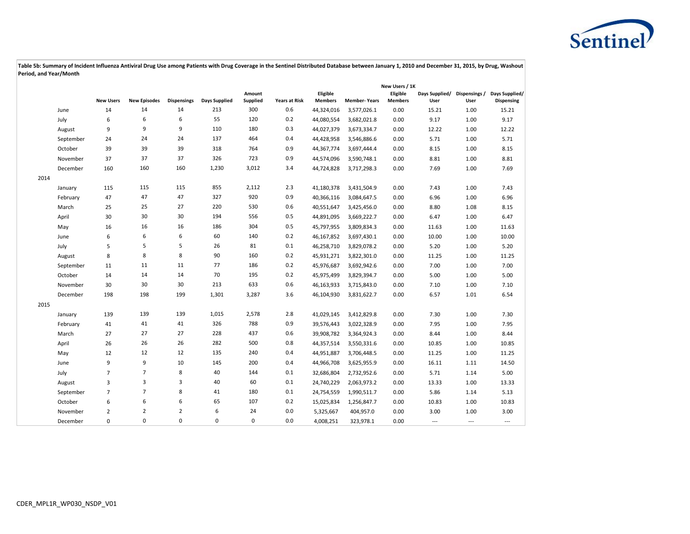

|      |           |                  |                     |                    |               |                           | New Users / 1K       |                            |                     |                            |                        |                       |                              |
|------|-----------|------------------|---------------------|--------------------|---------------|---------------------------|----------------------|----------------------------|---------------------|----------------------------|------------------------|-----------------------|------------------------------|
|      |           | <b>New Users</b> | <b>New Episodes</b> | <b>Dispensings</b> | Days Supplied | Amount<br><b>Supplied</b> | <b>Years at Risk</b> | Eligible<br><b>Members</b> | <b>Member-Years</b> | Eligible<br><b>Members</b> | Days Supplied/<br>User | Dispensings /<br>User | Days Supplied/<br>Dispensing |
|      | June      | 14               | 14                  | 14                 | 213           | 300                       | 0.6                  | 44,324,016                 | 3,577,026.1         | 0.00                       | 15.21                  | 1.00                  | 15.21                        |
|      | July      | 6                | 6                   | 6                  | 55            | 120                       | 0.2                  | 44,080,554                 | 3,682,021.8         | 0.00                       | 9.17                   | 1.00                  | 9.17                         |
|      | August    | 9                | 9                   | 9                  | 110           | 180                       | 0.3                  | 44,027,379                 | 3,673,334.7         | 0.00                       | 12.22                  | 1.00                  | 12.22                        |
|      | September | 24               | 24                  | 24                 | 137           | 464                       | 0.4                  | 44,428,958                 | 3,546,886.6         | 0.00                       | 5.71                   | 1.00                  | 5.71                         |
|      | October   | 39               | 39                  | 39                 | 318           | 764                       | 0.9                  | 44,367,774                 | 3,697,444.4         | 0.00                       | 8.15                   | 1.00                  | 8.15                         |
|      | November  | 37               | 37                  | 37                 | 326           | 723                       | 0.9                  | 44,574,096                 | 3,590,748.1         | 0.00                       | 8.81                   | 1.00                  | 8.81                         |
|      | December  | 160              | 160                 | 160                | 1,230         | 3,012                     | 3.4                  | 44,724,828                 | 3,717,298.3         | 0.00                       | 7.69                   | 1.00                  | 7.69                         |
| 2014 |           |                  |                     |                    |               |                           |                      |                            |                     |                            |                        |                       |                              |
|      | January   | 115              | 115                 | 115                | 855           | 2,112                     | 2.3                  | 41,180,378                 | 3,431,504.9         | 0.00                       | 7.43                   | 1.00                  | 7.43                         |
|      | February  | 47               | 47                  | 47                 | 327           | 920                       | 0.9                  | 40,366,116                 | 3,084,647.5         | 0.00                       | 6.96                   | 1.00                  | 6.96                         |
|      | March     | 25               | 25                  | 27                 | 220           | 530                       | 0.6                  | 40,551,647                 | 3,425,456.0         | 0.00                       | 8.80                   | 1.08                  | 8.15                         |
|      | April     | 30               | 30                  | 30                 | 194           | 556                       | 0.5                  | 44,891,095                 | 3,669,222.7         | 0.00                       | 6.47                   | 1.00                  | 6.47                         |
|      | May       | 16               | 16                  | 16                 | 186           | 304                       | 0.5                  | 45,797,955                 | 3,809,834.3         | 0.00                       | 11.63                  | 1.00                  | 11.63                        |
|      | June      | 6                | 6                   | 6                  | 60            | 140                       | 0.2                  | 46,167,852                 | 3,697,430.1         | 0.00                       | 10.00                  | 1.00                  | 10.00                        |
|      | July      | 5                | 5                   | 5                  | 26            | 81                        | 0.1                  | 46,258,710                 | 3,829,078.2         | 0.00                       | 5.20                   | 1.00                  | 5.20                         |
|      | August    | 8                | 8                   | 8                  | 90            | 160                       | 0.2                  | 45,931,271                 | 3,822,301.0         | 0.00                       | 11.25                  | 1.00                  | 11.25                        |
|      | September | 11               | 11                  | 11                 | 77            | 186                       | 0.2                  | 45,976,687                 | 3,692,942.6         | 0.00                       | 7.00                   | 1.00                  | 7.00                         |
|      | October   | 14               | 14                  | 14                 | 70            | 195                       | 0.2                  | 45,975,499                 | 3,829,394.7         | 0.00                       | 5.00                   | 1.00                  | 5.00                         |
|      | November  | 30               | 30                  | 30                 | 213           | 633                       | 0.6                  | 46,163,933                 | 3,715,843.0         | 0.00                       | 7.10                   | 1.00                  | 7.10                         |
|      | December  | 198              | 198                 | 199                | 1,301         | 3,287                     | 3.6                  | 46,104,930                 | 3,831,622.7         | 0.00                       | 6.57                   | 1.01                  | 6.54                         |
| 2015 |           |                  |                     |                    |               |                           |                      |                            |                     |                            |                        |                       |                              |
|      | January   | 139              | 139                 | 139                | 1,015         | 2,578                     | 2.8                  | 41,029,145                 | 3,412,829.8         | 0.00                       | 7.30                   | 1.00                  | 7.30                         |
|      | February  | 41               | 41                  | 41                 | 326           | 788                       | 0.9                  | 39,576,443                 | 3,022,328.9         | 0.00                       | 7.95                   | 1.00                  | 7.95                         |
|      | March     | 27               | 27                  | 27                 | 228           | 437                       | 0.6                  | 39,908,782                 | 3,364,924.3         | 0.00                       | 8.44                   | 1.00                  | 8.44                         |
|      | April     | 26               | 26                  | 26                 | 282           | 500                       | 0.8                  | 44,357,514                 | 3,550,331.6         | 0.00                       | 10.85                  | 1.00                  | 10.85                        |
|      | May       | 12               | 12                  | 12                 | 135           | 240                       | 0.4                  | 44,951,887                 | 3,706,448.5         | 0.00                       | 11.25                  | 1.00                  | 11.25                        |
|      | June      | 9                | 9                   | 10                 | 145           | 200                       | 0.4                  | 44,966,708                 | 3,625,955.9         | 0.00                       | 16.11                  | 1.11                  | 14.50                        |
|      | July      | $\overline{7}$   | $\overline{7}$      | 8                  | 40            | 144                       | 0.1                  | 32,686,804                 | 2,732,952.6         | 0.00                       | 5.71                   | 1.14                  | 5.00                         |
|      | August    | 3                | 3                   | 3                  | 40            | 60                        | 0.1                  | 24,740,229                 | 2,063,973.2         | 0.00                       | 13.33                  | 1.00                  | 13.33                        |
|      | September | $\overline{7}$   | $\overline{7}$      | 8                  | 41            | 180                       | 0.1                  | 24,754,559                 | 1,990,511.7         | 0.00                       | 5.86                   | 1.14                  | 5.13                         |
|      | October   | 6                | 6                   | 6                  | 65            | 107                       | 0.2                  | 15,025,834                 | 1,256,847.7         | 0.00                       | 10.83                  | 1.00                  | 10.83                        |
|      | November  | $\overline{2}$   | $\overline{2}$      | $\overline{2}$     | 6             | 24                        | 0.0                  | 5,325,667                  | 404,957.0           | 0.00                       | 3.00                   | 1.00                  | 3.00                         |
|      | December  | $\Omega$         | $\Omega$            | $\Omega$           | $\mathbf 0$   | $\mathbf 0$               | 0.0                  | 4,008,251                  | 323,978.1           | 0.00                       | $\overline{a}$         | $\overline{a}$        | $---$                        |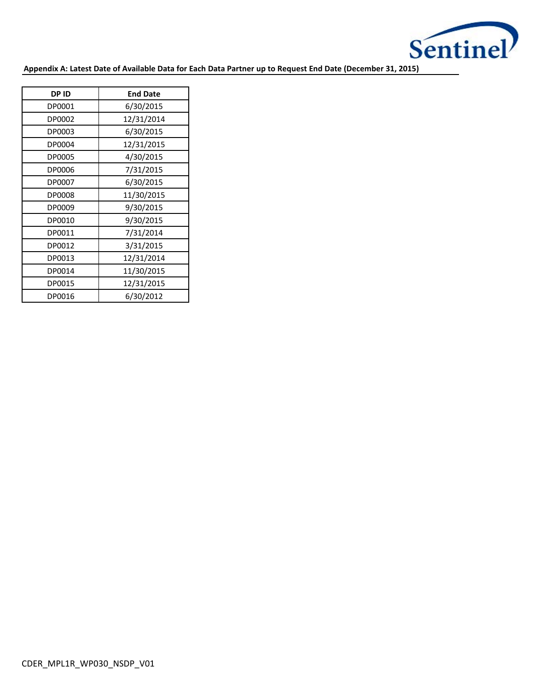

**Appendix A: Latest Date of Available Data for Each Data Partner up to Request End Date (December 31, 2015)**

| <b>DPID</b> | <b>End Date</b> |
|-------------|-----------------|
| DP0001      | 6/30/2015       |
| DP0002      | 12/31/2014      |
| DP0003      | 6/30/2015       |
| DP0004      | 12/31/2015      |
| DP0005      | 4/30/2015       |
| DP0006      | 7/31/2015       |
| DP0007      | 6/30/2015       |
| DP0008      | 11/30/2015      |
| DP0009      | 9/30/2015       |
| DP0010      | 9/30/2015       |
| DP0011      | 7/31/2014       |
| DP0012      | 3/31/2015       |
| DP0013      | 12/31/2014      |
| DP0014      | 11/30/2015      |
| DP0015      | 12/31/2015      |
| DP0016      | 6/30/2012       |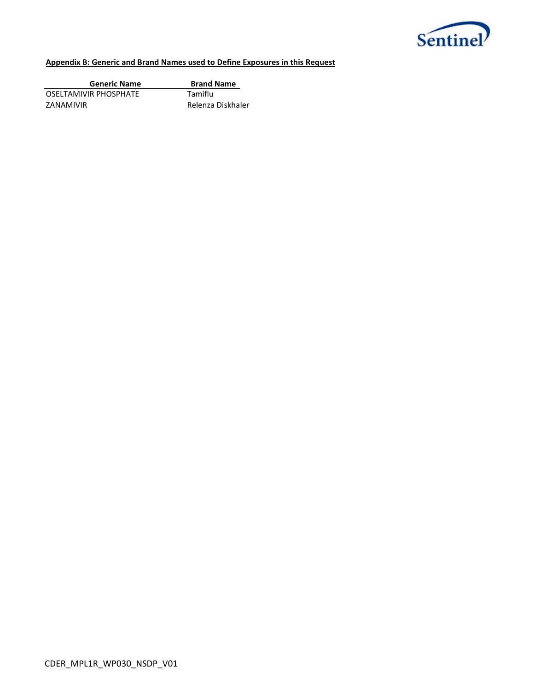

## **Appendix B: Generic and Brand Names used to Define Exposures in this Request**

| <b>Generic Name</b>   | <b>Brand Name</b> |
|-----------------------|-------------------|
| OSELTAMIVIR PHOSPHATE | Tamiflu           |
| ZANAMIVIR             | Relenza Diskhaler |